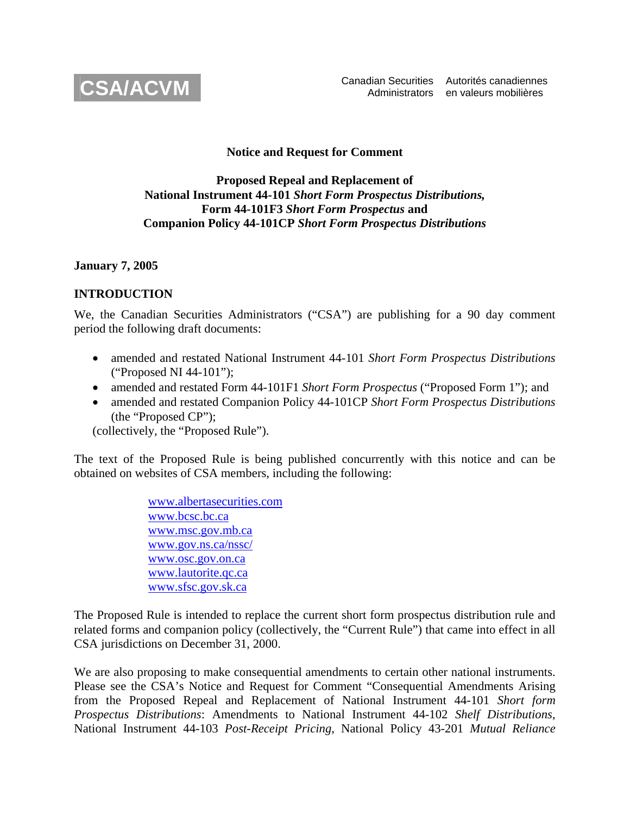

## **Notice and Request for Comment**

## **Proposed Repeal and Replacement of National Instrument 44-101** *Short Form Prospectus Distributions,* **Form 44-101F3** *Short Form Prospectus* **and Companion Policy 44-101CP** *Short Form Prospectus Distributions*

### **January 7, 2005**

## **INTRODUCTION**

We, the Canadian Securities Administrators ("CSA") are publishing for a 90 day comment period the following draft documents:

- amended and restated National Instrument 44-101 *Short Form Prospectus Distributions*  ("Proposed NI 44-101");
- amended and restated Form 44-101F1 *Short Form Prospectus* ("Proposed Form 1"); and
- amended and restated Companion Policy 44-101CP *Short Form Prospectus Distributions*  (the "Proposed CP");

(collectively, the "Proposed Rule").

The text of the Proposed Rule is being published concurrently with this notice and can be obtained on websites of CSA members, including the following:

> [www.albertasecurities.com](http://www.albertasecurities.com/)  [www.bcsc.bc.ca](http://www.bcsc.bc.ca/) [www.msc.gov.mb.ca](http://www.msc.gov.mb.ca/) [www.gov.ns.ca/nssc/](http://www.gov.ns.ca/nssc/)  [www.osc.gov.on.ca](http://www.osc.gov.on.ca/)  [www.lautorite.qc.ca](http://www.lautorite.qc.ca/)  [www.sfsc.gov.sk.ca](http://www.sfsc.gov.sk.ca/)

The Proposed Rule is intended to replace the current short form prospectus distribution rule and related forms and companion policy (collectively, the "Current Rule") that came into effect in all CSA jurisdictions on December 31, 2000.

We are also proposing to make consequential amendments to certain other national instruments. Please see the CSA's Notice and Request for Comment "Consequential Amendments Arising from the Proposed Repeal and Replacement of National Instrument 44-101 *Short form Prospectus Distributions*: Amendments to National Instrument 44-102 *Shelf Distributions*, National Instrument 44-103 *Post-Receipt Pricing*, National Policy 43-201 *Mutual Reliance*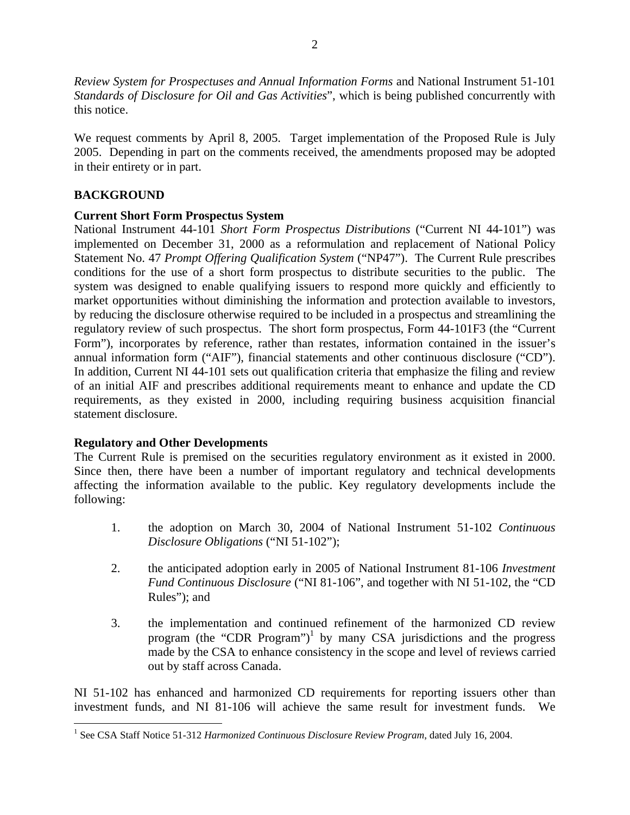*Review System for Prospectuses and Annual Information Forms* and National Instrument 51-101 *Standards of Disclosure for Oil and Gas Activities*", which is being published concurrently with this notice.

We request comments by April 8, 2005. Target implementation of the Proposed Rule is July 2005. Depending in part on the comments received, the amendments proposed may be adopted in their entirety or in part.

# **BACKGROUND**

<u>.</u>

# **Current Short Form Prospectus System**

National Instrument 44-101 *Short Form Prospectus Distributions* ("Current NI 44-101") was implemented on December 31, 2000 as a reformulation and replacement of National Policy Statement No. 47 *Prompt Offering Qualification System* ("NP47"). The Current Rule prescribes conditions for the use of a short form prospectus to distribute securities to the public. The system was designed to enable qualifying issuers to respond more quickly and efficiently to market opportunities without diminishing the information and protection available to investors, by reducing the disclosure otherwise required to be included in a prospectus and streamlining the regulatory review of such prospectus. The short form prospectus, Form 44-101F3 (the "Current Form"), incorporates by reference, rather than restates, information contained in the issuer's annual information form ("AIF"), financial statements and other continuous disclosure ("CD"). In addition, Current NI 44-101 sets out qualification criteria that emphasize the filing and review of an initial AIF and prescribes additional requirements meant to enhance and update the CD requirements, as they existed in 2000, including requiring business acquisition financial statement disclosure.

# **Regulatory and Other Developments**

The Current Rule is premised on the securities regulatory environment as it existed in 2000. Since then, there have been a number of important regulatory and technical developments affecting the information available to the public. Key regulatory developments include the following:

- 1. the adoption on March 30, 2004 of National Instrument 51-102 *Continuous Disclosure Obligations* ("NI 51-102");
- 2. the anticipated adoption early in 2005 of National Instrument 81-106 *Investment Fund Continuous Disclosure* ("NI 81-106", and together with NI 51-102, the "CD Rules"); and
- 3. the implementation and continued refinement of the harmonized CD review program (the "CDR Program")<sup>1</sup> by many CSA jurisdictions and the progress made by the CSA to enhance consistency in the scope and level of reviews carried out by staff across Canada.

NI 51-102 has enhanced and harmonized CD requirements for reporting issuers other than investment funds, and NI 81-106 will achieve the same result for investment funds. We

<span id="page-1-0"></span><sup>&</sup>lt;sup>1</sup> See CSA Staff Notice 51-312 *Harmonized Continuous Disclosure Review Program*, dated July 16, 2004.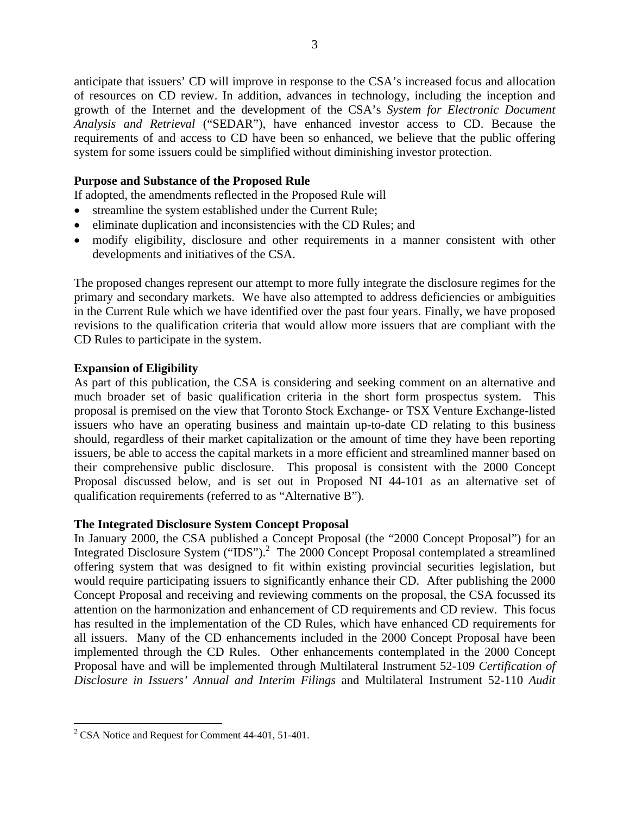anticipate that issuers' CD will improve in response to the CSA's increased focus and allocation of resources on CD review. In addition, advances in technology, including the inception and growth of the Internet and the development of the CSA's *System for Electronic Document Analysis and Retrieval* ("SEDAR"), have enhanced investor access to CD. Because the requirements of and access to CD have been so enhanced, we believe that the public offering system for some issuers could be simplified without diminishing investor protection.

## **Purpose and Substance of the Proposed Rule**

If adopted, the amendments reflected in the Proposed Rule will

- streamline the system established under the Current Rule;
- eliminate duplication and inconsistencies with the CD Rules; and
- modify eligibility, disclosure and other requirements in a manner consistent with other developments and initiatives of the CSA.

The proposed changes represent our attempt to more fully integrate the disclosure regimes for the primary and secondary markets. We have also attempted to address deficiencies or ambiguities in the Current Rule which we have identified over the past four years. Finally, we have proposed revisions to the qualification criteria that would allow more issuers that are compliant with the CD Rules to participate in the system.

## **Expansion of Eligibility**

As part of this publication, the CSA is considering and seeking comment on an alternative and much broader set of basic qualification criteria in the short form prospectus system. This proposal is premised on the view that Toronto Stock Exchange- or TSX Venture Exchange-listed issuers who have an operating business and maintain up-to-date CD relating to this business should, regardless of their market capitalization or the amount of time they have been reporting issuers, be able to access the capital markets in a more efficient and streamlined manner based on their comprehensive public disclosure. This proposal is consistent with the 2000 Concept Proposal discussed below, and is set out in Proposed NI 44-101 as an alternative set of qualification requirements (referred to as "Alternative B").

## **The Integrated Disclosure System Concept Proposal**

In January 2000, the CSA published a Concept Proposal (the "2000 Concept Proposal") for an Integrated Disclosure System ("IDS").<sup>[2](#page-2-0)</sup> The 2000 Concept Proposal contemplated a streamlined offering system that was designed to fit within existing provincial securities legislation, but would require participating issuers to significantly enhance their CD. After publishing the 2000 Concept Proposal and receiving and reviewing comments on the proposal, the CSA focussed its attention on the harmonization and enhancement of CD requirements and CD review. This focus has resulted in the implementation of the CD Rules, which have enhanced CD requirements for all issuers. Many of the CD enhancements included in the 2000 Concept Proposal have been implemented through the CD Rules. Other enhancements contemplated in the 2000 Concept Proposal have and will be implemented through Multilateral Instrument 52-109 *Certification of Disclosure in Issuers' Annual and Interim Filings* and Multilateral Instrument 52-110 *Audit* 

<u>.</u>

<span id="page-2-0"></span> $2^2$  CSA Notice and Request for Comment 44-401, 51-401.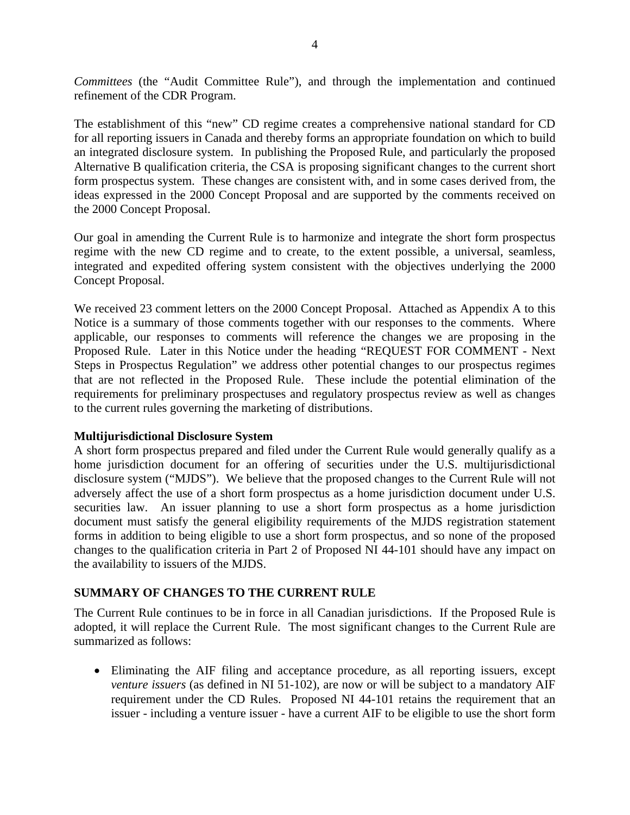*Committees* (the "Audit Committee Rule"), and through the implementation and continued refinement of the CDR Program.

The establishment of this "new" CD regime creates a comprehensive national standard for CD for all reporting issuers in Canada and thereby forms an appropriate foundation on which to build an integrated disclosure system. In publishing the Proposed Rule, and particularly the proposed Alternative B qualification criteria, the CSA is proposing significant changes to the current short form prospectus system. These changes are consistent with, and in some cases derived from, the ideas expressed in the 2000 Concept Proposal and are supported by the comments received on the 2000 Concept Proposal.

Our goal in amending the Current Rule is to harmonize and integrate the short form prospectus regime with the new CD regime and to create, to the extent possible, a universal, seamless, integrated and expedited offering system consistent with the objectives underlying the 2000 Concept Proposal.

We received 23 comment letters on the 2000 Concept Proposal. Attached as Appendix A to this Notice is a summary of those comments together with our responses to the comments. Where applicable, our responses to comments will reference the changes we are proposing in the Proposed Rule. Later in this Notice under the heading "REQUEST FOR COMMENT - Next Steps in Prospectus Regulation" we address other potential changes to our prospectus regimes that are not reflected in the Proposed Rule. These include the potential elimination of the requirements for preliminary prospectuses and regulatory prospectus review as well as changes to the current rules governing the marketing of distributions.

## **Multijurisdictional Disclosure System**

A short form prospectus prepared and filed under the Current Rule would generally qualify as a home jurisdiction document for an offering of securities under the U.S. multijurisdictional disclosure system ("MJDS"). We believe that the proposed changes to the Current Rule will not adversely affect the use of a short form prospectus as a home jurisdiction document under U.S. securities law. An issuer planning to use a short form prospectus as a home jurisdiction document must satisfy the general eligibility requirements of the MJDS registration statement forms in addition to being eligible to use a short form prospectus, and so none of the proposed changes to the qualification criteria in Part 2 of Proposed NI 44-101 should have any impact on the availability to issuers of the MJDS.

## **SUMMARY OF CHANGES TO THE CURRENT RULE**

The Current Rule continues to be in force in all Canadian jurisdictions. If the Proposed Rule is adopted, it will replace the Current Rule. The most significant changes to the Current Rule are summarized as follows:

• Eliminating the AIF filing and acceptance procedure, as all reporting issuers, except *venture issuers* (as defined in NI 51-102), are now or will be subject to a mandatory AIF requirement under the CD Rules. Proposed NI 44-101 retains the requirement that an issuer - including a venture issuer - have a current AIF to be eligible to use the short form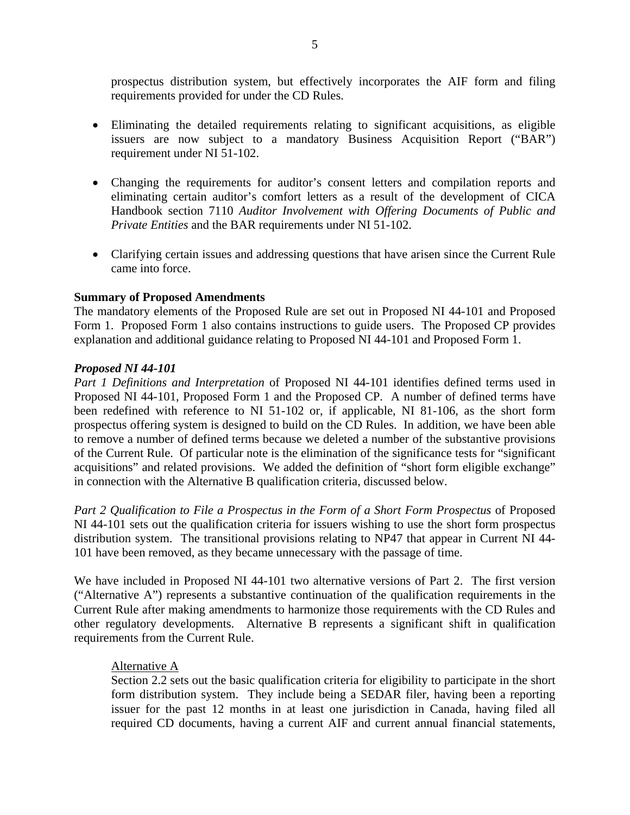prospectus distribution system, but effectively incorporates the AIF form and filing requirements provided for under the CD Rules.

- Eliminating the detailed requirements relating to significant acquisitions, as eligible issuers are now subject to a mandatory Business Acquisition Report ("BAR") requirement under NI 51-102.
- Changing the requirements for auditor's consent letters and compilation reports and eliminating certain auditor's comfort letters as a result of the development of CICA Handbook section 7110 *Auditor Involvement with Offering Documents of Public and Private Entities* and the BAR requirements under NI 51-102.
- Clarifying certain issues and addressing questions that have arisen since the Current Rule came into force.

## **Summary of Proposed Amendments**

The mandatory elements of the Proposed Rule are set out in Proposed NI 44-101 and Proposed Form 1. Proposed Form 1 also contains instructions to guide users. The Proposed CP provides explanation and additional guidance relating to Proposed NI 44-101 and Proposed Form 1.

## *Proposed NI 44-101*

*Part 1 Definitions and Interpretation* of Proposed NI 44-101 identifies defined terms used in Proposed NI 44-101, Proposed Form 1 and the Proposed CP. A number of defined terms have been redefined with reference to NI 51-102 or, if applicable, NI 81-106, as the short form prospectus offering system is designed to build on the CD Rules. In addition, we have been able to remove a number of defined terms because we deleted a number of the substantive provisions of the Current Rule. Of particular note is the elimination of the significance tests for "significant acquisitions" and related provisions. We added the definition of "short form eligible exchange" in connection with the Alternative B qualification criteria, discussed below.

*Part 2 Qualification to File a Prospectus in the Form of a Short Form Prospectus* of Proposed NI 44-101 sets out the qualification criteria for issuers wishing to use the short form prospectus distribution system. The transitional provisions relating to NP47 that appear in Current NI 44- 101 have been removed, as they became unnecessary with the passage of time.

We have included in Proposed NI 44-101 two alternative versions of Part 2. The first version ("Alternative A") represents a substantive continuation of the qualification requirements in the Current Rule after making amendments to harmonize those requirements with the CD Rules and other regulatory developments. Alternative B represents a significant shift in qualification requirements from the Current Rule.

## Alternative A

Section 2.2 sets out the basic qualification criteria for eligibility to participate in the short form distribution system. They include being a SEDAR filer, having been a reporting issuer for the past 12 months in at least one jurisdiction in Canada, having filed all required CD documents, having a current AIF and current annual financial statements,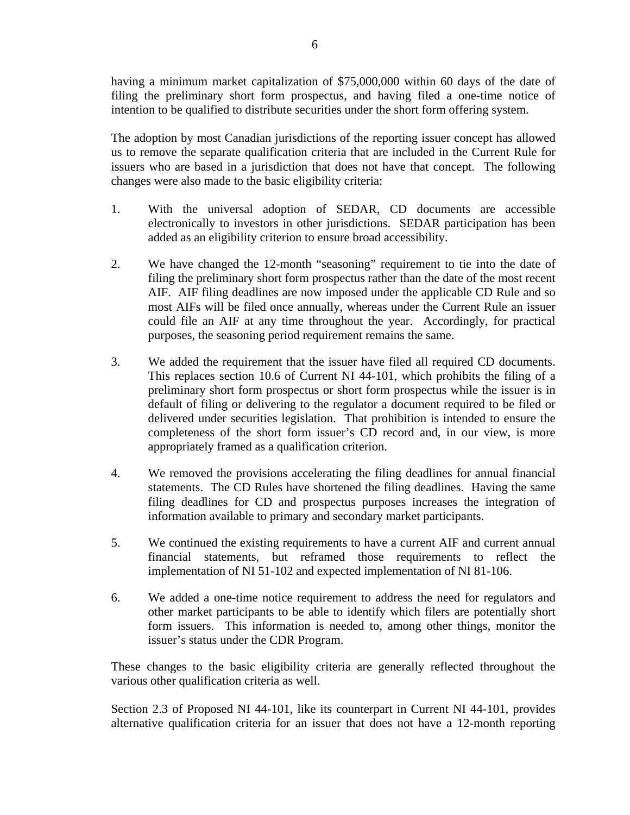having a minimum market capitalization of \$75,000,000 within 60 days of the date of filing the preliminary short form prospectus, and having filed a one-time notice of intention to be qualified to distribute securities under the short form offering system.

The adoption by most Canadian jurisdictions of the reporting issuer concept has allowed us to remove the separate qualification criteria that are included in the Current Rule for issuers who are based in a jurisdiction that does not have that concept. The following changes were also made to the basic eligibility criteria:

- 1. With the universal adoption of SEDAR, CD documents are accessible electronically to investors in other jurisdictions. SEDAR participation has been added as an eligibility criterion to ensure broad accessibility.
- 2. We have changed the 12-month "seasoning" requirement to tie into the date of filing the preliminary short form prospectus rather than the date of the most recent AIF. AIF filing deadlines are now imposed under the applicable CD Rule and so most AIFs will be filed once annually, whereas under the Current Rule an issuer could file an AIF at any time throughout the year. Accordingly, for practical purposes, the seasoning period requirement remains the same.
- 3. We added the requirement that the issuer have filed all required CD documents. This replaces section 10.6 of Current NI 44-101, which prohibits the filing of a preliminary short form prospectus or short form prospectus while the issuer is in default of filing or delivering to the regulator a document required to be filed or delivered under securities legislation. That prohibition is intended to ensure the completeness of the short form issuer's CD record and, in our view, is more appropriately framed as a qualification criterion.
- 4. We removed the provisions accelerating the filing deadlines for annual financial statements. The CD Rules have shortened the filing deadlines. Having the same filing deadlines for CD and prospectus purposes increases the integration of information available to primary and secondary market participants.
- 5. We continued the existing requirements to have a current AIF and current annual financial statements, but reframed those requirements to reflect the implementation of NI 51-102 and expected implementation of NI 81-106.
- 6. We added a one-time notice requirement to address the need for regulators and other market participants to be able to identify which filers are potentially short form issuers. This information is needed to, among other things, monitor the issuer's status under the CDR Program.

These changes to the basic eligibility criteria are generally reflected throughout the various other qualification criteria as well.

Section 2.3 of Proposed NI 44-101, like its counterpart in Current NI 44-101, provides alternative qualification criteria for an issuer that does not have a 12-month reporting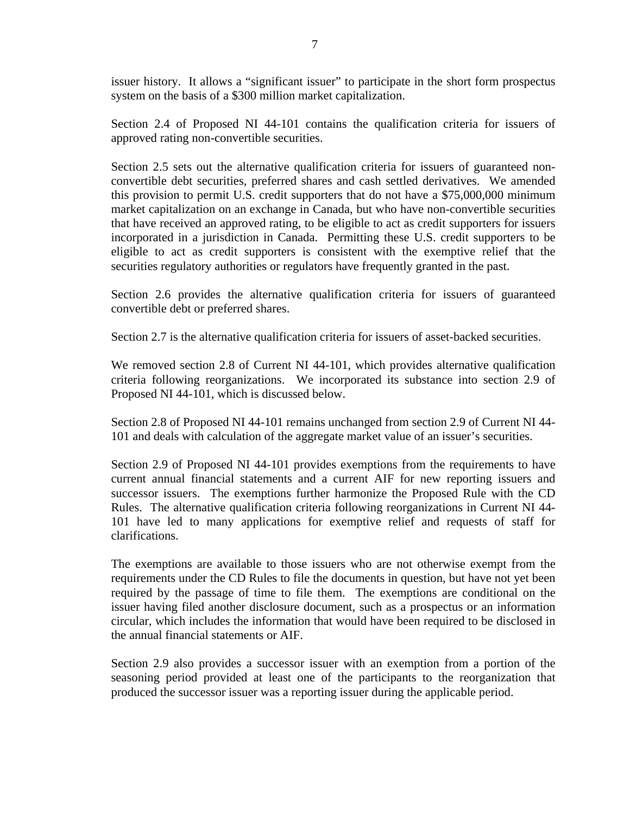issuer history. It allows a "significant issuer" to participate in the short form prospectus system on the basis of a \$300 million market capitalization.

Section 2.4 of Proposed NI 44-101 contains the qualification criteria for issuers of approved rating non-convertible securities.

Section 2.5 sets out the alternative qualification criteria for issuers of guaranteed nonconvertible debt securities, preferred shares and cash settled derivatives. We amended this provision to permit U.S. credit supporters that do not have a \$75,000,000 minimum market capitalization on an exchange in Canada, but who have non-convertible securities that have received an approved rating, to be eligible to act as credit supporters for issuers incorporated in a jurisdiction in Canada. Permitting these U.S. credit supporters to be eligible to act as credit supporters is consistent with the exemptive relief that the securities regulatory authorities or regulators have frequently granted in the past.

Section 2.6 provides the alternative qualification criteria for issuers of guaranteed convertible debt or preferred shares.

Section 2.7 is the alternative qualification criteria for issuers of asset-backed securities.

We removed section 2.8 of Current NI 44-101, which provides alternative qualification criteria following reorganizations. We incorporated its substance into section 2.9 of Proposed NI 44-101, which is discussed below.

Section 2.8 of Proposed NI 44-101 remains unchanged from section 2.9 of Current NI 44- 101 and deals with calculation of the aggregate market value of an issuer's securities.

Section 2.9 of Proposed NI 44-101 provides exemptions from the requirements to have current annual financial statements and a current AIF for new reporting issuers and successor issuers. The exemptions further harmonize the Proposed Rule with the CD Rules. The alternative qualification criteria following reorganizations in Current NI 44- 101 have led to many applications for exemptive relief and requests of staff for clarifications.

The exemptions are available to those issuers who are not otherwise exempt from the requirements under the CD Rules to file the documents in question, but have not yet been required by the passage of time to file them. The exemptions are conditional on the issuer having filed another disclosure document, such as a prospectus or an information circular, which includes the information that would have been required to be disclosed in the annual financial statements or AIF.

Section 2.9 also provides a successor issuer with an exemption from a portion of the seasoning period provided at least one of the participants to the reorganization that produced the successor issuer was a reporting issuer during the applicable period.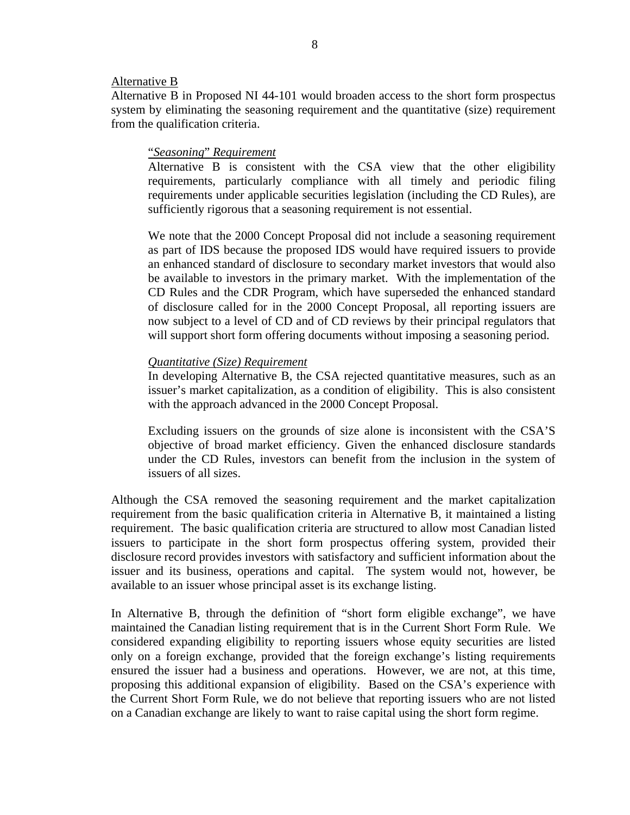#### Alternative B

Alternative B in Proposed NI 44-101 would broaden access to the short form prospectus system by eliminating the seasoning requirement and the quantitative (size) requirement from the qualification criteria.

#### "*Seasoning*" *Requirement*

Alternative B is consistent with the CSA view that the other eligibility requirements, particularly compliance with all timely and periodic filing requirements under applicable securities legislation (including the CD Rules), are sufficiently rigorous that a seasoning requirement is not essential.

We note that the 2000 Concept Proposal did not include a seasoning requirement as part of IDS because the proposed IDS would have required issuers to provide an enhanced standard of disclosure to secondary market investors that would also be available to investors in the primary market. With the implementation of the CD Rules and the CDR Program, which have superseded the enhanced standard of disclosure called for in the 2000 Concept Proposal, all reporting issuers are now subject to a level of CD and of CD reviews by their principal regulators that will support short form offering documents without imposing a seasoning period.

#### *Quantitative (Size) Requirement*

In developing Alternative B, the CSA rejected quantitative measures, such as an issuer's market capitalization, as a condition of eligibility. This is also consistent with the approach advanced in the 2000 Concept Proposal.

Excluding issuers on the grounds of size alone is inconsistent with the CSA'S objective of broad market efficiency. Given the enhanced disclosure standards under the CD Rules, investors can benefit from the inclusion in the system of issuers of all sizes.

Although the CSA removed the seasoning requirement and the market capitalization requirement from the basic qualification criteria in Alternative B, it maintained a listing requirement. The basic qualification criteria are structured to allow most Canadian listed issuers to participate in the short form prospectus offering system, provided their disclosure record provides investors with satisfactory and sufficient information about the issuer and its business, operations and capital. The system would not, however, be available to an issuer whose principal asset is its exchange listing.

In Alternative B, through the definition of "short form eligible exchange", we have maintained the Canadian listing requirement that is in the Current Short Form Rule. We considered expanding eligibility to reporting issuers whose equity securities are listed only on a foreign exchange, provided that the foreign exchange's listing requirements ensured the issuer had a business and operations. However, we are not, at this time, proposing this additional expansion of eligibility. Based on the CSA's experience with the Current Short Form Rule, we do not believe that reporting issuers who are not listed on a Canadian exchange are likely to want to raise capital using the short form regime.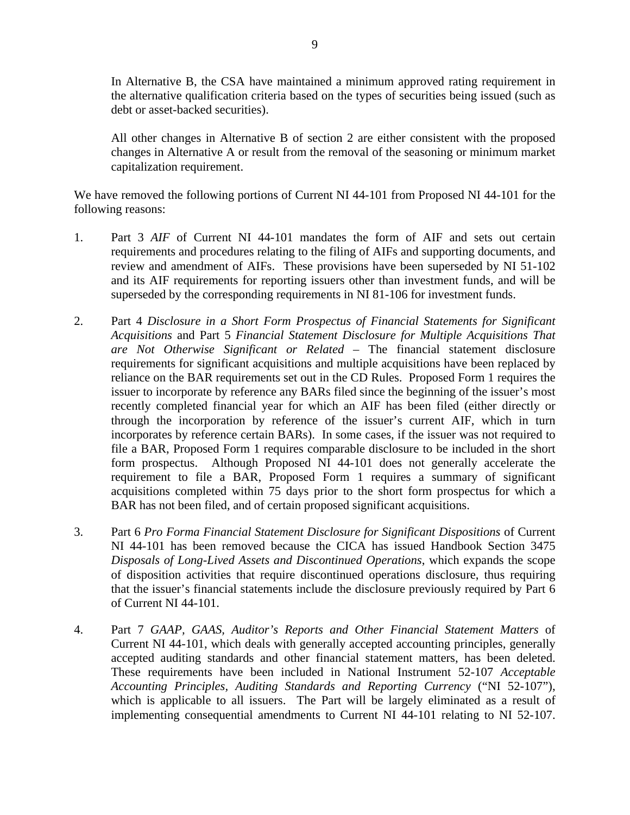In Alternative B, the CSA have maintained a minimum approved rating requirement in the alternative qualification criteria based on the types of securities being issued (such as debt or asset-backed securities).

All other changes in Alternative B of section 2 are either consistent with the proposed changes in Alternative A or result from the removal of the seasoning or minimum market capitalization requirement.

We have removed the following portions of Current NI 44-101 from Proposed NI 44-101 for the following reasons:

- 1. Part 3 *AIF* of Current NI 44-101 mandates the form of AIF and sets out certain requirements and procedures relating to the filing of AIFs and supporting documents, and review and amendment of AIFs. These provisions have been superseded by NI 51-102 and its AIF requirements for reporting issuers other than investment funds, and will be superseded by the corresponding requirements in NI 81-106 for investment funds.
- 2. Part 4 *Disclosure in a Short Form Prospectus of Financial Statements for Significant Acquisitions* and Part 5 *Financial Statement Disclosure for Multiple Acquisitions That are Not Otherwise Significant or Related* – The financial statement disclosure requirements for significant acquisitions and multiple acquisitions have been replaced by reliance on the BAR requirements set out in the CD Rules. Proposed Form 1 requires the issuer to incorporate by reference any BARs filed since the beginning of the issuer's most recently completed financial year for which an AIF has been filed (either directly or through the incorporation by reference of the issuer's current AIF, which in turn incorporates by reference certain BARs). In some cases, if the issuer was not required to file a BAR, Proposed Form 1 requires comparable disclosure to be included in the short form prospectus. Although Proposed NI 44-101 does not generally accelerate the requirement to file a BAR, Proposed Form 1 requires a summary of significant acquisitions completed within 75 days prior to the short form prospectus for which a BAR has not been filed, and of certain proposed significant acquisitions.
- 3. Part 6 *Pro Forma Financial Statement Disclosure for Significant Dispositions* of Current NI 44-101 has been removed because the CICA has issued Handbook Section 3475 *Disposals of Long-Lived Assets and Discontinued Operations*, which expands the scope of disposition activities that require discontinued operations disclosure, thus requiring that the issuer's financial statements include the disclosure previously required by Part 6 of Current NI 44-101.
- 4. Part 7 *GAAP, GAAS, Auditor's Reports and Other Financial Statement Matters* of Current NI 44-101, which deals with generally accepted accounting principles, generally accepted auditing standards and other financial statement matters, has been deleted. These requirements have been included in National Instrument 52-107 *Acceptable Accounting Principles, Auditing Standards and Reporting Currency* ("NI 52-107"), which is applicable to all issuers. The Part will be largely eliminated as a result of implementing consequential amendments to Current NI 44-101 relating to NI 52-107.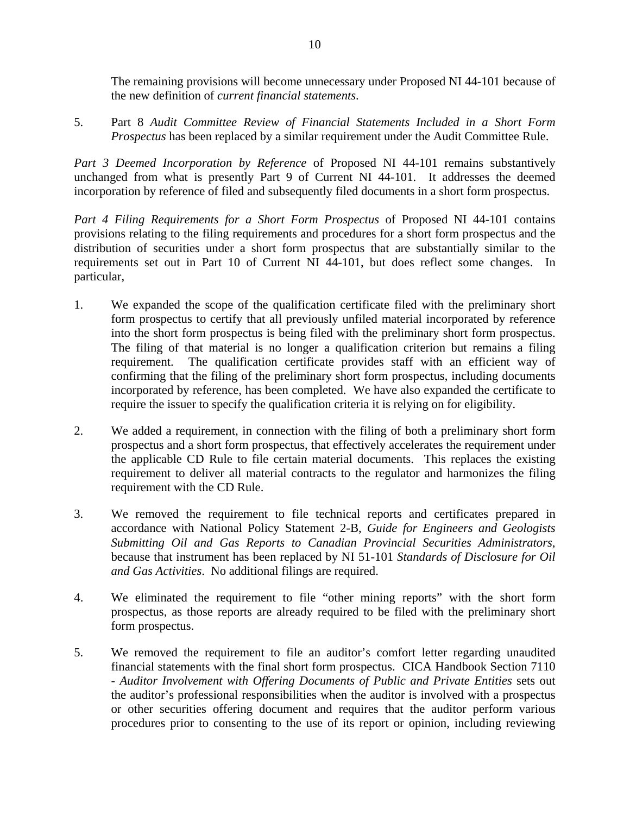The remaining provisions will become unnecessary under Proposed NI 44-101 because of the new definition of *current financial statements*.

5. Part 8 *Audit Committee Review of Financial Statements Included in a Short Form Prospectus* has been replaced by a similar requirement under the Audit Committee Rule.

*Part 3 Deemed Incorporation by Reference* of Proposed NI 44-101 remains substantively unchanged from what is presently Part 9 of Current NI 44-101. It addresses the deemed incorporation by reference of filed and subsequently filed documents in a short form prospectus.

*Part 4 Filing Requirements for a Short Form Prospectus* of Proposed NI 44-101 contains provisions relating to the filing requirements and procedures for a short form prospectus and the distribution of securities under a short form prospectus that are substantially similar to the requirements set out in Part 10 of Current NI 44-101, but does reflect some changes. In particular,

- 1. We expanded the scope of the qualification certificate filed with the preliminary short form prospectus to certify that all previously unfiled material incorporated by reference into the short form prospectus is being filed with the preliminary short form prospectus. The filing of that material is no longer a qualification criterion but remains a filing requirement. The qualification certificate provides staff with an efficient way of confirming that the filing of the preliminary short form prospectus, including documents incorporated by reference, has been completed. We have also expanded the certificate to require the issuer to specify the qualification criteria it is relying on for eligibility.
- 2. We added a requirement, in connection with the filing of both a preliminary short form prospectus and a short form prospectus, that effectively accelerates the requirement under the applicable CD Rule to file certain material documents. This replaces the existing requirement to deliver all material contracts to the regulator and harmonizes the filing requirement with the CD Rule.
- 3. We removed the requirement to file technical reports and certificates prepared in accordance with National Policy Statement 2-B, *Guide for Engineers and Geologists Submitting Oil and Gas Reports to Canadian Provincial Securities Administrators*, because that instrument has been replaced by NI 51-101 *Standards of Disclosure for Oil and Gas Activities*. No additional filings are required.
- 4. We eliminated the requirement to file "other mining reports" with the short form prospectus, as those reports are already required to be filed with the preliminary short form prospectus.
- 5. We removed the requirement to file an auditor's comfort letter regarding unaudited financial statements with the final short form prospectus. CICA Handbook Section 7110 - *Auditor Involvement with Offering Documents of Public and Private Entities* sets out the auditor's professional responsibilities when the auditor is involved with a prospectus or other securities offering document and requires that the auditor perform various procedures prior to consenting to the use of its report or opinion, including reviewing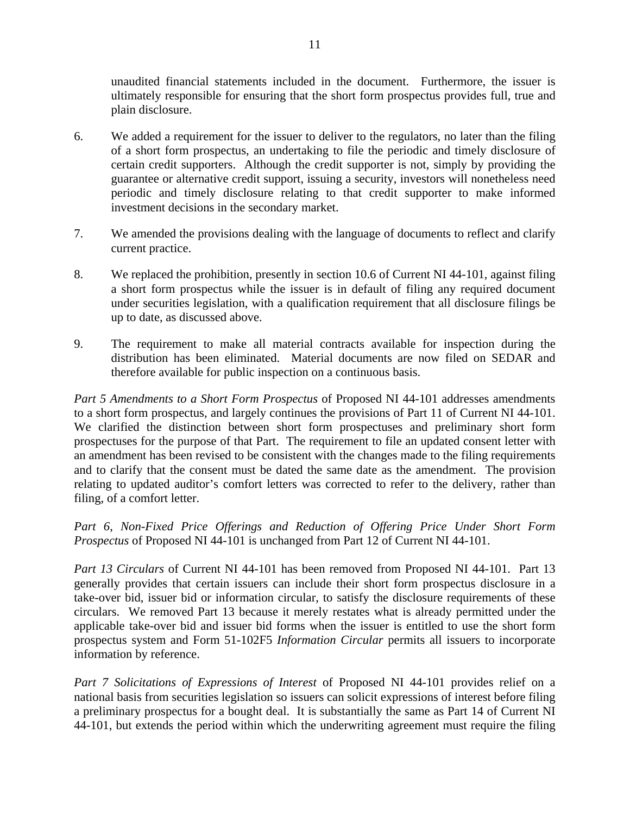unaudited financial statements included in the document. Furthermore, the issuer is ultimately responsible for ensuring that the short form prospectus provides full, true and plain disclosure.

- 6. We added a requirement for the issuer to deliver to the regulators, no later than the filing of a short form prospectus, an undertaking to file the periodic and timely disclosure of certain credit supporters. Although the credit supporter is not, simply by providing the guarantee or alternative credit support, issuing a security, investors will nonetheless need periodic and timely disclosure relating to that credit supporter to make informed investment decisions in the secondary market.
- 7. We amended the provisions dealing with the language of documents to reflect and clarify current practice.
- 8. We replaced the prohibition, presently in section 10.6 of Current NI 44-101, against filing a short form prospectus while the issuer is in default of filing any required document under securities legislation, with a qualification requirement that all disclosure filings be up to date, as discussed above.
- 9. The requirement to make all material contracts available for inspection during the distribution has been eliminated. Material documents are now filed on SEDAR and therefore available for public inspection on a continuous basis.

*Part 5 Amendments to a Short Form Prospectus* of Proposed NI 44-101 addresses amendments to a short form prospectus, and largely continues the provisions of Part 11 of Current NI 44-101. We clarified the distinction between short form prospectuses and preliminary short form prospectuses for the purpose of that Part. The requirement to file an updated consent letter with an amendment has been revised to be consistent with the changes made to the filing requirements and to clarify that the consent must be dated the same date as the amendment. The provision relating to updated auditor's comfort letters was corrected to refer to the delivery, rather than filing, of a comfort letter.

*Part 6*, *Non-Fixed Price Offerings and Reduction of Offering Price Under Short Form Prospectus* of Proposed NI 44-101 is unchanged from Part 12 of Current NI 44-101.

*Part 13 Circulars* of Current NI 44-101 has been removed from Proposed NI 44-101. Part 13 generally provides that certain issuers can include their short form prospectus disclosure in a take-over bid, issuer bid or information circular, to satisfy the disclosure requirements of these circulars. We removed Part 13 because it merely restates what is already permitted under the applicable take-over bid and issuer bid forms when the issuer is entitled to use the short form prospectus system and Form 51-102F5 *Information Circular* permits all issuers to incorporate information by reference.

*Part 7 Solicitations of Expressions of Interest* of Proposed NI 44-101 provides relief on a national basis from securities legislation so issuers can solicit expressions of interest before filing a preliminary prospectus for a bought deal. It is substantially the same as Part 14 of Current NI 44-101, but extends the period within which the underwriting agreement must require the filing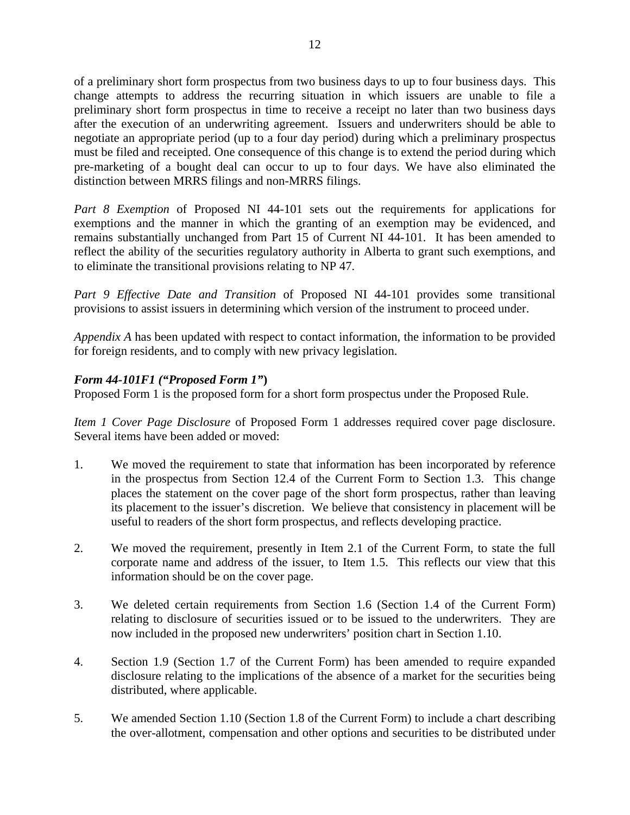of a preliminary short form prospectus from two business days to up to four business days. This change attempts to address the recurring situation in which issuers are unable to file a preliminary short form prospectus in time to receive a receipt no later than two business days after the execution of an underwriting agreement. Issuers and underwriters should be able to negotiate an appropriate period (up to a four day period) during which a preliminary prospectus must be filed and receipted. One consequence of this change is to extend the period during which pre-marketing of a bought deal can occur to up to four days. We have also eliminated the distinction between MRRS filings and non-MRRS filings.

*Part 8 Exemption* of Proposed NI 44-101 sets out the requirements for applications for exemptions and the manner in which the granting of an exemption may be evidenced, and remains substantially unchanged from Part 15 of Current NI 44-101. It has been amended to reflect the ability of the securities regulatory authority in Alberta to grant such exemptions, and to eliminate the transitional provisions relating to NP 47.

*Part 9 Effective Date and Transition* of Proposed NI 44-101 provides some transitional provisions to assist issuers in determining which version of the instrument to proceed under.

*Appendix A* has been updated with respect to contact information, the information to be provided for foreign residents, and to comply with new privacy legislation.

# *Form 44-101F1 ("Proposed Form 1"***)**

Proposed Form 1 is the proposed form for a short form prospectus under the Proposed Rule.

*Item 1 Cover Page Disclosure* of Proposed Form 1 addresses required cover page disclosure. Several items have been added or moved:

- 1. We moved the requirement to state that information has been incorporated by reference in the prospectus from Section 12.4 of the Current Form to Section 1.3. This change places the statement on the cover page of the short form prospectus, rather than leaving its placement to the issuer's discretion. We believe that consistency in placement will be useful to readers of the short form prospectus, and reflects developing practice.
- 2. We moved the requirement, presently in Item 2.1 of the Current Form, to state the full corporate name and address of the issuer, to Item 1.5. This reflects our view that this information should be on the cover page.
- 3. We deleted certain requirements from Section 1.6 (Section 1.4 of the Current Form) relating to disclosure of securities issued or to be issued to the underwriters. They are now included in the proposed new underwriters' position chart in Section 1.10.
- 4. Section 1.9 (Section 1.7 of the Current Form) has been amended to require expanded disclosure relating to the implications of the absence of a market for the securities being distributed, where applicable.
- 5. We amended Section 1.10 (Section 1.8 of the Current Form) to include a chart describing the over-allotment, compensation and other options and securities to be distributed under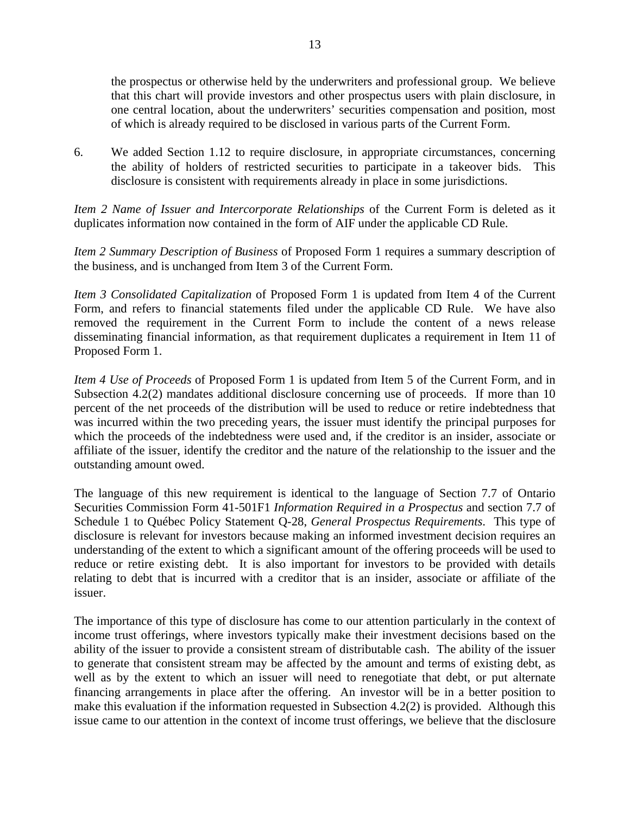the prospectus or otherwise held by the underwriters and professional group. We believe that this chart will provide investors and other prospectus users with plain disclosure, in one central location, about the underwriters' securities compensation and position, most of which is already required to be disclosed in various parts of the Current Form.

6. We added Section 1.12 to require disclosure, in appropriate circumstances, concerning the ability of holders of restricted securities to participate in a takeover bids. This disclosure is consistent with requirements already in place in some jurisdictions.

*Item 2 Name of Issuer and Intercorporate Relationships* of the Current Form is deleted as it duplicates information now contained in the form of AIF under the applicable CD Rule.

*Item 2 Summary Description of Business* of Proposed Form 1 requires a summary description of the business, and is unchanged from Item 3 of the Current Form.

*Item 3 Consolidated Capitalization* of Proposed Form 1 is updated from Item 4 of the Current Form, and refers to financial statements filed under the applicable CD Rule. We have also removed the requirement in the Current Form to include the content of a news release disseminating financial information, as that requirement duplicates a requirement in Item 11 of Proposed Form 1.

*Item 4 Use of Proceeds* of Proposed Form 1 is updated from Item 5 of the Current Form, and in Subsection 4.2(2) mandates additional disclosure concerning use of proceeds. If more than 10 percent of the net proceeds of the distribution will be used to reduce or retire indebtedness that was incurred within the two preceding years, the issuer must identify the principal purposes for which the proceeds of the indebtedness were used and, if the creditor is an insider, associate or affiliate of the issuer, identify the creditor and the nature of the relationship to the issuer and the outstanding amount owed.

The language of this new requirement is identical to the language of Section 7.7 of Ontario Securities Commission Form 41-501F1 *Information Required in a Prospectus* and section 7.7 of Schedule 1 to Québec Policy Statement Q-28, *General Prospectus Requirements*. This type of disclosure is relevant for investors because making an informed investment decision requires an understanding of the extent to which a significant amount of the offering proceeds will be used to reduce or retire existing debt. It is also important for investors to be provided with details relating to debt that is incurred with a creditor that is an insider, associate or affiliate of the issuer.

The importance of this type of disclosure has come to our attention particularly in the context of income trust offerings, where investors typically make their investment decisions based on the ability of the issuer to provide a consistent stream of distributable cash. The ability of the issuer to generate that consistent stream may be affected by the amount and terms of existing debt, as well as by the extent to which an issuer will need to renegotiate that debt, or put alternate financing arrangements in place after the offering. An investor will be in a better position to make this evaluation if the information requested in Subsection 4.2(2) is provided. Although this issue came to our attention in the context of income trust offerings, we believe that the disclosure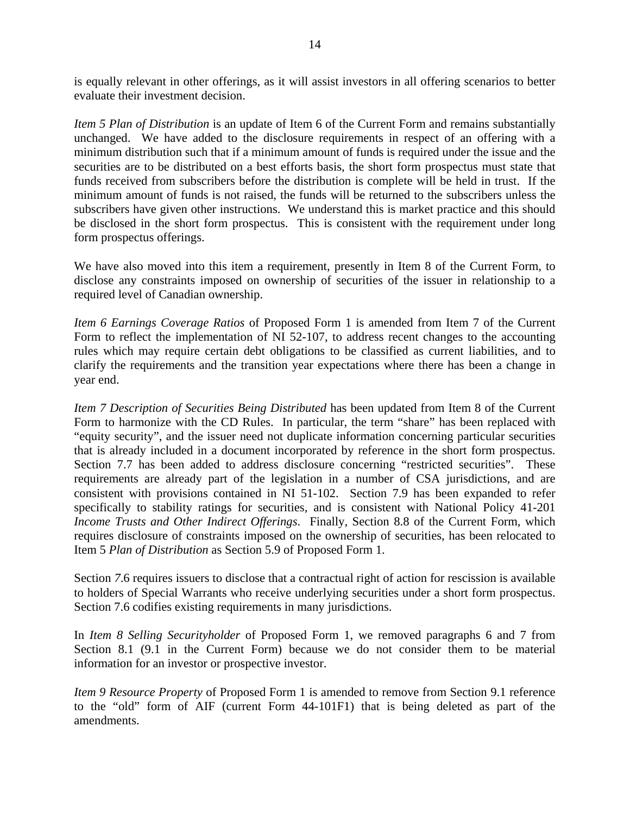is equally relevant in other offerings, as it will assist investors in all offering scenarios to better evaluate their investment decision.

*Item 5 Plan of Distribution* is an update of Item 6 of the Current Form and remains substantially unchanged. We have added to the disclosure requirements in respect of an offering with a minimum distribution such that if a minimum amount of funds is required under the issue and the securities are to be distributed on a best efforts basis, the short form prospectus must state that funds received from subscribers before the distribution is complete will be held in trust. If the minimum amount of funds is not raised, the funds will be returned to the subscribers unless the subscribers have given other instructions. We understand this is market practice and this should be disclosed in the short form prospectus. This is consistent with the requirement under long form prospectus offerings.

We have also moved into this item a requirement, presently in Item 8 of the Current Form, to disclose any constraints imposed on ownership of securities of the issuer in relationship to a required level of Canadian ownership.

*Item 6 Earnings Coverage Ratios* of Proposed Form 1 is amended from Item 7 of the Current Form to reflect the implementation of NI 52-107, to address recent changes to the accounting rules which may require certain debt obligations to be classified as current liabilities, and to clarify the requirements and the transition year expectations where there has been a change in year end.

*Item 7 Description of Securities Being Distributed* has been updated from Item 8 of the Current Form to harmonize with the CD Rules. In particular, the term "share" has been replaced with "equity security", and the issuer need not duplicate information concerning particular securities that is already included in a document incorporated by reference in the short form prospectus. Section 7.7 has been added to address disclosure concerning "restricted securities". These requirements are already part of the legislation in a number of CSA jurisdictions, and are consistent with provisions contained in NI 51-102. Section 7.9 has been expanded to refer specifically to stability ratings for securities, and is consistent with National Policy 41-201 *Income Trusts and Other Indirect Offerings*. Finally, Section 8.8 of the Current Form, which requires disclosure of constraints imposed on the ownership of securities, has been relocated to Item 5 *Plan of Distribution* as Section 5.9 of Proposed Form 1.

Section *7*.6 requires issuers to disclose that a contractual right of action for rescission is available to holders of Special Warrants who receive underlying securities under a short form prospectus. Section 7.6 codifies existing requirements in many jurisdictions.

In *Item 8 Selling Securityholder* of Proposed Form 1, we removed paragraphs 6 and 7 from Section 8.1 (9.1 in the Current Form) because we do not consider them to be material information for an investor or prospective investor.

*Item 9 Resource Property* of Proposed Form 1 is amended to remove from Section 9.1 reference to the "old" form of AIF (current Form 44-101F1) that is being deleted as part of the amendments.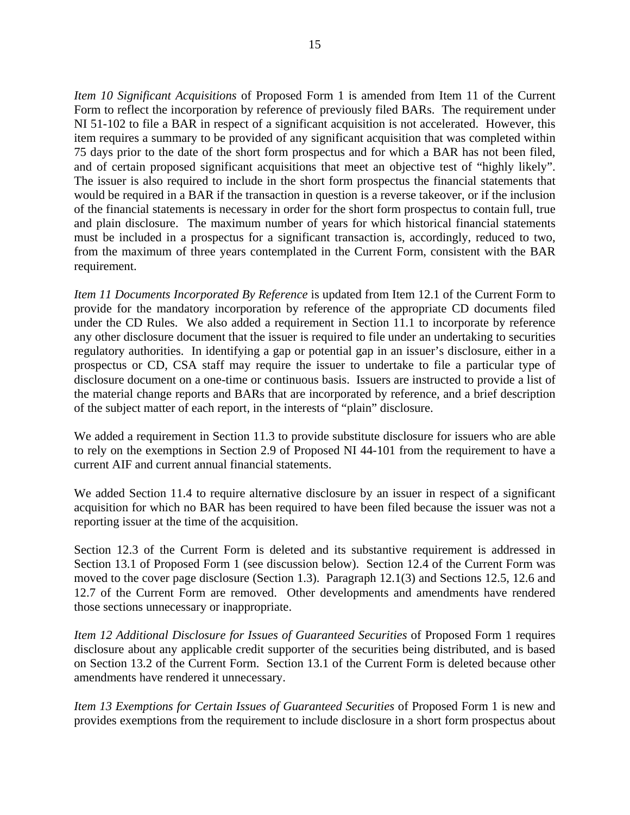*Item 10 Significant Acquisitions* of Proposed Form 1 is amended from Item 11 of the Current Form to reflect the incorporation by reference of previously filed BARs. The requirement under NI 51-102 to file a BAR in respect of a significant acquisition is not accelerated. However, this item requires a summary to be provided of any significant acquisition that was completed within 75 days prior to the date of the short form prospectus and for which a BAR has not been filed, and of certain proposed significant acquisitions that meet an objective test of "highly likely". The issuer is also required to include in the short form prospectus the financial statements that would be required in a BAR if the transaction in question is a reverse takeover, or if the inclusion of the financial statements is necessary in order for the short form prospectus to contain full, true and plain disclosure. The maximum number of years for which historical financial statements must be included in a prospectus for a significant transaction is, accordingly, reduced to two, from the maximum of three years contemplated in the Current Form, consistent with the BAR requirement.

*Item 11 Documents Incorporated By Reference* is updated from Item 12.1 of the Current Form to provide for the mandatory incorporation by reference of the appropriate CD documents filed under the CD Rules. We also added a requirement in Section 11.1 to incorporate by reference any other disclosure document that the issuer is required to file under an undertaking to securities regulatory authorities. In identifying a gap or potential gap in an issuer's disclosure, either in a prospectus or CD, CSA staff may require the issuer to undertake to file a particular type of disclosure document on a one-time or continuous basis. Issuers are instructed to provide a list of the material change reports and BARs that are incorporated by reference, and a brief description of the subject matter of each report, in the interests of "plain" disclosure.

We added a requirement in Section 11.3 to provide substitute disclosure for issuers who are able to rely on the exemptions in Section 2.9 of Proposed NI 44-101 from the requirement to have a current AIF and current annual financial statements.

We added Section 11.4 to require alternative disclosure by an issuer in respect of a significant acquisition for which no BAR has been required to have been filed because the issuer was not a reporting issuer at the time of the acquisition.

Section 12.3 of the Current Form is deleted and its substantive requirement is addressed in Section 13.1 of Proposed Form 1 (see discussion below). Section 12.4 of the Current Form was moved to the cover page disclosure (Section 1.3). Paragraph 12.1(3) and Sections 12.5, 12.6 and 12.7 of the Current Form are removed. Other developments and amendments have rendered those sections unnecessary or inappropriate.

*Item 12 Additional Disclosure for Issues of Guaranteed Securities* of Proposed Form 1 requires disclosure about any applicable credit supporter of the securities being distributed, and is based on Section 13.2 of the Current Form. Section 13.1 of the Current Form is deleted because other amendments have rendered it unnecessary.

*Item 13 Exemptions for Certain Issues of Guaranteed Securities of Proposed Form 1 is new and* provides exemptions from the requirement to include disclosure in a short form prospectus about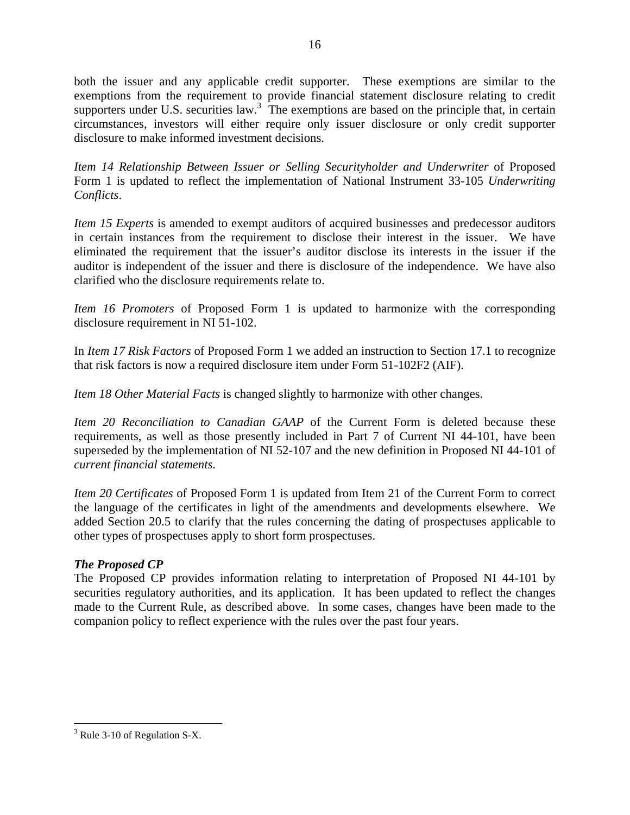both the issuer and any applicable credit supporter. These exemptions are similar to the exemptions from the requirement to provide financial statement disclosure relating to credit supporters under U.S. securities law.<sup>3</sup> The exemptions are based on the principle that, in certain circumstances, investors will either require only issuer disclosure or only credit supporter disclosure to make informed investment decisions.

*Item 14 Relationship Between Issuer or Selling Securityholder and Underwriter* of Proposed Form 1 is updated to reflect the implementation of National Instrument 33-105 *Underwriting Conflicts*.

*Item 15 Experts* is amended to exempt auditors of acquired businesses and predecessor auditors in certain instances from the requirement to disclose their interest in the issuer. We have eliminated the requirement that the issuer's auditor disclose its interests in the issuer if the auditor is independent of the issuer and there is disclosure of the independence. We have also clarified who the disclosure requirements relate to.

*Item 16 Promoters* of Proposed Form 1 is updated to harmonize with the corresponding disclosure requirement in NI 51-102.

In *Item 17 Risk Factors* of Proposed Form 1 we added an instruction to Section 17.1 to recognize that risk factors is now a required disclosure item under Form 51-102F2 (AIF).

*Item 18 Other Material Facts* is changed slightly to harmonize with other changes.

*Item 20 Reconciliation to Canadian GAAP* of the Current Form is deleted because these requirements, as well as those presently included in Part 7 of Current NI 44-101, have been superseded by the implementation of NI 52-107 and the new definition in Proposed NI 44-101 of *current financial statements*.

*Item 20 Certificates* of Proposed Form 1 is updated from Item 21 of the Current Form to correct the language of the certificates in light of the amendments and developments elsewhere. We added Section 20.5 to clarify that the rules concerning the dating of prospectuses applicable to other types of prospectuses apply to short form prospectuses.

# *The Proposed CP*

The Proposed CP provides information relating to interpretation of Proposed NI 44-101 by securities regulatory authorities, and its application. It has been updated to reflect the changes made to the Current Rule, as described above. In some cases, changes have been made to the companion policy to reflect experience with the rules over the past four years.

<span id="page-15-0"></span><sup>&</sup>lt;u>.</u>  $3$  Rule 3-10 of Regulation S-X.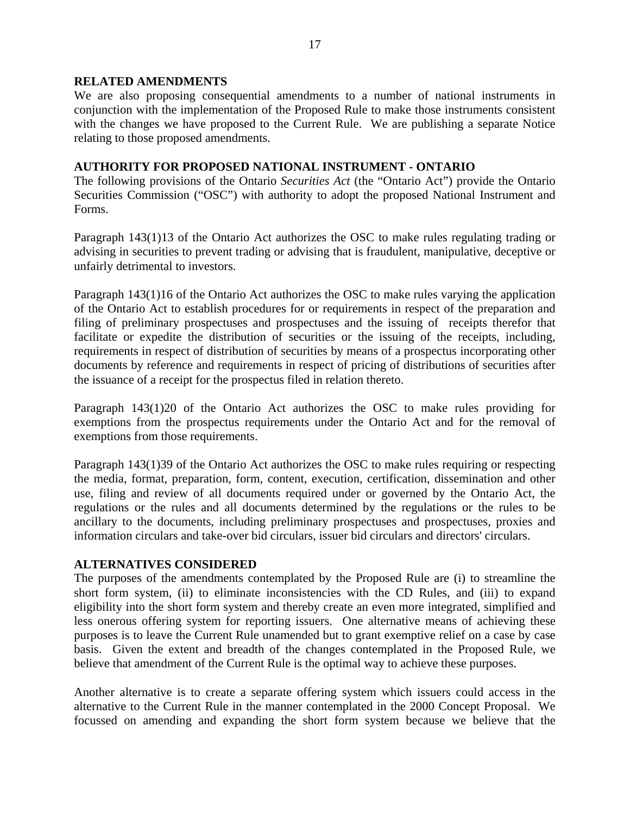### **RELATED AMENDMENTS**

We are also proposing consequential amendments to a number of national instruments in conjunction with the implementation of the Proposed Rule to make those instruments consistent with the changes we have proposed to the Current Rule. We are publishing a separate Notice relating to those proposed amendments.

## **AUTHORITY FOR PROPOSED NATIONAL INSTRUMENT - ONTARIO**

The following provisions of the Ontario *Securities Act* (the "Ontario Act") provide the Ontario Securities Commission ("OSC") with authority to adopt the proposed National Instrument and Forms.

Paragraph 143(1)13 of the Ontario Act authorizes the OSC to make rules regulating trading or advising in securities to prevent trading or advising that is fraudulent, manipulative, deceptive or unfairly detrimental to investors.

Paragraph 143(1)16 of the Ontario Act authorizes the OSC to make rules varying the application of the Ontario Act to establish procedures for or requirements in respect of the preparation and filing of preliminary prospectuses and prospectuses and the issuing of receipts therefor that facilitate or expedite the distribution of securities or the issuing of the receipts, including, requirements in respect of distribution of securities by means of a prospectus incorporating other documents by reference and requirements in respect of pricing of distributions of securities after the issuance of a receipt for the prospectus filed in relation thereto.

Paragraph 143(1)20 of the Ontario Act authorizes the OSC to make rules providing for exemptions from the prospectus requirements under the Ontario Act and for the removal of exemptions from those requirements.

Paragraph 143(1)39 of the Ontario Act authorizes the OSC to make rules requiring or respecting the media, format, preparation, form, content, execution, certification, dissemination and other use, filing and review of all documents required under or governed by the Ontario Act, the regulations or the rules and all documents determined by the regulations or the rules to be ancillary to the documents, including preliminary prospectuses and prospectuses, proxies and information circulars and take-over bid circulars, issuer bid circulars and directors' circulars.

#### **ALTERNATIVES CONSIDERED**

The purposes of the amendments contemplated by the Proposed Rule are (i) to streamline the short form system, (ii) to eliminate inconsistencies with the CD Rules, and (iii) to expand eligibility into the short form system and thereby create an even more integrated, simplified and less onerous offering system for reporting issuers. One alternative means of achieving these purposes is to leave the Current Rule unamended but to grant exemptive relief on a case by case basis. Given the extent and breadth of the changes contemplated in the Proposed Rule, we believe that amendment of the Current Rule is the optimal way to achieve these purposes.

Another alternative is to create a separate offering system which issuers could access in the alternative to the Current Rule in the manner contemplated in the 2000 Concept Proposal. We focussed on amending and expanding the short form system because we believe that the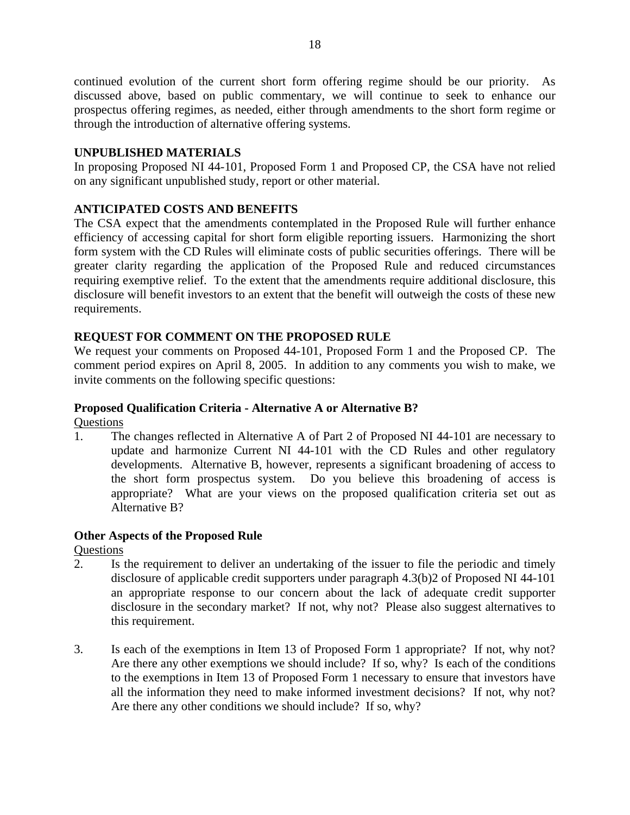continued evolution of the current short form offering regime should be our priority. As discussed above, based on public commentary, we will continue to seek to enhance our prospectus offering regimes, as needed, either through amendments to the short form regime or through the introduction of alternative offering systems.

# **UNPUBLISHED MATERIALS**

In proposing Proposed NI 44-101, Proposed Form 1 and Proposed CP, the CSA have not relied on any significant unpublished study, report or other material.

# **ANTICIPATED COSTS AND BENEFITS**

The CSA expect that the amendments contemplated in the Proposed Rule will further enhance efficiency of accessing capital for short form eligible reporting issuers. Harmonizing the short form system with the CD Rules will eliminate costs of public securities offerings. There will be greater clarity regarding the application of the Proposed Rule and reduced circumstances requiring exemptive relief. To the extent that the amendments require additional disclosure, this disclosure will benefit investors to an extent that the benefit will outweigh the costs of these new requirements.

## **REQUEST FOR COMMENT ON THE PROPOSED RULE**

We request your comments on Proposed 44-101, Proposed Form 1 and the Proposed CP. The comment period expires on April 8, 2005. In addition to any comments you wish to make, we invite comments on the following specific questions:

## **Proposed Qualification Criteria - Alternative A or Alternative B?**

**Questions** 

1. The changes reflected in Alternative A of Part 2 of Proposed NI 44-101 are necessary to update and harmonize Current NI 44-101 with the CD Rules and other regulatory developments. Alternative B, however, represents a significant broadening of access to the short form prospectus system. Do you believe this broadening of access is appropriate? What are your views on the proposed qualification criteria set out as Alternative B?

## **Other Aspects of the Proposed Rule**

**Ouestions** 

- 2. Is the requirement to deliver an undertaking of the issuer to file the periodic and timely disclosure of applicable credit supporters under paragraph 4.3(b)2 of Proposed NI 44-101 an appropriate response to our concern about the lack of adequate credit supporter disclosure in the secondary market? If not, why not? Please also suggest alternatives to this requirement.
- 3. Is each of the exemptions in Item 13 of Proposed Form 1 appropriate? If not, why not? Are there any other exemptions we should include? If so, why? Is each of the conditions to the exemptions in Item 13 of Proposed Form 1 necessary to ensure that investors have all the information they need to make informed investment decisions? If not, why not? Are there any other conditions we should include? If so, why?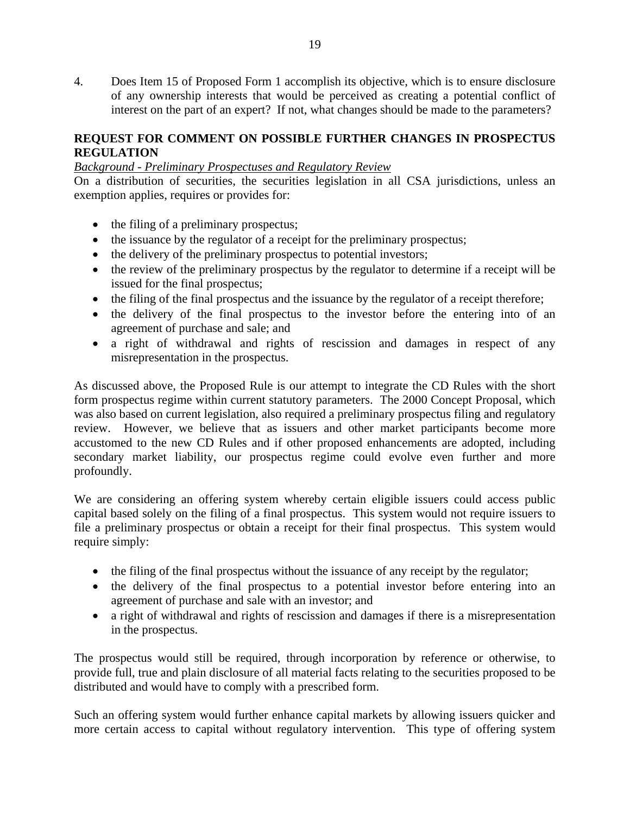4. Does Item 15 of Proposed Form 1 accomplish its objective, which is to ensure disclosure of any ownership interests that would be perceived as creating a potential conflict of interest on the part of an expert? If not, what changes should be made to the parameters?

# **REQUEST FOR COMMENT ON POSSIBLE FURTHER CHANGES IN PROSPECTUS REGULATION**

# *Background - Preliminary Prospectuses and Regulatory Review*

On a distribution of securities, the securities legislation in all CSA jurisdictions, unless an exemption applies, requires or provides for:

- the filing of a preliminary prospectus;
- the issuance by the regulator of a receipt for the preliminary prospectus;
- the delivery of the preliminary prospectus to potential investors;
- the review of the preliminary prospectus by the regulator to determine if a receipt will be issued for the final prospectus;
- the filing of the final prospectus and the issuance by the regulator of a receipt therefore;
- the delivery of the final prospectus to the investor before the entering into of an agreement of purchase and sale; and
- a right of withdrawal and rights of rescission and damages in respect of any misrepresentation in the prospectus.

As discussed above, the Proposed Rule is our attempt to integrate the CD Rules with the short form prospectus regime within current statutory parameters. The 2000 Concept Proposal, which was also based on current legislation, also required a preliminary prospectus filing and regulatory review. However, we believe that as issuers and other market participants become more accustomed to the new CD Rules and if other proposed enhancements are adopted, including secondary market liability, our prospectus regime could evolve even further and more profoundly.

We are considering an offering system whereby certain eligible issuers could access public capital based solely on the filing of a final prospectus. This system would not require issuers to file a preliminary prospectus or obtain a receipt for their final prospectus. This system would require simply:

- the filing of the final prospectus without the issuance of any receipt by the regulator;
- the delivery of the final prospectus to a potential investor before entering into an agreement of purchase and sale with an investor; and
- a right of withdrawal and rights of rescission and damages if there is a misrepresentation in the prospectus.

The prospectus would still be required, through incorporation by reference or otherwise, to provide full, true and plain disclosure of all material facts relating to the securities proposed to be distributed and would have to comply with a prescribed form.

Such an offering system would further enhance capital markets by allowing issuers quicker and more certain access to capital without regulatory intervention. This type of offering system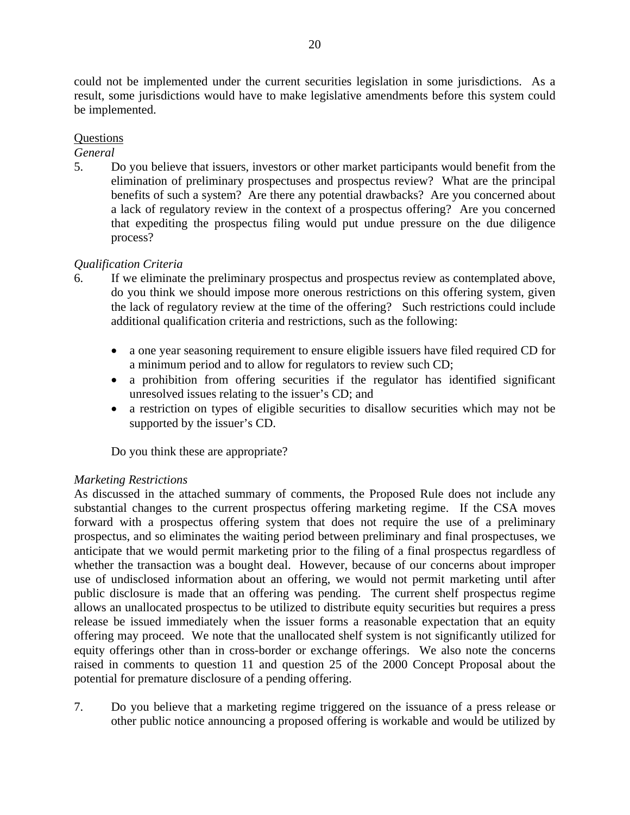could not be implemented under the current securities legislation in some jurisdictions. As a result, some jurisdictions would have to make legislative amendments before this system could be implemented.

## **Ouestions**

*General*

5. Do you believe that issuers, investors or other market participants would benefit from the elimination of preliminary prospectuses and prospectus review? What are the principal benefits of such a system? Are there any potential drawbacks? Are you concerned about a lack of regulatory review in the context of a prospectus offering? Are you concerned that expediting the prospectus filing would put undue pressure on the due diligence process?

# *Qualification Criteria*

- 6. If we eliminate the preliminary prospectus and prospectus review as contemplated above, do you think we should impose more onerous restrictions on this offering system, given the lack of regulatory review at the time of the offering? Such restrictions could include additional qualification criteria and restrictions, such as the following:
	- a one year seasoning requirement to ensure eligible issuers have filed required CD for a minimum period and to allow for regulators to review such CD;
	- a prohibition from offering securities if the regulator has identified significant unresolved issues relating to the issuer's CD; and
	- a restriction on types of eligible securities to disallow securities which may not be supported by the issuer's CD.

Do you think these are appropriate?

## *Marketing Restrictions*

As discussed in the attached summary of comments, the Proposed Rule does not include any substantial changes to the current prospectus offering marketing regime. If the CSA moves forward with a prospectus offering system that does not require the use of a preliminary prospectus, and so eliminates the waiting period between preliminary and final prospectuses, we anticipate that we would permit marketing prior to the filing of a final prospectus regardless of whether the transaction was a bought deal. However, because of our concerns about improper use of undisclosed information about an offering, we would not permit marketing until after public disclosure is made that an offering was pending. The current shelf prospectus regime allows an unallocated prospectus to be utilized to distribute equity securities but requires a press release be issued immediately when the issuer forms a reasonable expectation that an equity offering may proceed. We note that the unallocated shelf system is not significantly utilized for equity offerings other than in cross-border or exchange offerings. We also note the concerns raised in comments to question 11 and question 25 of the 2000 Concept Proposal about the potential for premature disclosure of a pending offering.

7. Do you believe that a marketing regime triggered on the issuance of a press release or other public notice announcing a proposed offering is workable and would be utilized by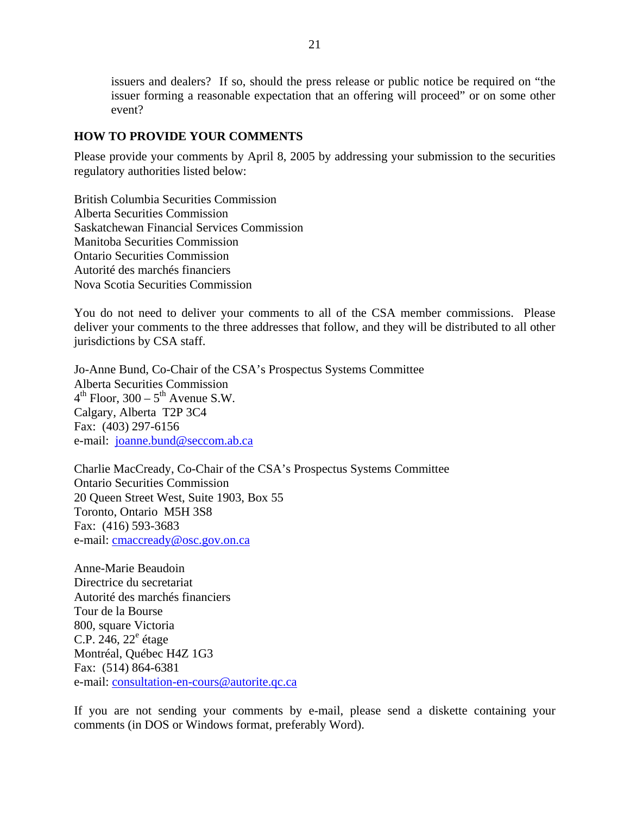issuers and dealers? If so, should the press release or public notice be required on "the issuer forming a reasonable expectation that an offering will proceed" or on some other event?

### **HOW TO PROVIDE YOUR COMMENTS**

Please provide your comments by April 8, 2005 by addressing your submission to the securities regulatory authorities listed below:

British Columbia Securities Commission Alberta Securities Commission Saskatchewan Financial Services Commission Manitoba Securities Commission Ontario Securities Commission Autorité des marchés financiers Nova Scotia Securities Commission

You do not need to deliver your comments to all of the CSA member commissions. Please deliver your comments to the three addresses that follow, and they will be distributed to all other jurisdictions by CSA staff.

Jo-Anne Bund, Co-Chair of the CSA's Prospectus Systems Committee Alberta Securities Commission  $4<sup>th</sup>$  Floor, 300 –  $5<sup>th</sup>$  Avenue S.W. Calgary, Alberta T2P 3C4 Fax: (403) 297-6156 e-mail: [joanne.bund@seccom.ab.ca](mailto:joanne.bund@seccom.ab.ca)

Charlie MacCready, Co-Chair of the CSA's Prospectus Systems Committee Ontario Securities Commission 20 Queen Street West, Suite 1903, Box 55 Toronto, Ontario M5H 3S8 Fax: (416) 593-3683 e-mail: [cmaccready@osc.gov.on.ca](mailto:cmaccready@osc.gov.on.ca) 

Anne-Marie Beaudoin Directrice du secretariat Autorité des marchés financiers Tour de la Bourse 800, square Victoria C.P.  $246, 22^e$  étage Montréal, Québec H4Z 1G3 Fax: (514) 864-6381 e-mail: [consultation-en-cours@autorite.qc.ca](mailto:consultation-en-cours@autorite.qc.ca) 

If you are not sending your comments by e-mail, please send a diskette containing your comments (in DOS or Windows format, preferably Word).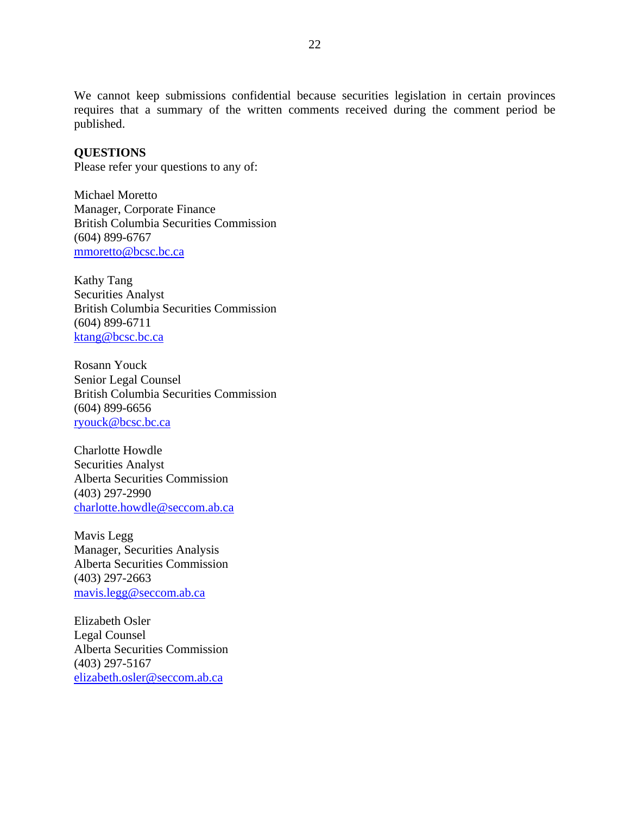We cannot keep submissions confidential because securities legislation in certain provinces requires that a summary of the written comments received during the comment period be published.

## **QUESTIONS**

Please refer your questions to any of:

Michael Moretto Manager, Corporate Finance British Columbia Securities Commission (604) 899-6767 [mmoretto@bcsc.bc.ca](mailto:mmoretto@bcsc.bc.ca)

Kathy Tang Securities Analyst British Columbia Securities Commission (604) 899-6711 [ktang@bcsc.bc.ca](mailto:ktang@bcsc.bc.ca)

Rosann Youck Senior Legal Counsel British Columbia Securities Commission (604) 899-6656 [ryouck@bcsc.bc.ca](mailto:ryouck@bcsc.bc.ca) 

Charlotte Howdle Securities Analyst Alberta Securities Commission (403) 297-2990 [charlotte.howdle@seccom.ab.ca](mailto:charlotte.howdle@seccom.ab.ca)

Mavis Legg Manager, Securities Analysis Alberta Securities Commission (403) 297-2663 [mavis.legg@seccom.ab.ca](mailto:mavis.legg@seccom.ab.ca)

Elizabeth Osler Legal Counsel Alberta Securities Commission (403) 297-5167 [elizabeth.osler@seccom.ab.ca](mailto:elizabeth.osler@seccom.ab.ca)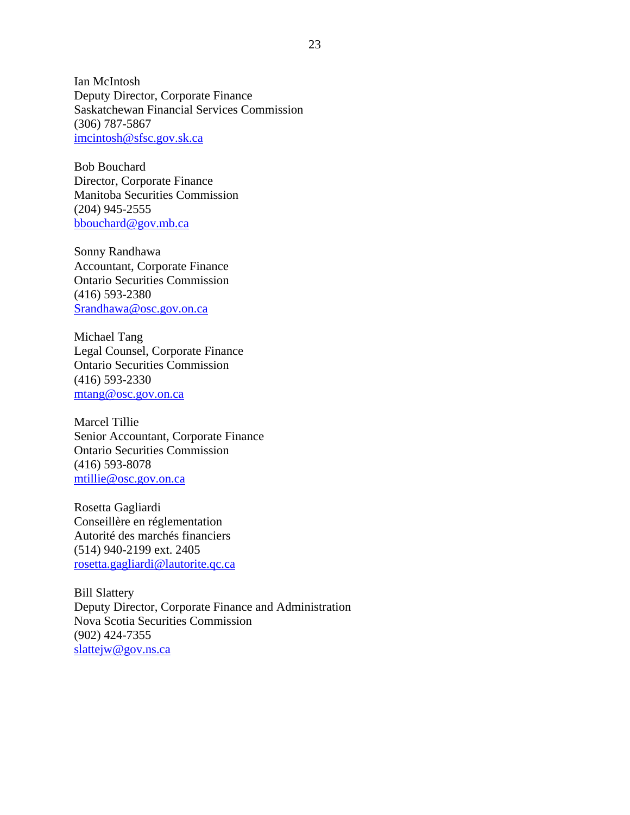Ian McIntosh Deputy Director, Corporate Finance Saskatchewan Financial Services Commission (306) 787-5867 [imcintosh@sfsc.gov.sk.ca](mailto:imcintosh@sfsc.gov.sk.ca)

Bob Bouchard Director, Corporate Finance Manitoba Securities Commission (204) 945-2555 [bbouchard@gov.mb.ca](mailto:bbouchard@gov.mb.ca) 

Sonny Randhawa Accountant, Corporate Finance Ontario Securities Commission (416) 593-2380 [Srandhawa@osc.gov.on.ca](mailto:Srandhawa@osc.gov.on.ca)

Michael Tang Legal Counsel, Corporate Finance Ontario Securities Commission (416) 593-2330 [mtang@osc.gov.on.ca](mailto:mtang@osc.gov.on.ca) 

Marcel Tillie Senior Accountant, Corporate Finance Ontario Securities Commission (416) 593-8078 [mtillie@osc.gov.on.ca](mailto:mtillie@osc.gov.on.ca)

Rosetta Gagliardi Conseillère en réglementation Autorité des marchés financiers (514) 940-2199 ext. 2405 [rosetta.gagliardi@lautorite.qc.ca](mailto:rosetta.gagliardi@lautorite.qc.ca) 

Bill Slattery Deputy Director, Corporate Finance and Administration Nova Scotia Securities Commission (902) 424-7355 slattejw@gov.ns.ca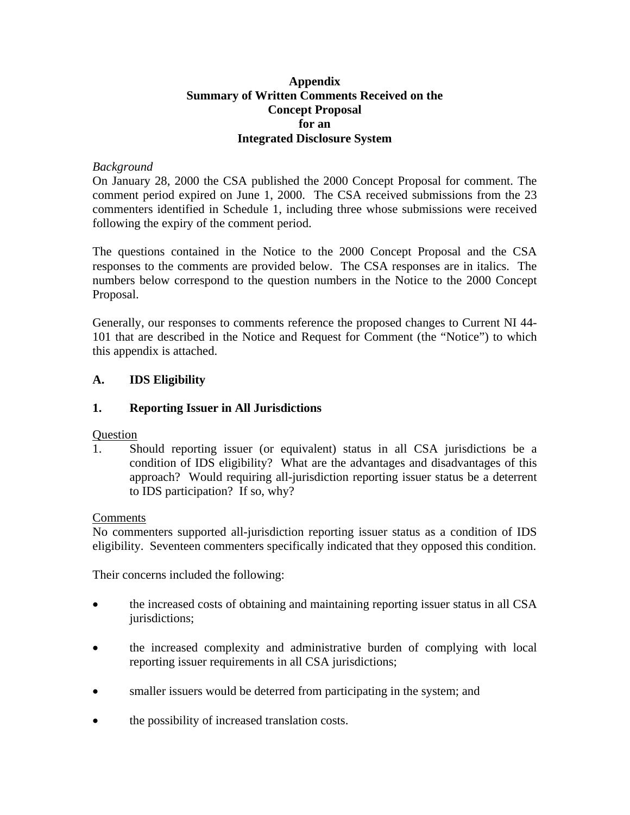## **Appendix Summary of Written Comments Received on the Concept Proposal for an Integrated Disclosure System**

## *Background*

On January 28, 2000 the CSA published the 2000 Concept Proposal for comment. The comment period expired on June 1, 2000. The CSA received submissions from the 23 commenters identified in Schedule 1, including three whose submissions were received following the expiry of the comment period.

The questions contained in the Notice to the 2000 Concept Proposal and the CSA responses to the comments are provided below. The CSA responses are in italics. The numbers below correspond to the question numbers in the Notice to the 2000 Concept Proposal.

Generally, our responses to comments reference the proposed changes to Current NI 44- 101 that are described in the Notice and Request for Comment (the "Notice") to which this appendix is attached.

## **A. IDS Eligibility**

## **1. Reporting Issuer in All Jurisdictions**

## **Question**

1. Should reporting issuer (or equivalent) status in all CSA jurisdictions be a condition of IDS eligibility? What are the advantages and disadvantages of this approach? Would requiring all-jurisdiction reporting issuer status be a deterrent to IDS participation? If so, why?

## Comments

No commenters supported all-jurisdiction reporting issuer status as a condition of IDS eligibility. Seventeen commenters specifically indicated that they opposed this condition.

Their concerns included the following:

- the increased costs of obtaining and maintaining reporting issuer status in all CSA jurisdictions;
- the increased complexity and administrative burden of complying with local reporting issuer requirements in all CSA jurisdictions;
- smaller issuers would be deterred from participating in the system; and
- the possibility of increased translation costs.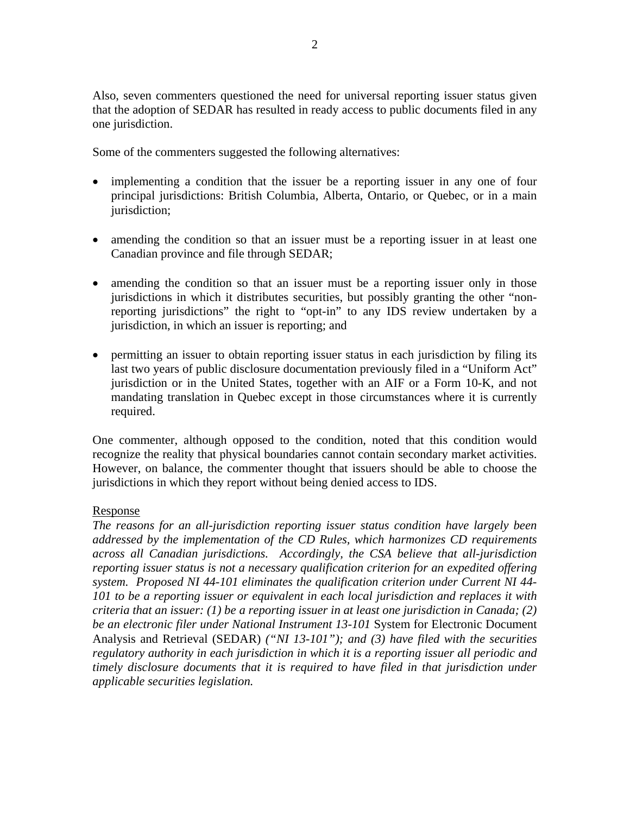Also, seven commenters questioned the need for universal reporting issuer status given that the adoption of SEDAR has resulted in ready access to public documents filed in any one jurisdiction.

Some of the commenters suggested the following alternatives:

- implementing a condition that the issuer be a reporting issuer in any one of four principal jurisdictions: British Columbia, Alberta, Ontario, or Quebec, or in a main jurisdiction;
- amending the condition so that an issuer must be a reporting issuer in at least one Canadian province and file through SEDAR;
- amending the condition so that an issuer must be a reporting issuer only in those jurisdictions in which it distributes securities, but possibly granting the other "nonreporting jurisdictions" the right to "opt-in" to any IDS review undertaken by a jurisdiction, in which an issuer is reporting; and
- permitting an issuer to obtain reporting issuer status in each jurisdiction by filing its last two years of public disclosure documentation previously filed in a "Uniform Act" jurisdiction or in the United States, together with an AIF or a Form 10-K, and not mandating translation in Quebec except in those circumstances where it is currently required.

One commenter, although opposed to the condition, noted that this condition would recognize the reality that physical boundaries cannot contain secondary market activities. However, on balance, the commenter thought that issuers should be able to choose the jurisdictions in which they report without being denied access to IDS.

## Response

*The reasons for an all-jurisdiction reporting issuer status condition have largely been addressed by the implementation of the CD Rules, which harmonizes CD requirements across all Canadian jurisdictions. Accordingly, the CSA believe that all-jurisdiction reporting issuer status is not a necessary qualification criterion for an expedited offering system. Proposed NI 44-101 eliminates the qualification criterion under Current NI 44- 101 to be a reporting issuer or equivalent in each local jurisdiction and replaces it with criteria that an issuer: (1) be a reporting issuer in at least one jurisdiction in Canada; (2) be an electronic filer under National Instrument 13-101* System for Electronic Document Analysis and Retrieval (SEDAR) *("NI 13-101"); and (3) have filed with the securities regulatory authority in each jurisdiction in which it is a reporting issuer all periodic and timely disclosure documents that it is required to have filed in that jurisdiction under applicable securities legislation.*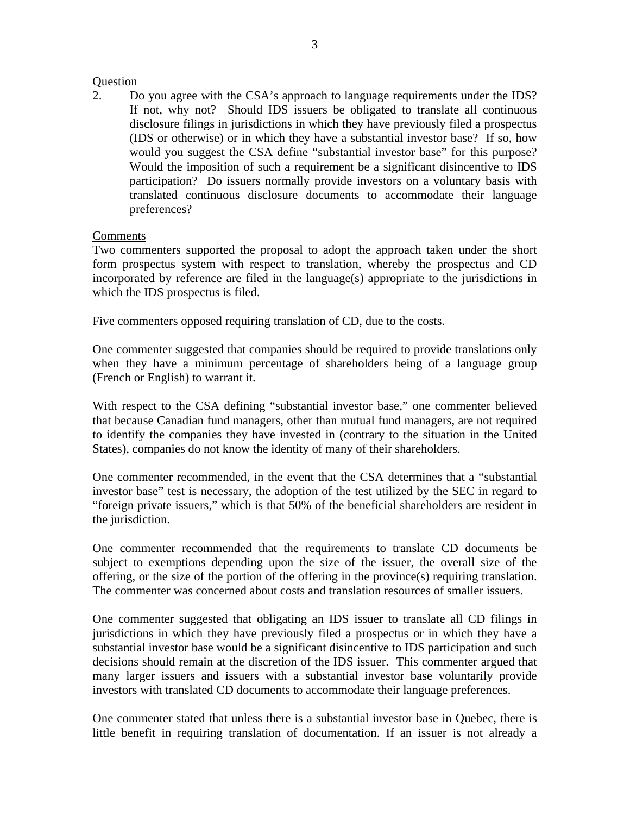### Question

2. Do you agree with the CSA's approach to language requirements under the IDS? If not, why not? Should IDS issuers be obligated to translate all continuous disclosure filings in jurisdictions in which they have previously filed a prospectus (IDS or otherwise) or in which they have a substantial investor base? If so, how would you suggest the CSA define "substantial investor base" for this purpose? Would the imposition of such a requirement be a significant disincentive to IDS participation? Do issuers normally provide investors on a voluntary basis with translated continuous disclosure documents to accommodate their language preferences?

## Comments

Two commenters supported the proposal to adopt the approach taken under the short form prospectus system with respect to translation, whereby the prospectus and CD incorporated by reference are filed in the language(s) appropriate to the jurisdictions in which the IDS prospectus is filed.

Five commenters opposed requiring translation of CD, due to the costs.

One commenter suggested that companies should be required to provide translations only when they have a minimum percentage of shareholders being of a language group (French or English) to warrant it.

With respect to the CSA defining "substantial investor base," one commenter believed that because Canadian fund managers, other than mutual fund managers, are not required to identify the companies they have invested in (contrary to the situation in the United States), companies do not know the identity of many of their shareholders.

One commenter recommended, in the event that the CSA determines that a "substantial investor base" test is necessary, the adoption of the test utilized by the SEC in regard to "foreign private issuers," which is that 50% of the beneficial shareholders are resident in the jurisdiction.

One commenter recommended that the requirements to translate CD documents be subject to exemptions depending upon the size of the issuer, the overall size of the offering, or the size of the portion of the offering in the province(s) requiring translation. The commenter was concerned about costs and translation resources of smaller issuers.

One commenter suggested that obligating an IDS issuer to translate all CD filings in jurisdictions in which they have previously filed a prospectus or in which they have a substantial investor base would be a significant disincentive to IDS participation and such decisions should remain at the discretion of the IDS issuer. This commenter argued that many larger issuers and issuers with a substantial investor base voluntarily provide investors with translated CD documents to accommodate their language preferences.

One commenter stated that unless there is a substantial investor base in Quebec, there is little benefit in requiring translation of documentation. If an issuer is not already a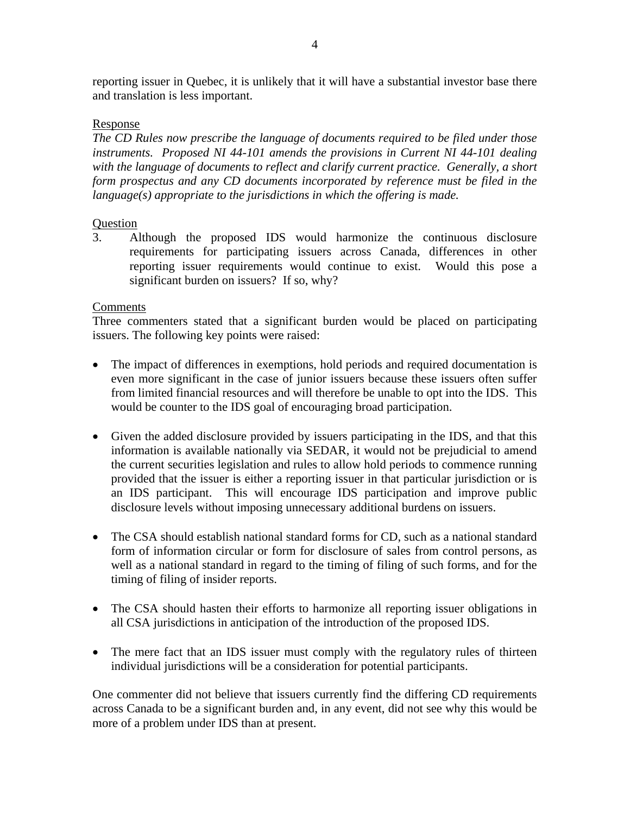reporting issuer in Quebec, it is unlikely that it will have a substantial investor base there and translation is less important.

## Response

*The CD Rules now prescribe the language of documents required to be filed under those instruments. Proposed NI 44-101 amends the provisions in Current NI 44-101 dealing with the language of documents to reflect and clarify current practice. Generally, a short form prospectus and any CD documents incorporated by reference must be filed in the language(s) appropriate to the jurisdictions in which the offering is made.*

## Question

3. Although the proposed IDS would harmonize the continuous disclosure requirements for participating issuers across Canada, differences in other reporting issuer requirements would continue to exist. Would this pose a significant burden on issuers? If so, why?

## Comments

Three commenters stated that a significant burden would be placed on participating issuers. The following key points were raised:

- The impact of differences in exemptions, hold periods and required documentation is even more significant in the case of junior issuers because these issuers often suffer from limited financial resources and will therefore be unable to opt into the IDS. This would be counter to the IDS goal of encouraging broad participation.
- Given the added disclosure provided by issuers participating in the IDS, and that this information is available nationally via SEDAR, it would not be prejudicial to amend the current securities legislation and rules to allow hold periods to commence running provided that the issuer is either a reporting issuer in that particular jurisdiction or is an IDS participant. This will encourage IDS participation and improve public disclosure levels without imposing unnecessary additional burdens on issuers.
- The CSA should establish national standard forms for CD, such as a national standard form of information circular or form for disclosure of sales from control persons, as well as a national standard in regard to the timing of filing of such forms, and for the timing of filing of insider reports.
- The CSA should hasten their efforts to harmonize all reporting issuer obligations in all CSA jurisdictions in anticipation of the introduction of the proposed IDS.
- The mere fact that an IDS issuer must comply with the regulatory rules of thirteen individual jurisdictions will be a consideration for potential participants.

One commenter did not believe that issuers currently find the differing CD requirements across Canada to be a significant burden and, in any event, did not see why this would be more of a problem under IDS than at present.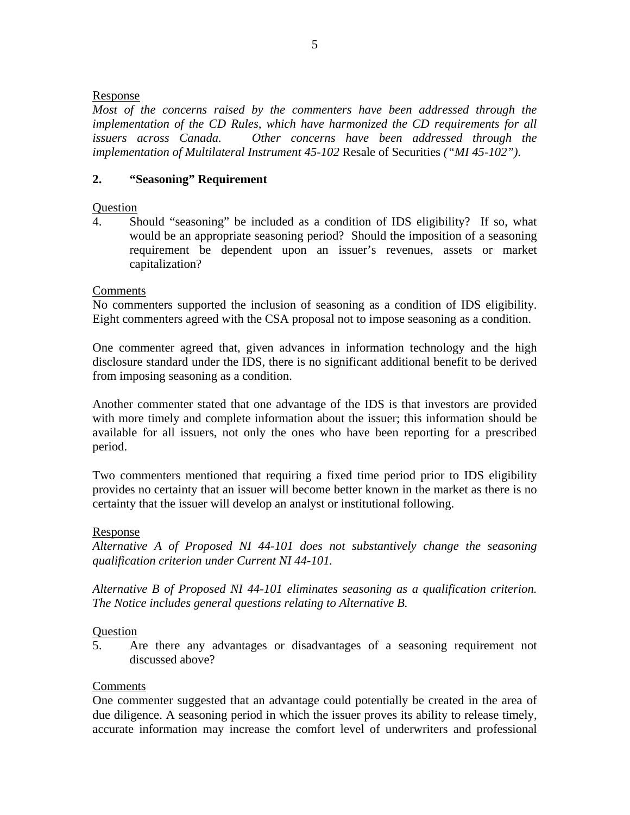## Response

*Most of the concerns raised by the commenters have been addressed through the implementation of the CD Rules, which have harmonized the CD requirements for all issuers across Canada. Other concerns have been addressed through the implementation of Multilateral Instrument 45-102* Resale of Securities *("MI 45-102").* 

### **2. "Seasoning" Requirement**

### **Question**

4. Should "seasoning" be included as a condition of IDS eligibility? If so, what would be an appropriate seasoning period? Should the imposition of a seasoning requirement be dependent upon an issuer's revenues, assets or market capitalization?

### Comments

No commenters supported the inclusion of seasoning as a condition of IDS eligibility. Eight commenters agreed with the CSA proposal not to impose seasoning as a condition.

One commenter agreed that, given advances in information technology and the high disclosure standard under the IDS, there is no significant additional benefit to be derived from imposing seasoning as a condition.

Another commenter stated that one advantage of the IDS is that investors are provided with more timely and complete information about the issuer; this information should be available for all issuers, not only the ones who have been reporting for a prescribed period.

Two commenters mentioned that requiring a fixed time period prior to IDS eligibility provides no certainty that an issuer will become better known in the market as there is no certainty that the issuer will develop an analyst or institutional following.

#### Response

*Alternative A of Proposed NI 44-101 does not substantively change the seasoning qualification criterion under Current NI 44-101.* 

*Alternative B of Proposed NI 44-101 eliminates seasoning as a qualification criterion. The Notice includes general questions relating to Alternative B.* 

#### **Ouestion**

5. Are there any advantages or disadvantages of a seasoning requirement not discussed above?

#### **Comments**

One commenter suggested that an advantage could potentially be created in the area of due diligence. A seasoning period in which the issuer proves its ability to release timely, accurate information may increase the comfort level of underwriters and professional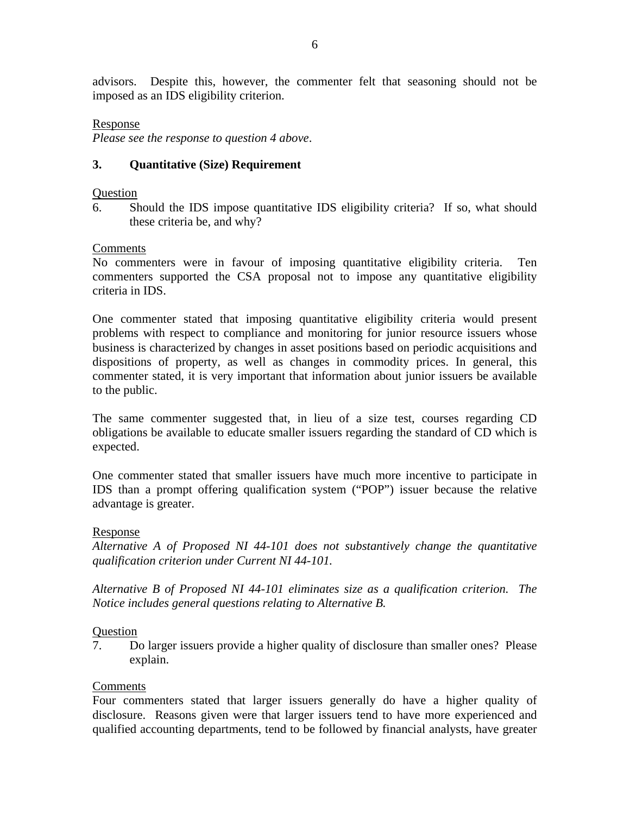advisors. Despite this, however, the commenter felt that seasoning should not be imposed as an IDS eligibility criterion.

#### Response

*Please see the response to question 4 above*.

## **3. Quantitative (Size) Requirement**

#### **Ouestion**

6. Should the IDS impose quantitative IDS eligibility criteria? If so, what should these criteria be, and why?

### Comments

No commenters were in favour of imposing quantitative eligibility criteria. Ten commenters supported the CSA proposal not to impose any quantitative eligibility criteria in IDS.

One commenter stated that imposing quantitative eligibility criteria would present problems with respect to compliance and monitoring for junior resource issuers whose business is characterized by changes in asset positions based on periodic acquisitions and dispositions of property, as well as changes in commodity prices. In general, this commenter stated, it is very important that information about junior issuers be available to the public.

The same commenter suggested that, in lieu of a size test, courses regarding CD obligations be available to educate smaller issuers regarding the standard of CD which is expected.

One commenter stated that smaller issuers have much more incentive to participate in IDS than a prompt offering qualification system ("POP") issuer because the relative advantage is greater.

## Response

*Alternative A of Proposed NI 44-101 does not substantively change the quantitative qualification criterion under Current NI 44-101.* 

*Alternative B of Proposed NI 44-101 eliminates size as a qualification criterion. The Notice includes general questions relating to Alternative B.* 

#### **Ouestion**

7. Do larger issuers provide a higher quality of disclosure than smaller ones? Please explain.

## Comments

Four commenters stated that larger issuers generally do have a higher quality of disclosure. Reasons given were that larger issuers tend to have more experienced and qualified accounting departments, tend to be followed by financial analysts, have greater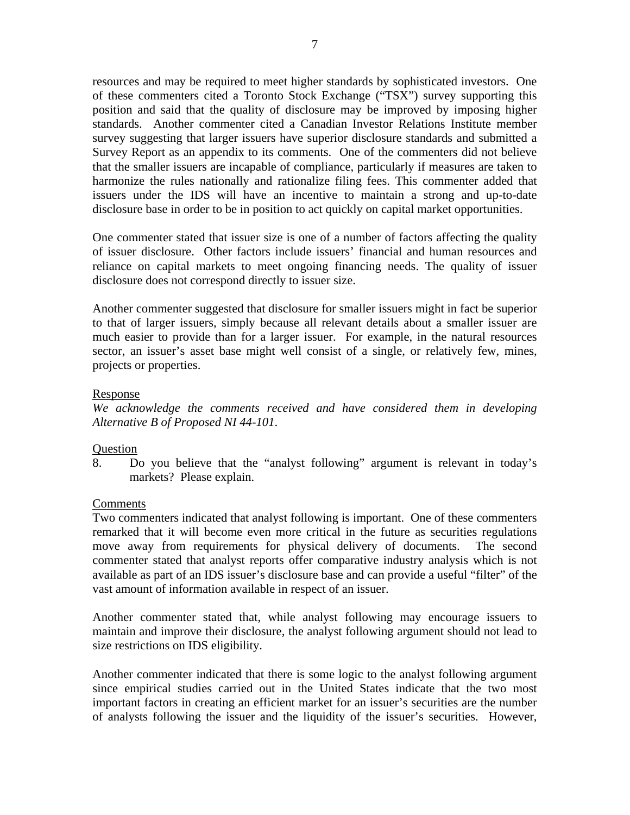resources and may be required to meet higher standards by sophisticated investors. One of these commenters cited a Toronto Stock Exchange ("TSX") survey supporting this position and said that the quality of disclosure may be improved by imposing higher standards. Another commenter cited a Canadian Investor Relations Institute member survey suggesting that larger issuers have superior disclosure standards and submitted a Survey Report as an appendix to its comments. One of the commenters did not believe that the smaller issuers are incapable of compliance, particularly if measures are taken to harmonize the rules nationally and rationalize filing fees. This commenter added that issuers under the IDS will have an incentive to maintain a strong and up-to-date disclosure base in order to be in position to act quickly on capital market opportunities.

One commenter stated that issuer size is one of a number of factors affecting the quality of issuer disclosure. Other factors include issuers' financial and human resources and reliance on capital markets to meet ongoing financing needs. The quality of issuer disclosure does not correspond directly to issuer size.

Another commenter suggested that disclosure for smaller issuers might in fact be superior to that of larger issuers, simply because all relevant details about a smaller issuer are much easier to provide than for a larger issuer. For example, in the natural resources sector, an issuer's asset base might well consist of a single, or relatively few, mines, projects or properties.

### Response

*We acknowledge the comments received and have considered them in developing Alternative B of Proposed NI 44-101*.

## Question

8. Do you believe that the "analyst following" argument is relevant in today's markets? Please explain.

## Comments

Two commenters indicated that analyst following is important. One of these commenters remarked that it will become even more critical in the future as securities regulations move away from requirements for physical delivery of documents. The second commenter stated that analyst reports offer comparative industry analysis which is not available as part of an IDS issuer's disclosure base and can provide a useful "filter" of the vast amount of information available in respect of an issuer.

Another commenter stated that, while analyst following may encourage issuers to maintain and improve their disclosure, the analyst following argument should not lead to size restrictions on IDS eligibility.

Another commenter indicated that there is some logic to the analyst following argument since empirical studies carried out in the United States indicate that the two most important factors in creating an efficient market for an issuer's securities are the number of analysts following the issuer and the liquidity of the issuer's securities. However,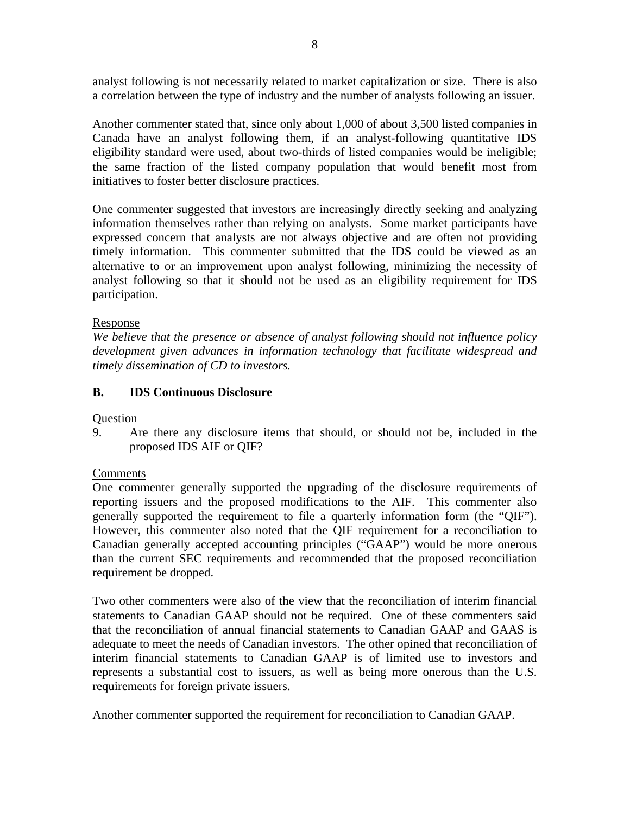analyst following is not necessarily related to market capitalization or size. There is also a correlation between the type of industry and the number of analysts following an issuer.

Another commenter stated that, since only about 1,000 of about 3,500 listed companies in Canada have an analyst following them, if an analyst-following quantitative IDS eligibility standard were used, about two-thirds of listed companies would be ineligible; the same fraction of the listed company population that would benefit most from initiatives to foster better disclosure practices.

One commenter suggested that investors are increasingly directly seeking and analyzing information themselves rather than relying on analysts. Some market participants have expressed concern that analysts are not always objective and are often not providing timely information. This commenter submitted that the IDS could be viewed as an alternative to or an improvement upon analyst following, minimizing the necessity of analyst following so that it should not be used as an eligibility requirement for IDS participation.

## Response

*We believe that the presence or absence of analyst following should not influence policy development given advances in information technology that facilitate widespread and timely dissemination of CD to investors.*

# **B. IDS Continuous Disclosure**

**Question** 

9. Are there any disclosure items that should, or should not be, included in the proposed IDS AIF or QIF?

## Comments

One commenter generally supported the upgrading of the disclosure requirements of reporting issuers and the proposed modifications to the AIF. This commenter also generally supported the requirement to file a quarterly information form (the "QIF"). However, this commenter also noted that the QIF requirement for a reconciliation to Canadian generally accepted accounting principles ("GAAP") would be more onerous than the current SEC requirements and recommended that the proposed reconciliation requirement be dropped.

Two other commenters were also of the view that the reconciliation of interim financial statements to Canadian GAAP should not be required. One of these commenters said that the reconciliation of annual financial statements to Canadian GAAP and GAAS is adequate to meet the needs of Canadian investors. The other opined that reconciliation of interim financial statements to Canadian GAAP is of limited use to investors and represents a substantial cost to issuers, as well as being more onerous than the U.S. requirements for foreign private issuers.

Another commenter supported the requirement for reconciliation to Canadian GAAP.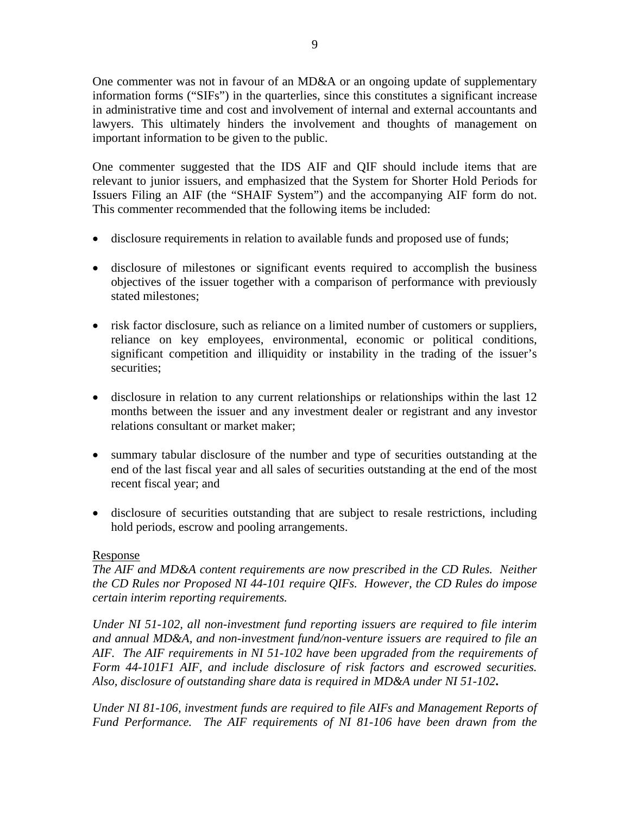One commenter was not in favour of an MD&A or an ongoing update of supplementary information forms ("SIFs") in the quarterlies, since this constitutes a significant increase in administrative time and cost and involvement of internal and external accountants and lawyers. This ultimately hinders the involvement and thoughts of management on important information to be given to the public.

One commenter suggested that the IDS AIF and QIF should include items that are relevant to junior issuers, and emphasized that the System for Shorter Hold Periods for Issuers Filing an AIF (the "SHAIF System") and the accompanying AIF form do not. This commenter recommended that the following items be included:

- disclosure requirements in relation to available funds and proposed use of funds;
- disclosure of milestones or significant events required to accomplish the business objectives of the issuer together with a comparison of performance with previously stated milestones;
- risk factor disclosure, such as reliance on a limited number of customers or suppliers, reliance on key employees, environmental, economic or political conditions, significant competition and illiquidity or instability in the trading of the issuer's securities;
- disclosure in relation to any current relationships or relationships within the last 12 months between the issuer and any investment dealer or registrant and any investor relations consultant or market maker;
- summary tabular disclosure of the number and type of securities outstanding at the end of the last fiscal year and all sales of securities outstanding at the end of the most recent fiscal year; and
- disclosure of securities outstanding that are subject to resale restrictions, including hold periods, escrow and pooling arrangements.

# Response

*The AIF and MD&A content requirements are now prescribed in the CD Rules. Neither the CD Rules nor Proposed NI 44-101 require QIFs. However, the CD Rules do impose certain interim reporting requirements.* 

*Under NI 51-102, all non-investment fund reporting issuers are required to file interim and annual MD&A, and non-investment fund/non-venture issuers are required to file an AIF. The AIF requirements in NI 51-102 have been upgraded from the requirements of Form 44-101F1 AIF, and include disclosure of risk factors and escrowed securities. Also, disclosure of outstanding share data is required in MD&A under NI 51-102***.**

*Under NI 81-106, investment funds are required to file AIFs and Management Reports of Fund Performance. The AIF requirements of NI 81-106 have been drawn from the*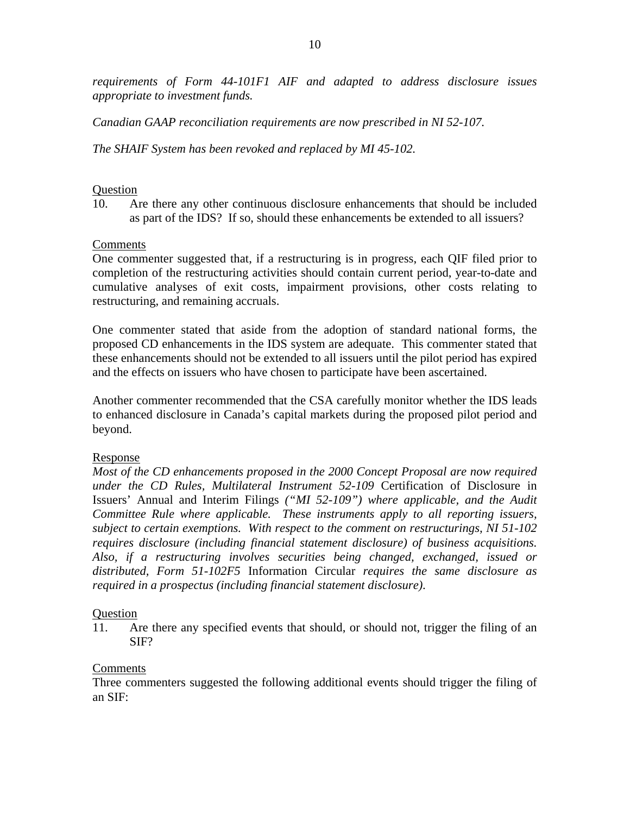*requirements of Form 44-101F1 AIF and adapted to address disclosure issues appropriate to investment funds.* 

*Canadian GAAP reconciliation requirements are now prescribed in NI 52-107.*

*The SHAIF System has been revoked and replaced by MI 45-102.* 

### Question

10. Are there any other continuous disclosure enhancements that should be included as part of the IDS? If so, should these enhancements be extended to all issuers?

## Comments

One commenter suggested that, if a restructuring is in progress, each QIF filed prior to completion of the restructuring activities should contain current period, year-to-date and cumulative analyses of exit costs, impairment provisions, other costs relating to restructuring, and remaining accruals.

One commenter stated that aside from the adoption of standard national forms, the proposed CD enhancements in the IDS system are adequate. This commenter stated that these enhancements should not be extended to all issuers until the pilot period has expired and the effects on issuers who have chosen to participate have been ascertained.

Another commenter recommended that the CSA carefully monitor whether the IDS leads to enhanced disclosure in Canada's capital markets during the proposed pilot period and beyond.

## Response

*Most of the CD enhancements proposed in the 2000 Concept Proposal are now required under the CD Rules, Multilateral Instrument 52-109* Certification of Disclosure in Issuers' Annual and Interim Filings *("MI 52-109") where applicable, and the Audit Committee Rule where applicable. These instruments apply to all reporting issuers, subject to certain exemptions. With respect to the comment on restructurings, NI 51-102 requires disclosure (including financial statement disclosure) of business acquisitions. Also, if a restructuring involves securities being changed, exchanged, issued or distributed, Form 51-102F5* Information Circular *requires the same disclosure as required in a prospectus (including financial statement disclosure)*.

## Question

11. Are there any specified events that should, or should not, trigger the filing of an SIF?

## Comments

Three commenters suggested the following additional events should trigger the filing of an SIF: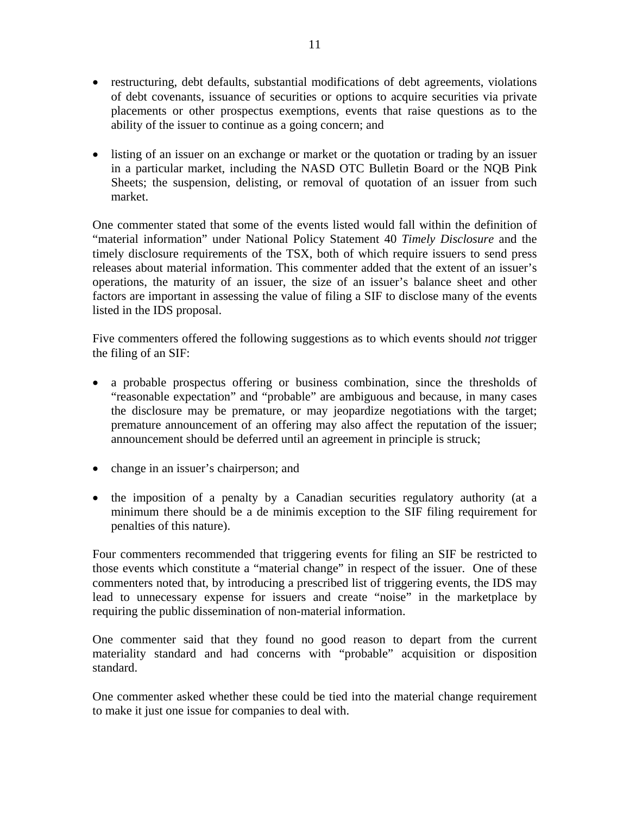- restructuring, debt defaults, substantial modifications of debt agreements, violations of debt covenants, issuance of securities or options to acquire securities via private placements or other prospectus exemptions, events that raise questions as to the ability of the issuer to continue as a going concern; and
- listing of an issuer on an exchange or market or the quotation or trading by an issuer in a particular market, including the NASD OTC Bulletin Board or the NQB Pink Sheets; the suspension, delisting, or removal of quotation of an issuer from such market.

One commenter stated that some of the events listed would fall within the definition of "material information" under National Policy Statement 40 *Timely Disclosure* and the timely disclosure requirements of the TSX, both of which require issuers to send press releases about material information. This commenter added that the extent of an issuer's operations, the maturity of an issuer, the size of an issuer's balance sheet and other factors are important in assessing the value of filing a SIF to disclose many of the events listed in the IDS proposal.

Five commenters offered the following suggestions as to which events should *not* trigger the filing of an SIF:

- a probable prospectus offering or business combination, since the thresholds of "reasonable expectation" and "probable" are ambiguous and because, in many cases the disclosure may be premature, or may jeopardize negotiations with the target; premature announcement of an offering may also affect the reputation of the issuer; announcement should be deferred until an agreement in principle is struck;
- change in an issuer's chairperson; and
- the imposition of a penalty by a Canadian securities regulatory authority (at a minimum there should be a de minimis exception to the SIF filing requirement for penalties of this nature).

Four commenters recommended that triggering events for filing an SIF be restricted to those events which constitute a "material change" in respect of the issuer. One of these commenters noted that, by introducing a prescribed list of triggering events, the IDS may lead to unnecessary expense for issuers and create "noise" in the marketplace by requiring the public dissemination of non-material information.

One commenter said that they found no good reason to depart from the current materiality standard and had concerns with "probable" acquisition or disposition standard.

One commenter asked whether these could be tied into the material change requirement to make it just one issue for companies to deal with.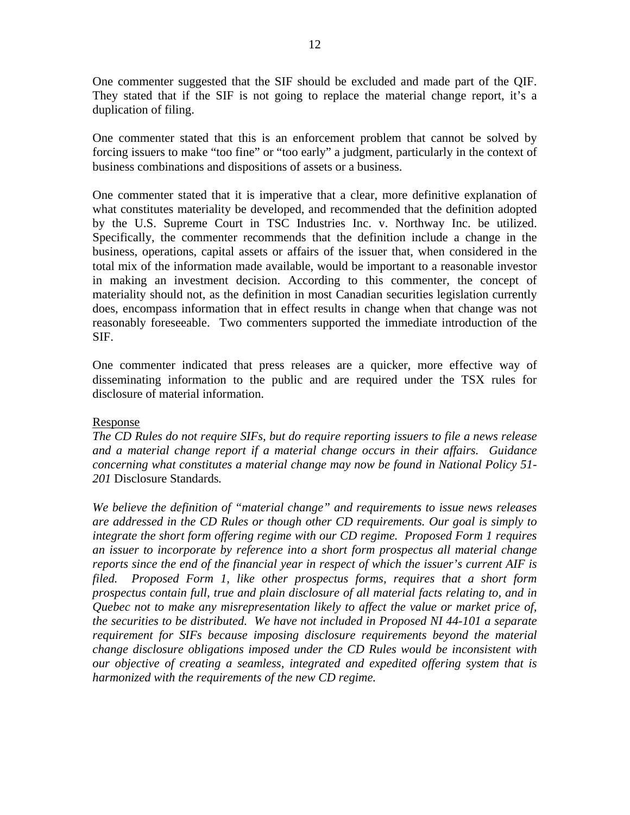One commenter suggested that the SIF should be excluded and made part of the QIF. They stated that if the SIF is not going to replace the material change report, it's a duplication of filing.

One commenter stated that this is an enforcement problem that cannot be solved by forcing issuers to make "too fine" or "too early" a judgment, particularly in the context of business combinations and dispositions of assets or a business.

One commenter stated that it is imperative that a clear, more definitive explanation of what constitutes materiality be developed, and recommended that the definition adopted by the U.S. Supreme Court in TSC Industries Inc. v. Northway Inc. be utilized. Specifically, the commenter recommends that the definition include a change in the business, operations, capital assets or affairs of the issuer that, when considered in the total mix of the information made available, would be important to a reasonable investor in making an investment decision. According to this commenter, the concept of materiality should not, as the definition in most Canadian securities legislation currently does, encompass information that in effect results in change when that change was not reasonably foreseeable. Two commenters supported the immediate introduction of the SIF.

One commenter indicated that press releases are a quicker, more effective way of disseminating information to the public and are required under the TSX rules for disclosure of material information.

## Response

*The CD Rules do not require SIFs, but do require reporting issuers to file a news release and a material change report if a material change occurs in their affairs. Guidance concerning what constitutes a material change may now be found in National Policy 51- 201* Disclosure Standards*.* 

*We believe the definition of "material change" and requirements to issue news releases are addressed in the CD Rules or though other CD requirements. Our goal is simply to integrate the short form offering regime with our CD regime. Proposed Form 1 requires an issuer to incorporate by reference into a short form prospectus all material change reports since the end of the financial year in respect of which the issuer's current AIF is filed. Proposed Form 1, like other prospectus forms, requires that a short form prospectus contain full, true and plain disclosure of all material facts relating to, and in Quebec not to make any misrepresentation likely to affect the value or market price of, the securities to be distributed. We have not included in Proposed NI 44-101 a separate requirement for SIFs because imposing disclosure requirements beyond the material change disclosure obligations imposed under the CD Rules would be inconsistent with our objective of creating a seamless, integrated and expedited offering system that is harmonized with the requirements of the new CD regime.*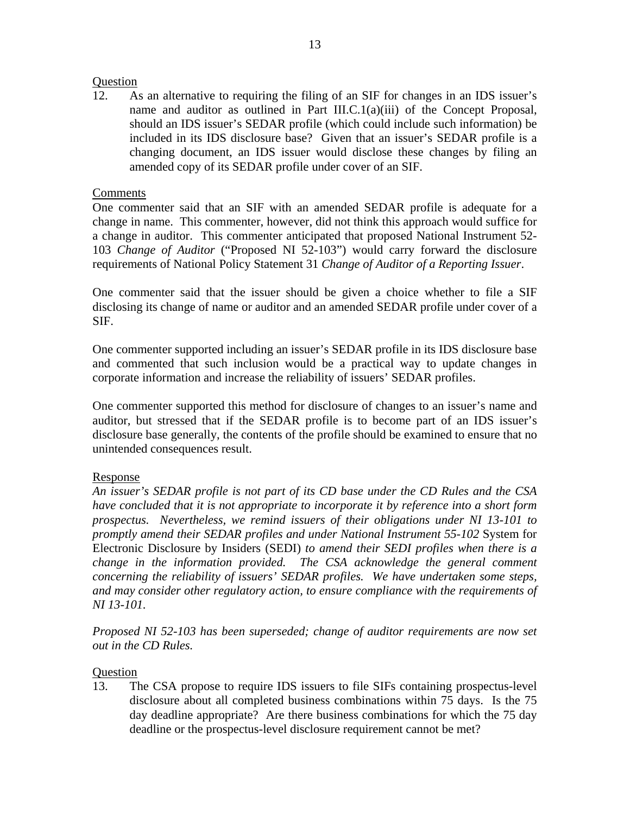## Question

12. As an alternative to requiring the filing of an SIF for changes in an IDS issuer's name and auditor as outlined in Part III.C.1(a)(iii) of the Concept Proposal, should an IDS issuer's SEDAR profile (which could include such information) be included in its IDS disclosure base? Given that an issuer's SEDAR profile is a changing document, an IDS issuer would disclose these changes by filing an amended copy of its SEDAR profile under cover of an SIF.

### Comments

One commenter said that an SIF with an amended SEDAR profile is adequate for a change in name. This commenter, however, did not think this approach would suffice for a change in auditor. This commenter anticipated that proposed National Instrument 52- 103 *Change of Auditor* ("Proposed NI 52-103") would carry forward the disclosure requirements of National Policy Statement 31 *Change of Auditor of a Reporting Issuer*.

One commenter said that the issuer should be given a choice whether to file a SIF disclosing its change of name or auditor and an amended SEDAR profile under cover of a SIF.

One commenter supported including an issuer's SEDAR profile in its IDS disclosure base and commented that such inclusion would be a practical way to update changes in corporate information and increase the reliability of issuers' SEDAR profiles.

One commenter supported this method for disclosure of changes to an issuer's name and auditor, but stressed that if the SEDAR profile is to become part of an IDS issuer's disclosure base generally, the contents of the profile should be examined to ensure that no unintended consequences result.

## Response

*An issuer's SEDAR profile is not part of its CD base under the CD Rules and the CSA have concluded that it is not appropriate to incorporate it by reference into a short form prospectus. Nevertheless, we remind issuers of their obligations under NI 13-101 to promptly amend their SEDAR profiles and under National Instrument 55-102* System for Electronic Disclosure by Insiders (SEDI) *to amend their SEDI profiles when there is a change in the information provided. The CSA acknowledge the general comment concerning the reliability of issuers' SEDAR profiles. We have undertaken some steps, and may consider other regulatory action, to ensure compliance with the requirements of NI 13-101.* 

*Proposed NI 52-103 has been superseded; change of auditor requirements are now set out in the CD Rules.*

### Question

13. The CSA propose to require IDS issuers to file SIFs containing prospectus-level disclosure about all completed business combinations within 75 days. Is the 75 day deadline appropriate? Are there business combinations for which the 75 day deadline or the prospectus-level disclosure requirement cannot be met?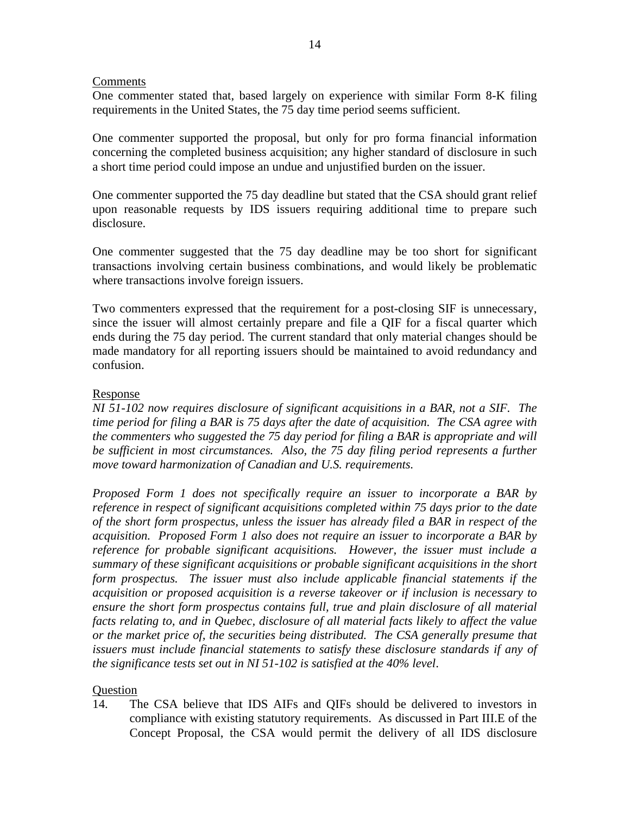### Comments

One commenter stated that, based largely on experience with similar Form 8-K filing requirements in the United States, the 75 day time period seems sufficient.

One commenter supported the proposal, but only for pro forma financial information concerning the completed business acquisition; any higher standard of disclosure in such a short time period could impose an undue and unjustified burden on the issuer.

One commenter supported the 75 day deadline but stated that the CSA should grant relief upon reasonable requests by IDS issuers requiring additional time to prepare such disclosure.

One commenter suggested that the 75 day deadline may be too short for significant transactions involving certain business combinations, and would likely be problematic where transactions involve foreign issuers.

Two commenters expressed that the requirement for a post-closing SIF is unnecessary, since the issuer will almost certainly prepare and file a QIF for a fiscal quarter which ends during the 75 day period. The current standard that only material changes should be made mandatory for all reporting issuers should be maintained to avoid redundancy and confusion.

### Response

*NI 51-102 now requires disclosure of significant acquisitions in a BAR, not a SIF. The time period for filing a BAR is 75 days after the date of acquisition. The CSA agree with the commenters who suggested the 75 day period for filing a BAR is appropriate and will*  be sufficient in most circumstances. Also, the 75 day filing period represents a further *move toward harmonization of Canadian and U.S. requirements.*

*Proposed Form 1 does not specifically require an issuer to incorporate a BAR by reference in respect of significant acquisitions completed within 75 days prior to the date of the short form prospectus, unless the issuer has already filed a BAR in respect of the acquisition. Proposed Form 1 also does not require an issuer to incorporate a BAR by reference for probable significant acquisitions. However, the issuer must include a summary of these significant acquisitions or probable significant acquisitions in the short form prospectus. The issuer must also include applicable financial statements if the acquisition or proposed acquisition is a reverse takeover or if inclusion is necessary to ensure the short form prospectus contains full, true and plain disclosure of all material facts relating to, and in Quebec, disclosure of all material facts likely to affect the value or the market price of, the securities being distributed. The CSA generally presume that issuers must include financial statements to satisfy these disclosure standards if any of the significance tests set out in NI 51-102 is satisfied at the 40% level*.

## **Question**

14. The CSA believe that IDS AIFs and QIFs should be delivered to investors in compliance with existing statutory requirements. As discussed in Part III.E of the Concept Proposal, the CSA would permit the delivery of all IDS disclosure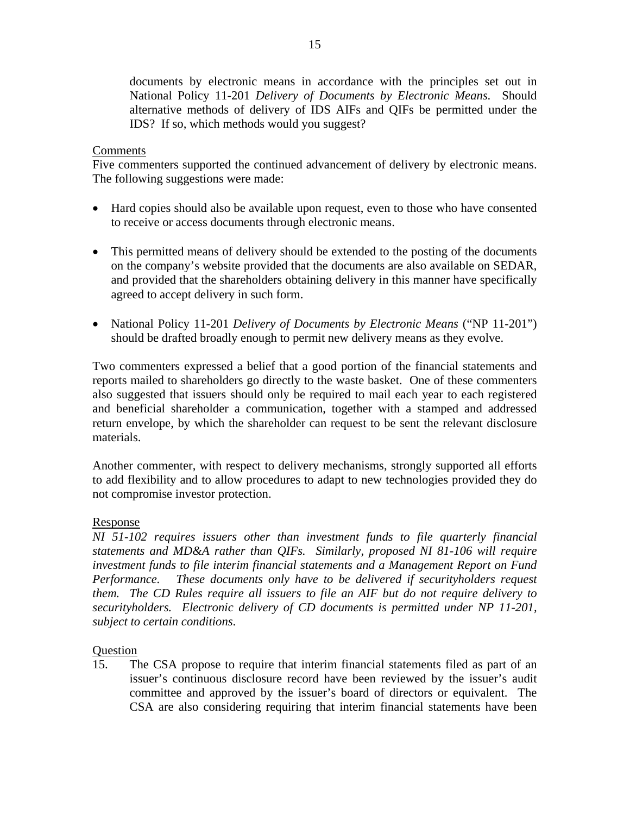documents by electronic means in accordance with the principles set out in National Policy 11-201 *Delivery of Documents by Electronic Means*. Should alternative methods of delivery of IDS AIFs and QIFs be permitted under the IDS? If so, which methods would you suggest?

## Comments

Five commenters supported the continued advancement of delivery by electronic means. The following suggestions were made:

- Hard copies should also be available upon request, even to those who have consented to receive or access documents through electronic means.
- This permitted means of delivery should be extended to the posting of the documents on the company's website provided that the documents are also available on SEDAR, and provided that the shareholders obtaining delivery in this manner have specifically agreed to accept delivery in such form.
- National Policy 11-201 *Delivery of Documents by Electronic Means* ("NP 11-201") should be drafted broadly enough to permit new delivery means as they evolve.

Two commenters expressed a belief that a good portion of the financial statements and reports mailed to shareholders go directly to the waste basket. One of these commenters also suggested that issuers should only be required to mail each year to each registered and beneficial shareholder a communication, together with a stamped and addressed return envelope, by which the shareholder can request to be sent the relevant disclosure materials.

Another commenter, with respect to delivery mechanisms, strongly supported all efforts to add flexibility and to allow procedures to adapt to new technologies provided they do not compromise investor protection.

## Response

*NI 51-102 requires issuers other than investment funds to file quarterly financial statements and MD&A rather than QIFs. Similarly, proposed NI 81-106 will require investment funds to file interim financial statements and a Management Report on Fund Performance. These documents only have to be delivered if securityholders request them. The CD Rules require all issuers to file an AIF but do not require delivery to securityholders. Electronic delivery of CD documents is permitted under NP 11-201, subject to certain conditions*.

## **Question**

15. The CSA propose to require that interim financial statements filed as part of an issuer's continuous disclosure record have been reviewed by the issuer's audit committee and approved by the issuer's board of directors or equivalent. The CSA are also considering requiring that interim financial statements have been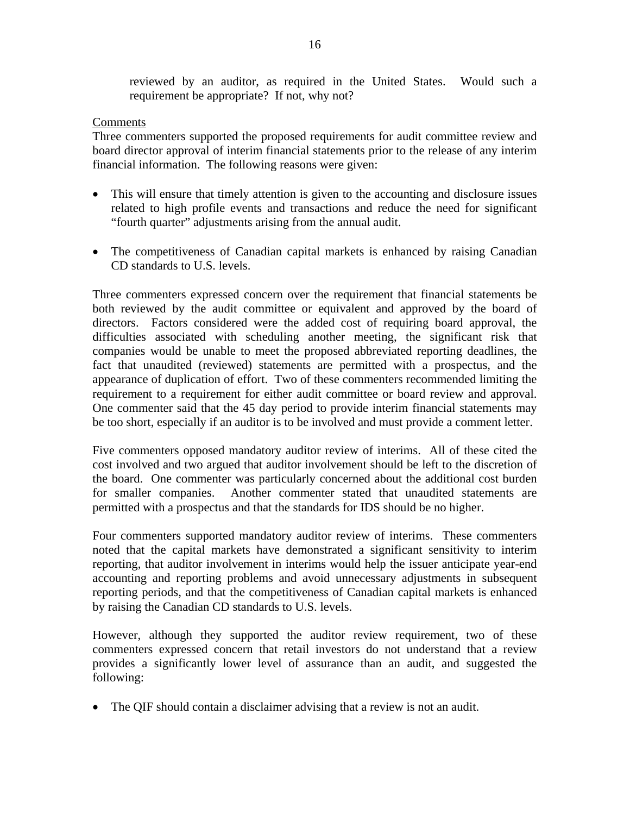reviewed by an auditor, as required in the United States. Would such a requirement be appropriate? If not, why not?

### Comments

Three commenters supported the proposed requirements for audit committee review and board director approval of interim financial statements prior to the release of any interim financial information. The following reasons were given:

- This will ensure that timely attention is given to the accounting and disclosure issues related to high profile events and transactions and reduce the need for significant "fourth quarter" adjustments arising from the annual audit.
- The competitiveness of Canadian capital markets is enhanced by raising Canadian CD standards to U.S. levels.

Three commenters expressed concern over the requirement that financial statements be both reviewed by the audit committee or equivalent and approved by the board of directors. Factors considered were the added cost of requiring board approval, the difficulties associated with scheduling another meeting, the significant risk that companies would be unable to meet the proposed abbreviated reporting deadlines, the fact that unaudited (reviewed) statements are permitted with a prospectus, and the appearance of duplication of effort. Two of these commenters recommended limiting the requirement to a requirement for either audit committee or board review and approval. One commenter said that the 45 day period to provide interim financial statements may be too short, especially if an auditor is to be involved and must provide a comment letter.

Five commenters opposed mandatory auditor review of interims. All of these cited the cost involved and two argued that auditor involvement should be left to the discretion of the board. One commenter was particularly concerned about the additional cost burden for smaller companies. Another commenter stated that unaudited statements are permitted with a prospectus and that the standards for IDS should be no higher.

Four commenters supported mandatory auditor review of interims. These commenters noted that the capital markets have demonstrated a significant sensitivity to interim reporting, that auditor involvement in interims would help the issuer anticipate year-end accounting and reporting problems and avoid unnecessary adjustments in subsequent reporting periods, and that the competitiveness of Canadian capital markets is enhanced by raising the Canadian CD standards to U.S. levels.

However, although they supported the auditor review requirement, two of these commenters expressed concern that retail investors do not understand that a review provides a significantly lower level of assurance than an audit, and suggested the following:

• The QIF should contain a disclaimer advising that a review is not an audit.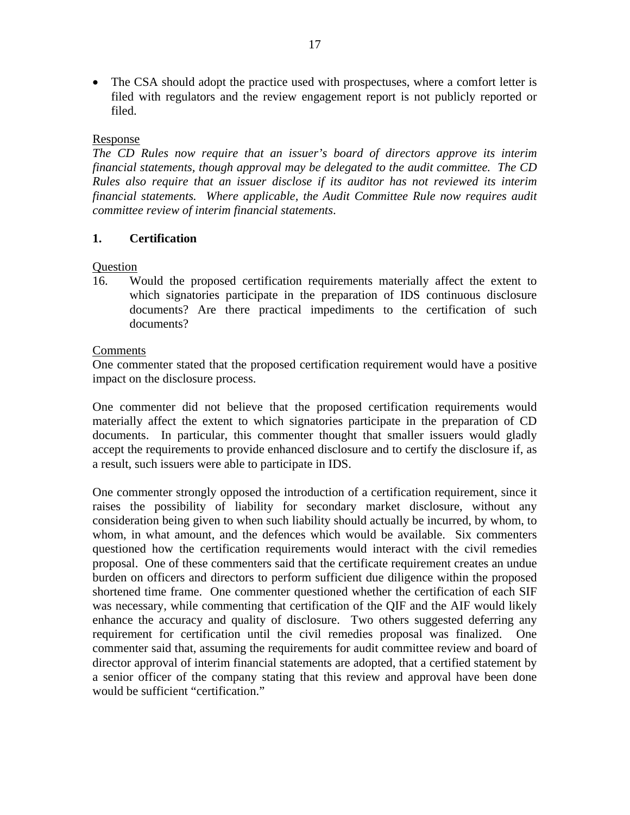• The CSA should adopt the practice used with prospectuses, where a comfort letter is filed with regulators and the review engagement report is not publicly reported or filed.

## Response

*The CD Rules now require that an issuer's board of directors approve its interim financial statements, though approval may be delegated to the audit committee. The CD Rules also require that an issuer disclose if its auditor has not reviewed its interim financial statements. Where applicable, the Audit Committee Rule now requires audit committee review of interim financial statements*.

# **1. Certification**

## **Question**

16. Would the proposed certification requirements materially affect the extent to which signatories participate in the preparation of IDS continuous disclosure documents? Are there practical impediments to the certification of such documents?

## **Comments**

One commenter stated that the proposed certification requirement would have a positive impact on the disclosure process.

One commenter did not believe that the proposed certification requirements would materially affect the extent to which signatories participate in the preparation of CD documents. In particular, this commenter thought that smaller issuers would gladly accept the requirements to provide enhanced disclosure and to certify the disclosure if, as a result, such issuers were able to participate in IDS.

One commenter strongly opposed the introduction of a certification requirement, since it raises the possibility of liability for secondary market disclosure, without any consideration being given to when such liability should actually be incurred, by whom, to whom, in what amount, and the defences which would be available. Six commenters questioned how the certification requirements would interact with the civil remedies proposal. One of these commenters said that the certificate requirement creates an undue burden on officers and directors to perform sufficient due diligence within the proposed shortened time frame. One commenter questioned whether the certification of each SIF was necessary, while commenting that certification of the QIF and the AIF would likely enhance the accuracy and quality of disclosure. Two others suggested deferring any requirement for certification until the civil remedies proposal was finalized. One commenter said that, assuming the requirements for audit committee review and board of director approval of interim financial statements are adopted, that a certified statement by a senior officer of the company stating that this review and approval have been done would be sufficient "certification."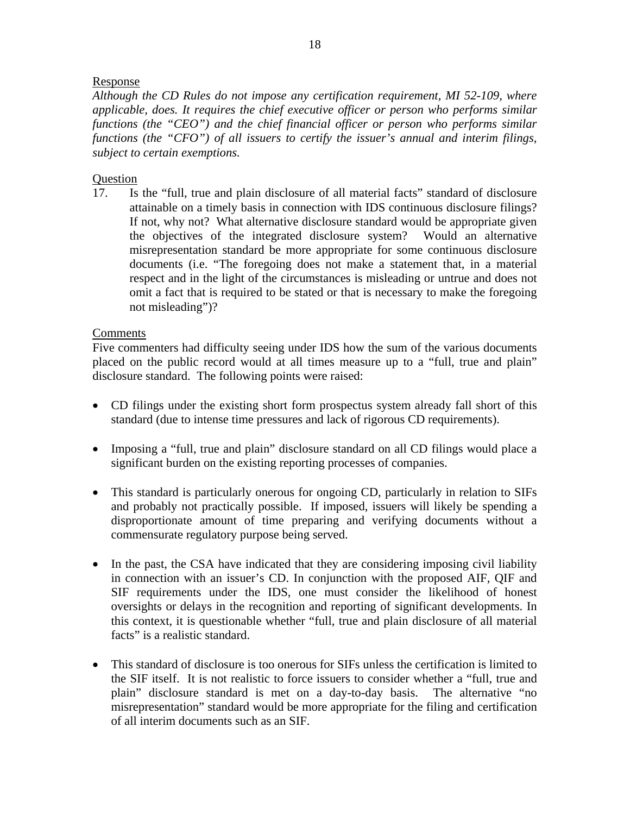## Response

*Although the CD Rules do not impose any certification requirement, MI 52-109, where applicable, does. It requires the chief executive officer or person who performs similar functions (the "CEO") and the chief financial officer or person who performs similar functions (the "CFO") of all issuers to certify the issuer's annual and interim filings, subject to certain exemptions.* 

### Question

17. Is the "full, true and plain disclosure of all material facts" standard of disclosure attainable on a timely basis in connection with IDS continuous disclosure filings? If not, why not? What alternative disclosure standard would be appropriate given the objectives of the integrated disclosure system? Would an alternative misrepresentation standard be more appropriate for some continuous disclosure documents (i.e. "The foregoing does not make a statement that, in a material respect and in the light of the circumstances is misleading or untrue and does not omit a fact that is required to be stated or that is necessary to make the foregoing not misleading")?

### Comments

Five commenters had difficulty seeing under IDS how the sum of the various documents placed on the public record would at all times measure up to a "full, true and plain" disclosure standard. The following points were raised:

- CD filings under the existing short form prospectus system already fall short of this standard (due to intense time pressures and lack of rigorous CD requirements).
- Imposing a "full, true and plain" disclosure standard on all CD filings would place a significant burden on the existing reporting processes of companies.
- This standard is particularly onerous for ongoing CD, particularly in relation to SIFs and probably not practically possible. If imposed, issuers will likely be spending a disproportionate amount of time preparing and verifying documents without a commensurate regulatory purpose being served.
- In the past, the CSA have indicated that they are considering imposing civil liability in connection with an issuer's CD. In conjunction with the proposed AIF, QIF and SIF requirements under the IDS, one must consider the likelihood of honest oversights or delays in the recognition and reporting of significant developments. In this context, it is questionable whether "full, true and plain disclosure of all material facts" is a realistic standard.
- This standard of disclosure is too onerous for SIFs unless the certification is limited to the SIF itself. It is not realistic to force issuers to consider whether a "full, true and plain" disclosure standard is met on a day-to-day basis. The alternative "no misrepresentation" standard would be more appropriate for the filing and certification of all interim documents such as an SIF.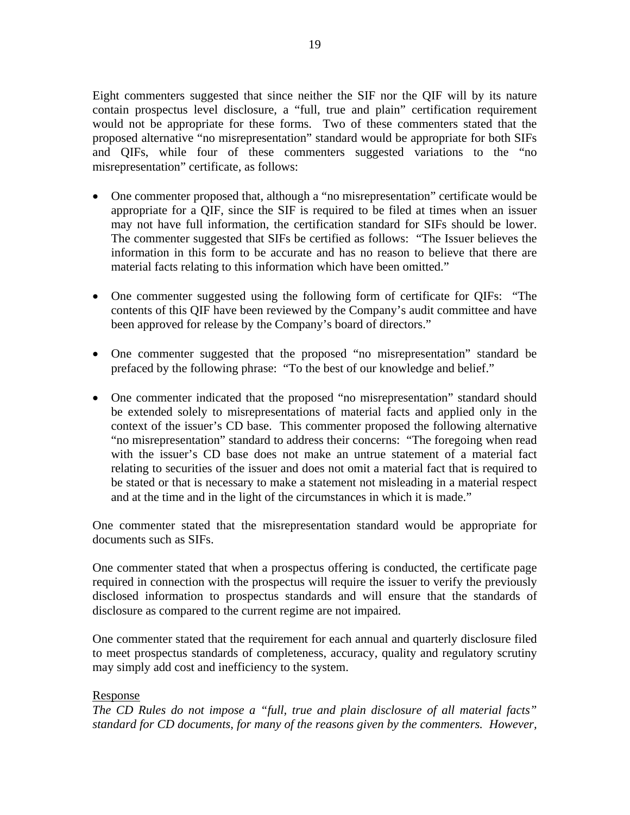Eight commenters suggested that since neither the SIF nor the QIF will by its nature contain prospectus level disclosure, a "full, true and plain" certification requirement would not be appropriate for these forms. Two of these commenters stated that the proposed alternative "no misrepresentation" standard would be appropriate for both SIFs and QIFs, while four of these commenters suggested variations to the "no misrepresentation" certificate, as follows:

- One commenter proposed that, although a "no misrepresentation" certificate would be appropriate for a QIF, since the SIF is required to be filed at times when an issuer may not have full information, the certification standard for SIFs should be lower. The commenter suggested that SIFs be certified as follows: "The Issuer believes the information in this form to be accurate and has no reason to believe that there are material facts relating to this information which have been omitted."
- One commenter suggested using the following form of certificate for QIFs: "The contents of this QIF have been reviewed by the Company's audit committee and have been approved for release by the Company's board of directors."
- One commenter suggested that the proposed "no misrepresentation" standard be prefaced by the following phrase: "To the best of our knowledge and belief."
- One commenter indicated that the proposed "no misrepresentation" standard should be extended solely to misrepresentations of material facts and applied only in the context of the issuer's CD base. This commenter proposed the following alternative "no misrepresentation" standard to address their concerns: "The foregoing when read with the issuer's CD base does not make an untrue statement of a material fact relating to securities of the issuer and does not omit a material fact that is required to be stated or that is necessary to make a statement not misleading in a material respect and at the time and in the light of the circumstances in which it is made."

One commenter stated that the misrepresentation standard would be appropriate for documents such as SIFs.

One commenter stated that when a prospectus offering is conducted, the certificate page required in connection with the prospectus will require the issuer to verify the previously disclosed information to prospectus standards and will ensure that the standards of disclosure as compared to the current regime are not impaired.

One commenter stated that the requirement for each annual and quarterly disclosure filed to meet prospectus standards of completeness, accuracy, quality and regulatory scrutiny may simply add cost and inefficiency to the system.

## Response

*The CD Rules do not impose a "full, true and plain disclosure of all material facts" standard for CD documents, for many of the reasons given by the commenters. However,*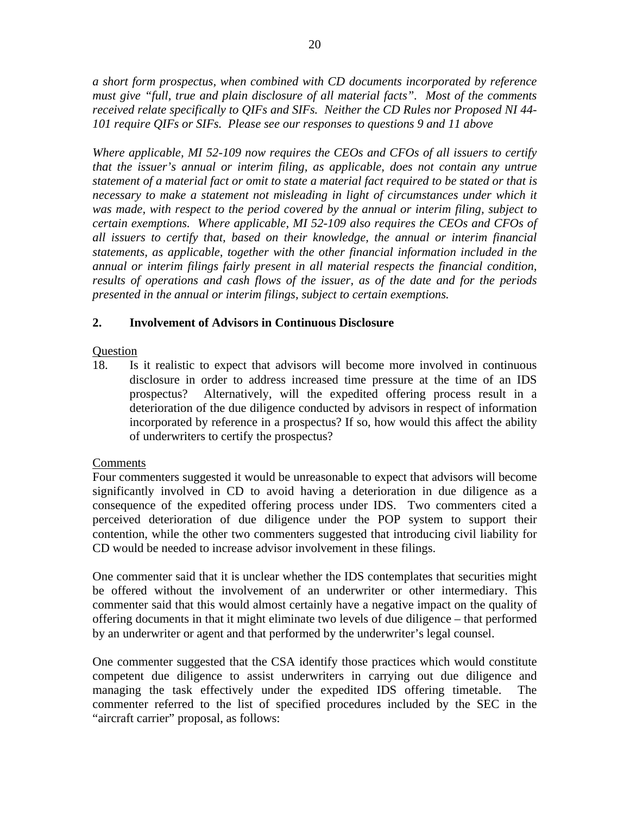*a short form prospectus, when combined with CD documents incorporated by reference must give "full, true and plain disclosure of all material facts". Most of the comments received relate specifically to QIFs and SIFs. Neither the CD Rules nor Proposed NI 44- 101 require QIFs or SIFs. Please see our responses to questions 9 and 11 above* 

*Where applicable, MI 52-109 now requires the CEOs and CFOs of all issuers to certify that the issuer's annual or interim filing, as applicable, does not contain any untrue statement of a material fact or omit to state a material fact required to be stated or that is necessary to make a statement not misleading in light of circumstances under which it was made, with respect to the period covered by the annual or interim filing, subject to certain exemptions. Where applicable, MI 52-109 also requires the CEOs and CFOs of all issuers to certify that, based on their knowledge, the annual or interim financial statements, as applicable, together with the other financial information included in the annual or interim filings fairly present in all material respects the financial condition, results of operations and cash flows of the issuer, as of the date and for the periods presented in the annual or interim filings, subject to certain exemptions.* 

# **2. Involvement of Advisors in Continuous Disclosure**

## **Question**

18. Is it realistic to expect that advisors will become more involved in continuous disclosure in order to address increased time pressure at the time of an IDS prospectus? Alternatively, will the expedited offering process result in a deterioration of the due diligence conducted by advisors in respect of information incorporated by reference in a prospectus? If so, how would this affect the ability of underwriters to certify the prospectus?

## **Comments**

Four commenters suggested it would be unreasonable to expect that advisors will become significantly involved in CD to avoid having a deterioration in due diligence as a consequence of the expedited offering process under IDS. Two commenters cited a perceived deterioration of due diligence under the POP system to support their contention, while the other two commenters suggested that introducing civil liability for CD would be needed to increase advisor involvement in these filings.

One commenter said that it is unclear whether the IDS contemplates that securities might be offered without the involvement of an underwriter or other intermediary. This commenter said that this would almost certainly have a negative impact on the quality of offering documents in that it might eliminate two levels of due diligence – that performed by an underwriter or agent and that performed by the underwriter's legal counsel.

One commenter suggested that the CSA identify those practices which would constitute competent due diligence to assist underwriters in carrying out due diligence and managing the task effectively under the expedited IDS offering timetable. The commenter referred to the list of specified procedures included by the SEC in the "aircraft carrier" proposal, as follows: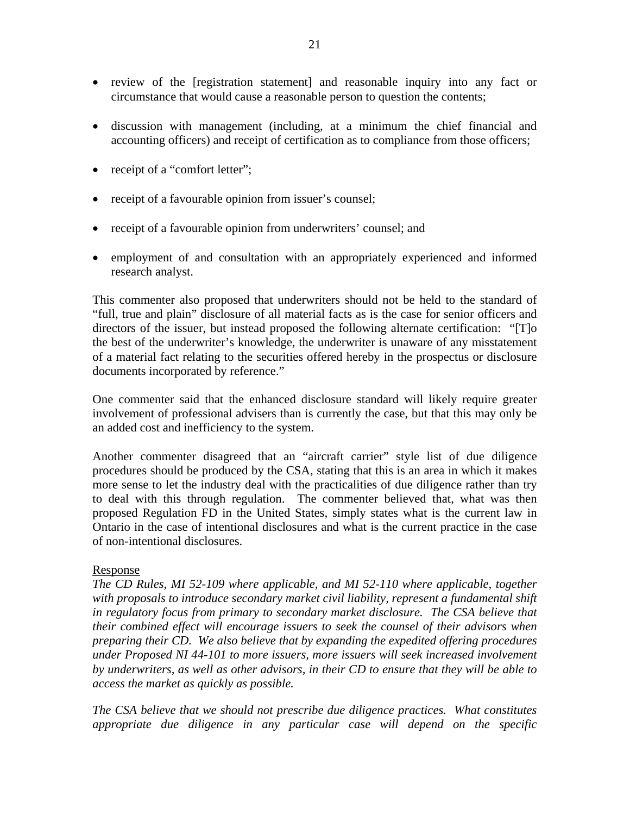- review of the [registration statement] and reasonable inquiry into any fact or circumstance that would cause a reasonable person to question the contents;
- discussion with management (including, at a minimum the chief financial and accounting officers) and receipt of certification as to compliance from those officers;
- receipt of a "comfort letter";
- receipt of a favourable opinion from issuer's counsel;
- receipt of a favourable opinion from underwriters' counsel; and
- employment of and consultation with an appropriately experienced and informed research analyst.

This commenter also proposed that underwriters should not be held to the standard of "full, true and plain" disclosure of all material facts as is the case for senior officers and directors of the issuer, but instead proposed the following alternate certification: "[T]o the best of the underwriter's knowledge, the underwriter is unaware of any misstatement of a material fact relating to the securities offered hereby in the prospectus or disclosure documents incorporated by reference."

One commenter said that the enhanced disclosure standard will likely require greater involvement of professional advisers than is currently the case, but that this may only be an added cost and inefficiency to the system.

Another commenter disagreed that an "aircraft carrier" style list of due diligence procedures should be produced by the CSA, stating that this is an area in which it makes more sense to let the industry deal with the practicalities of due diligence rather than try to deal with this through regulation. The commenter believed that, what was then proposed Regulation FD in the United States, simply states what is the current law in Ontario in the case of intentional disclosures and what is the current practice in the case of non-intentional disclosures.

## Response

*The CD Rules, MI 52-109 where applicable, and MI 52-110 where applicable, together with proposals to introduce secondary market civil liability, represent a fundamental shift in regulatory focus from primary to secondary market disclosure. The CSA believe that their combined effect will encourage issuers to seek the counsel of their advisors when preparing their CD. We also believe that by expanding the expedited offering procedures under Proposed NI 44-101 to more issuers, more issuers will seek increased involvement by underwriters, as well as other advisors, in their CD to ensure that they will be able to access the market as quickly as possible.* 

*The CSA believe that we should not prescribe due diligence practices. What constitutes appropriate due diligence in any particular case will depend on the specific*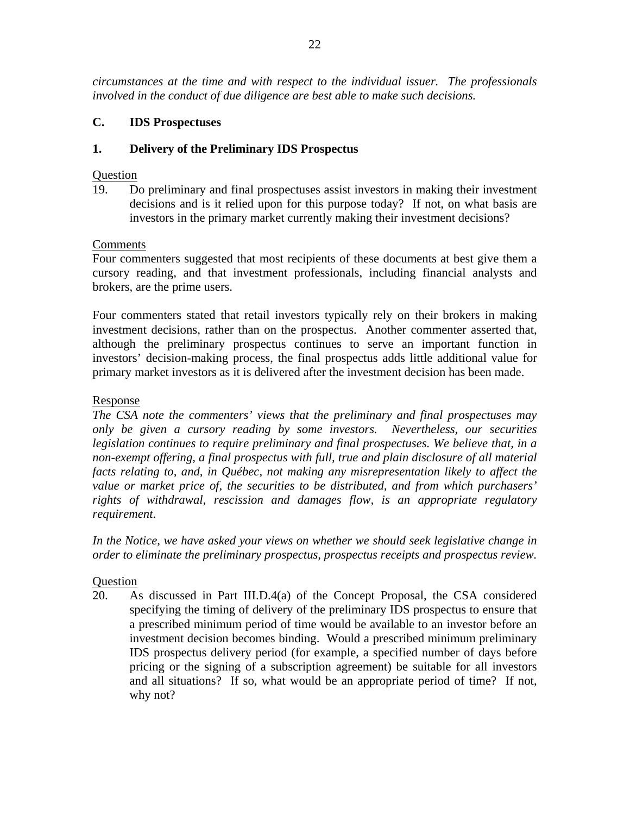*circumstances at the time and with respect to the individual issuer. The professionals involved in the conduct of due diligence are best able to make such decisions.* 

# **C. IDS Prospectuses**

## **1. Delivery of the Preliminary IDS Prospectus**

## **Ouestion**

19. Do preliminary and final prospectuses assist investors in making their investment decisions and is it relied upon for this purpose today? If not, on what basis are investors in the primary market currently making their investment decisions?

## Comments

Four commenters suggested that most recipients of these documents at best give them a cursory reading, and that investment professionals, including financial analysts and brokers, are the prime users.

Four commenters stated that retail investors typically rely on their brokers in making investment decisions, rather than on the prospectus. Another commenter asserted that, although the preliminary prospectus continues to serve an important function in investors' decision-making process, the final prospectus adds little additional value for primary market investors as it is delivered after the investment decision has been made.

## Response

*The CSA note the commenters' views that the preliminary and final prospectuses may only be given a cursory reading by some investors. Nevertheless, our securities legislation continues to require preliminary and final prospectuses. We believe that, in a* non-exempt offering, a final prospectus with full, true and plain disclosure of all material *facts relating to, and, in Québec, not making any misrepresentation likely to affect the value or market price of, the securities to be distributed, and from which purchasers' rights of withdrawal, rescission and damages flow, is an appropriate regulatory requirement*.

*In the Notice, we have asked your views on whether we should seek legislative change in order to eliminate the preliminary prospectus, prospectus receipts and prospectus review.* 

# Question

20. As discussed in Part III.D.4(a) of the Concept Proposal, the CSA considered specifying the timing of delivery of the preliminary IDS prospectus to ensure that a prescribed minimum period of time would be available to an investor before an investment decision becomes binding. Would a prescribed minimum preliminary IDS prospectus delivery period (for example, a specified number of days before pricing or the signing of a subscription agreement) be suitable for all investors and all situations? If so, what would be an appropriate period of time? If not, why not?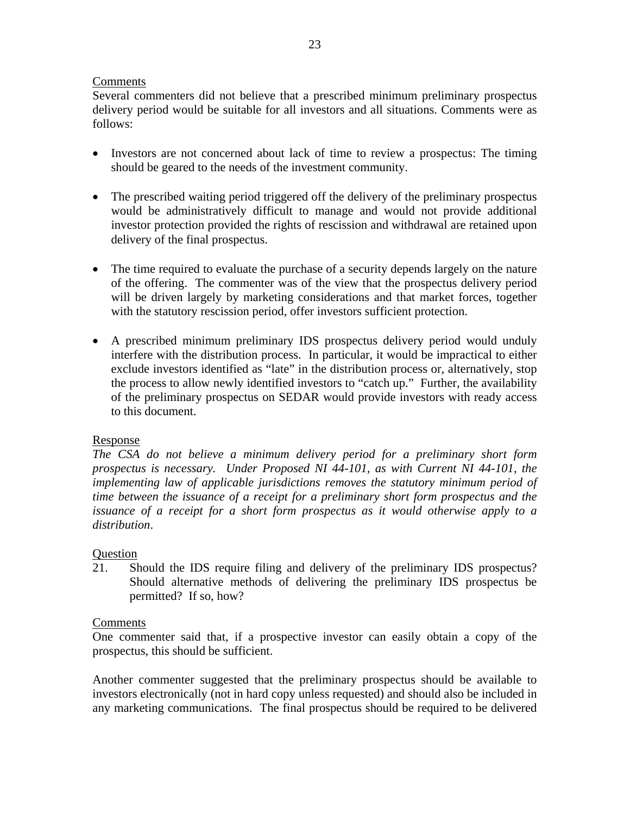## Comments

Several commenters did not believe that a prescribed minimum preliminary prospectus delivery period would be suitable for all investors and all situations. Comments were as follows:

- Investors are not concerned about lack of time to review a prospectus: The timing should be geared to the needs of the investment community.
- The prescribed waiting period triggered off the delivery of the preliminary prospectus would be administratively difficult to manage and would not provide additional investor protection provided the rights of rescission and withdrawal are retained upon delivery of the final prospectus.
- The time required to evaluate the purchase of a security depends largely on the nature of the offering. The commenter was of the view that the prospectus delivery period will be driven largely by marketing considerations and that market forces, together with the statutory rescission period, offer investors sufficient protection.
- A prescribed minimum preliminary IDS prospectus delivery period would unduly interfere with the distribution process. In particular, it would be impractical to either exclude investors identified as "late" in the distribution process or, alternatively, stop the process to allow newly identified investors to "catch up." Further, the availability of the preliminary prospectus on SEDAR would provide investors with ready access to this document.

# Response

*The CSA do not believe a minimum delivery period for a preliminary short form prospectus is necessary. Under Proposed NI 44-101, as with Current NI 44-101, the implementing law of applicable jurisdictions removes the statutory minimum period of time between the issuance of a receipt for a preliminary short form prospectus and the issuance of a receipt for a short form prospectus as it would otherwise apply to a distribution*.

# **Question**

21. Should the IDS require filing and delivery of the preliminary IDS prospectus? Should alternative methods of delivering the preliminary IDS prospectus be permitted? If so, how?

## **Comments**

One commenter said that, if a prospective investor can easily obtain a copy of the prospectus, this should be sufficient.

Another commenter suggested that the preliminary prospectus should be available to investors electronically (not in hard copy unless requested) and should also be included in any marketing communications. The final prospectus should be required to be delivered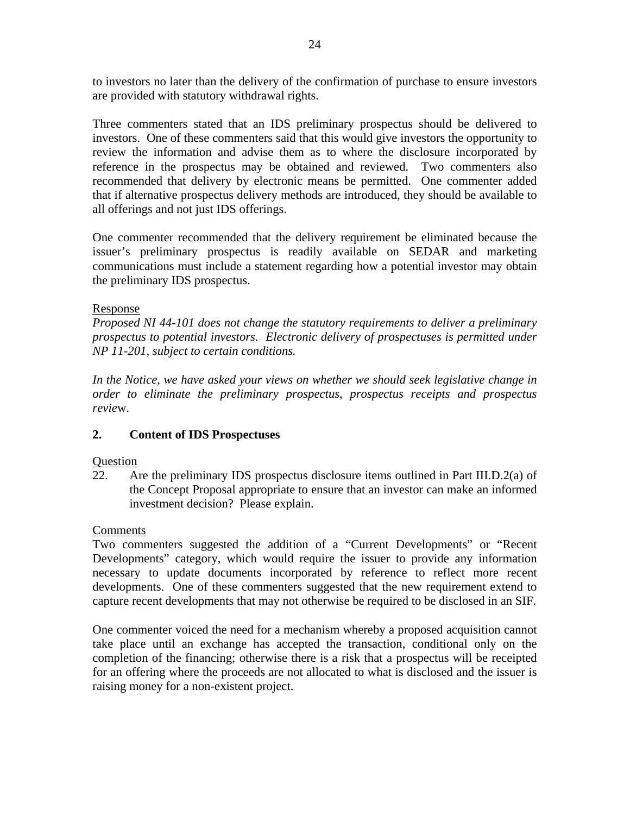to investors no later than the delivery of the confirmation of purchase to ensure investors are provided with statutory withdrawal rights.

Three commenters stated that an IDS preliminary prospectus should be delivered to investors. One of these commenters said that this would give investors the opportunity to review the information and advise them as to where the disclosure incorporated by reference in the prospectus may be obtained and reviewed. Two commenters also recommended that delivery by electronic means be permitted. One commenter added that if alternative prospectus delivery methods are introduced, they should be available to all offerings and not just IDS offerings.

One commenter recommended that the delivery requirement be eliminated because the issuer's preliminary prospectus is readily available on SEDAR and marketing communications must include a statement regarding how a potential investor may obtain the preliminary IDS prospectus.

## Response

*Proposed NI 44-101 does not change the statutory requirements to deliver a preliminary prospectus to potential investors. Electronic delivery of prospectuses is permitted under NP 11-201, subject to certain conditions.* 

*In the Notice, we have asked your views on whether we should seek legislative change in order to eliminate the preliminary prospectus, prospectus receipts and prospectus revie*w.

# **2. Content of IDS Prospectuses**

## Question

22. Are the preliminary IDS prospectus disclosure items outlined in Part III.D.2(a) of the Concept Proposal appropriate to ensure that an investor can make an informed investment decision? Please explain.

## Comments

Two commenters suggested the addition of a "Current Developments" or "Recent Developments" category, which would require the issuer to provide any information necessary to update documents incorporated by reference to reflect more recent developments. One of these commenters suggested that the new requirement extend to capture recent developments that may not otherwise be required to be disclosed in an SIF.

One commenter voiced the need for a mechanism whereby a proposed acquisition cannot take place until an exchange has accepted the transaction, conditional only on the completion of the financing; otherwise there is a risk that a prospectus will be receipted for an offering where the proceeds are not allocated to what is disclosed and the issuer is raising money for a non-existent project.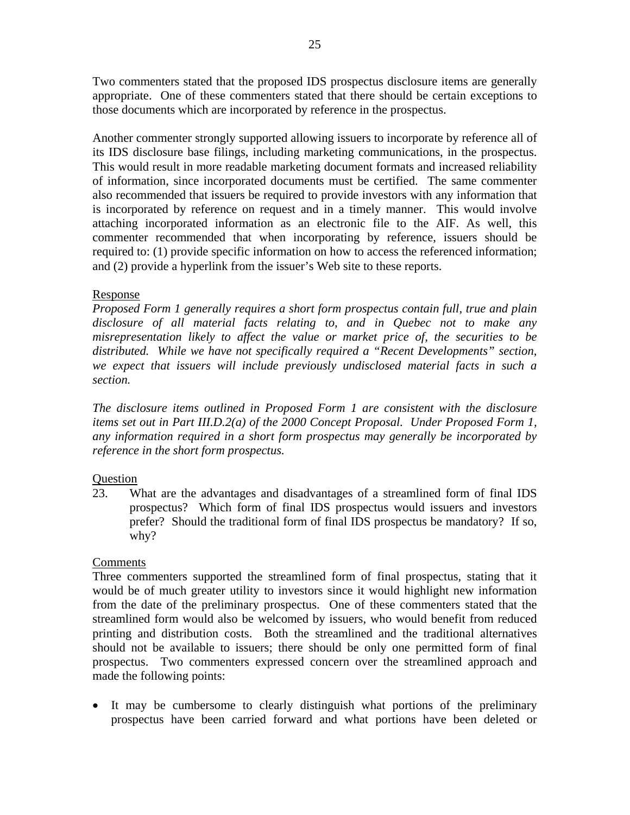Two commenters stated that the proposed IDS prospectus disclosure items are generally appropriate. One of these commenters stated that there should be certain exceptions to those documents which are incorporated by reference in the prospectus.

Another commenter strongly supported allowing issuers to incorporate by reference all of its IDS disclosure base filings, including marketing communications, in the prospectus. This would result in more readable marketing document formats and increased reliability of information, since incorporated documents must be certified. The same commenter also recommended that issuers be required to provide investors with any information that is incorporated by reference on request and in a timely manner. This would involve attaching incorporated information as an electronic file to the AIF. As well, this commenter recommended that when incorporating by reference, issuers should be required to: (1) provide specific information on how to access the referenced information; and (2) provide a hyperlink from the issuer's Web site to these reports.

## Response

*Proposed Form 1 generally requires a short form prospectus contain full, true and plain disclosure of all material facts relating to, and in Quebec not to make any misrepresentation likely to affect the value or market price of, the securities to be distributed. While we have not specifically required a "Recent Developments" section, we expect that issuers will include previously undisclosed material facts in such a section.* 

*The disclosure items outlined in Proposed Form 1 are consistent with the disclosure items set out in Part III.D.2(a) of the 2000 Concept Proposal. Under Proposed Form 1, any information required in a short form prospectus may generally be incorporated by reference in the short form prospectus.* 

# **Question**

23. What are the advantages and disadvantages of a streamlined form of final IDS prospectus? Which form of final IDS prospectus would issuers and investors prefer? Should the traditional form of final IDS prospectus be mandatory? If so, why?

# Comments

Three commenters supported the streamlined form of final prospectus, stating that it would be of much greater utility to investors since it would highlight new information from the date of the preliminary prospectus. One of these commenters stated that the streamlined form would also be welcomed by issuers, who would benefit from reduced printing and distribution costs. Both the streamlined and the traditional alternatives should not be available to issuers; there should be only one permitted form of final prospectus. Two commenters expressed concern over the streamlined approach and made the following points:

• It may be cumbersome to clearly distinguish what portions of the preliminary prospectus have been carried forward and what portions have been deleted or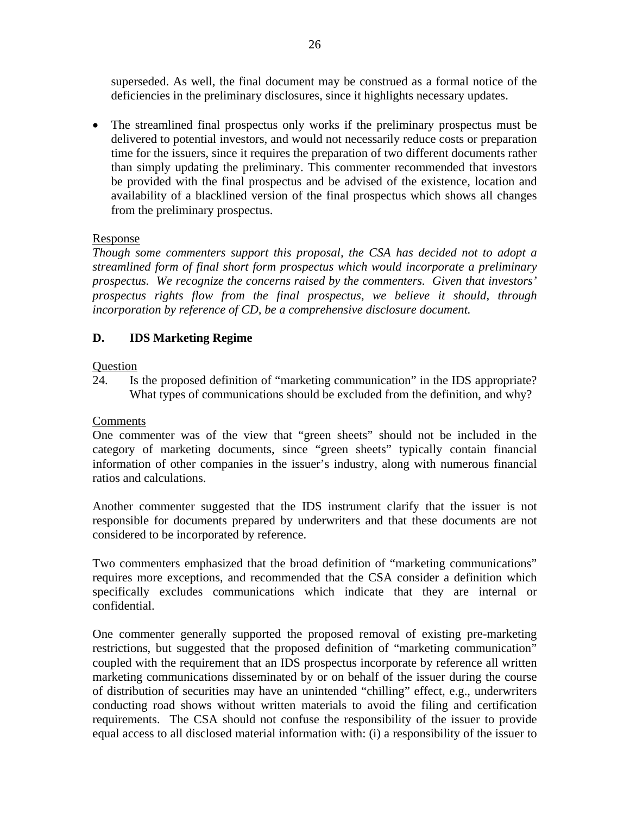superseded. As well, the final document may be construed as a formal notice of the deficiencies in the preliminary disclosures, since it highlights necessary updates.

• The streamlined final prospectus only works if the preliminary prospectus must be delivered to potential investors, and would not necessarily reduce costs or preparation time for the issuers, since it requires the preparation of two different documents rather than simply updating the preliminary. This commenter recommended that investors be provided with the final prospectus and be advised of the existence, location and availability of a blacklined version of the final prospectus which shows all changes from the preliminary prospectus.

# Response

*Though some commenters support this proposal, the CSA has decided not to adopt a streamlined form of final short form prospectus which would incorporate a preliminary prospectus. We recognize the concerns raised by the commenters. Given that investors' prospectus rights flow from the final prospectus, we believe it should, through incorporation by reference of CD, be a comprehensive disclosure document.* 

# **D. IDS Marketing Regime**

# **Question**

24. Is the proposed definition of "marketing communication" in the IDS appropriate? What types of communications should be excluded from the definition, and why?

# **Comments**

One commenter was of the view that "green sheets" should not be included in the category of marketing documents, since "green sheets" typically contain financial information of other companies in the issuer's industry, along with numerous financial ratios and calculations.

Another commenter suggested that the IDS instrument clarify that the issuer is not responsible for documents prepared by underwriters and that these documents are not considered to be incorporated by reference.

Two commenters emphasized that the broad definition of "marketing communications" requires more exceptions, and recommended that the CSA consider a definition which specifically excludes communications which indicate that they are internal or confidential.

One commenter generally supported the proposed removal of existing pre-marketing restrictions, but suggested that the proposed definition of "marketing communication" coupled with the requirement that an IDS prospectus incorporate by reference all written marketing communications disseminated by or on behalf of the issuer during the course of distribution of securities may have an unintended "chilling" effect, e.g., underwriters conducting road shows without written materials to avoid the filing and certification requirements. The CSA should not confuse the responsibility of the issuer to provide equal access to all disclosed material information with: (i) a responsibility of the issuer to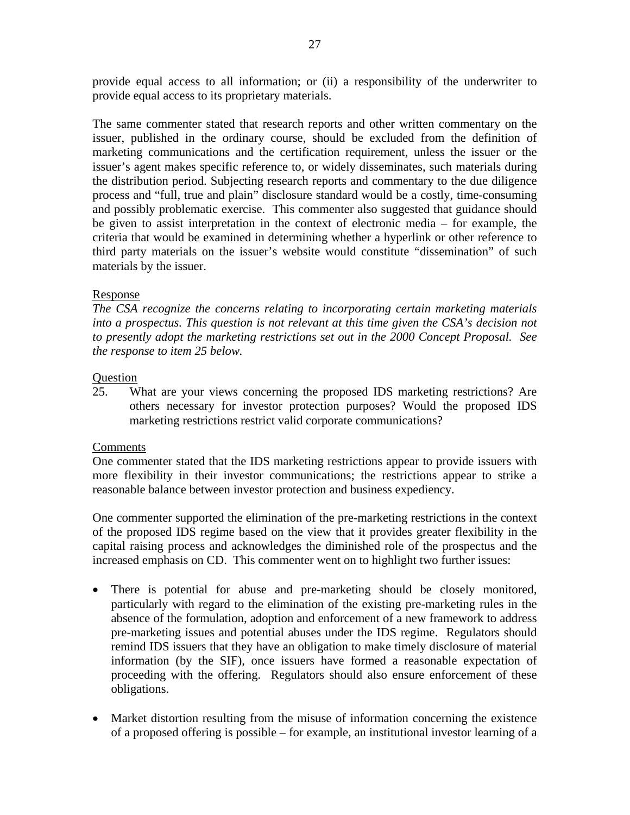provide equal access to all information; or (ii) a responsibility of the underwriter to provide equal access to its proprietary materials.

The same commenter stated that research reports and other written commentary on the issuer, published in the ordinary course, should be excluded from the definition of marketing communications and the certification requirement, unless the issuer or the issuer's agent makes specific reference to, or widely disseminates, such materials during the distribution period. Subjecting research reports and commentary to the due diligence process and "full, true and plain" disclosure standard would be a costly, time-consuming and possibly problematic exercise. This commenter also suggested that guidance should be given to assist interpretation in the context of electronic media – for example, the criteria that would be examined in determining whether a hyperlink or other reference to third party materials on the issuer's website would constitute "dissemination" of such materials by the issuer.

## Response

*The CSA recognize the concerns relating to incorporating certain marketing materials into a prospectus. This question is not relevant at this time given the CSA's decision not to presently adopt the marketing restrictions set out in the 2000 Concept Proposal. See the response to item 25 below.* 

#### Question

25. What are your views concerning the proposed IDS marketing restrictions? Are others necessary for investor protection purposes? Would the proposed IDS marketing restrictions restrict valid corporate communications?

#### **Comments**

One commenter stated that the IDS marketing restrictions appear to provide issuers with more flexibility in their investor communications; the restrictions appear to strike a reasonable balance between investor protection and business expediency.

One commenter supported the elimination of the pre-marketing restrictions in the context of the proposed IDS regime based on the view that it provides greater flexibility in the capital raising process and acknowledges the diminished role of the prospectus and the increased emphasis on CD. This commenter went on to highlight two further issues:

- There is potential for abuse and pre-marketing should be closely monitored, particularly with regard to the elimination of the existing pre-marketing rules in the absence of the formulation, adoption and enforcement of a new framework to address pre-marketing issues and potential abuses under the IDS regime. Regulators should remind IDS issuers that they have an obligation to make timely disclosure of material information (by the SIF), once issuers have formed a reasonable expectation of proceeding with the offering. Regulators should also ensure enforcement of these obligations.
- Market distortion resulting from the misuse of information concerning the existence of a proposed offering is possible – for example, an institutional investor learning of a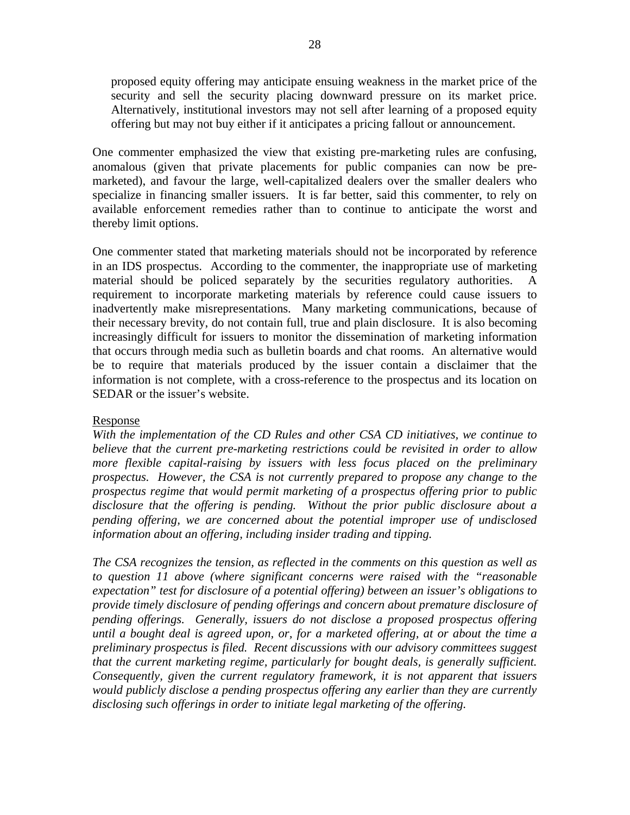proposed equity offering may anticipate ensuing weakness in the market price of the security and sell the security placing downward pressure on its market price. Alternatively, institutional investors may not sell after learning of a proposed equity offering but may not buy either if it anticipates a pricing fallout or announcement.

One commenter emphasized the view that existing pre-marketing rules are confusing, anomalous (given that private placements for public companies can now be premarketed), and favour the large, well-capitalized dealers over the smaller dealers who specialize in financing smaller issuers. It is far better, said this commenter, to rely on available enforcement remedies rather than to continue to anticipate the worst and thereby limit options.

One commenter stated that marketing materials should not be incorporated by reference in an IDS prospectus. According to the commenter, the inappropriate use of marketing material should be policed separately by the securities regulatory authorities. A requirement to incorporate marketing materials by reference could cause issuers to inadvertently make misrepresentations. Many marketing communications, because of their necessary brevity, do not contain full, true and plain disclosure. It is also becoming increasingly difficult for issuers to monitor the dissemination of marketing information that occurs through media such as bulletin boards and chat rooms. An alternative would be to require that materials produced by the issuer contain a disclaimer that the information is not complete, with a cross-reference to the prospectus and its location on SEDAR or the issuer's website.

## Response

*With the implementation of the CD Rules and other CSA CD initiatives, we continue to believe that the current pre-marketing restrictions could be revisited in order to allow more flexible capital-raising by issuers with less focus placed on the preliminary prospectus. However, the CSA is not currently prepared to propose any change to the prospectus regime that would permit marketing of a prospectus offering prior to public disclosure that the offering is pending. Without the prior public disclosure about a pending offering, we are concerned about the potential improper use of undisclosed information about an offering, including insider trading and tipping.* 

*The CSA recognizes the tension, as reflected in the comments on this question as well as to question 11 above (where significant concerns were raised with the "reasonable expectation" test for disclosure of a potential offering) between an issuer's obligations to provide timely disclosure of pending offerings and concern about premature disclosure of pending offerings. Generally, issuers do not disclose a proposed prospectus offering until a bought deal is agreed upon, or, for a marketed offering, at or about the time a preliminary prospectus is filed. Recent discussions with our advisory committees suggest that the current marketing regime, particularly for bought deals, is generally sufficient. Consequently, given the current regulatory framework, it is not apparent that issuers would publicly disclose a pending prospectus offering any earlier than they are currently disclosing such offerings in order to initiate legal marketing of the offering.*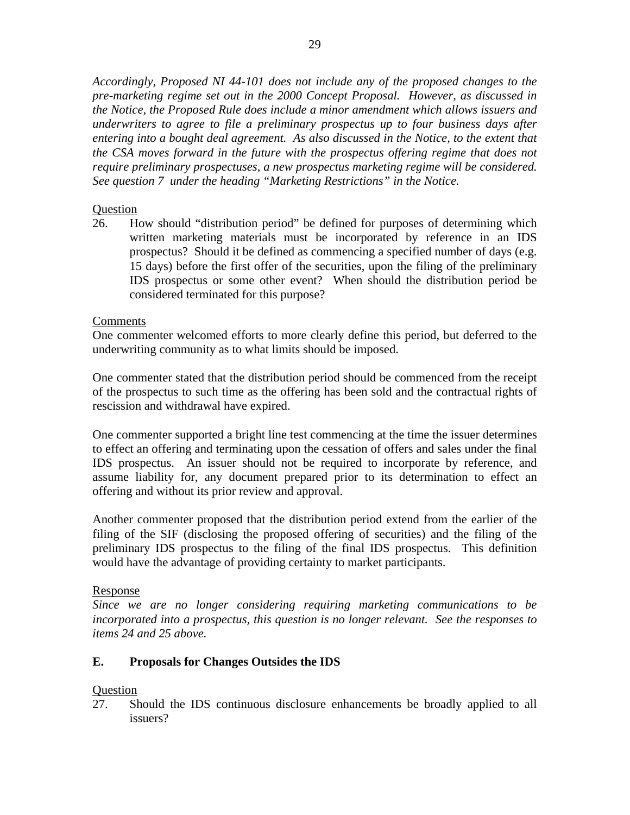*Accordingly, Proposed NI 44-101 does not include any of the proposed changes to the pre-marketing regime set out in the 2000 Concept Proposal. However, as discussed in the Notice, the Proposed Rule does include a minor amendment which allows issuers and underwriters to agree to file a preliminary prospectus up to four business days after entering into a bought deal agreement. As also discussed in the Notice, to the extent that the CSA moves forward in the future with the prospectus offering regime that does not require preliminary prospectuses, a new prospectus marketing regime will be considered. See question 7 under the heading "Marketing Restrictions" in the Notice.*

## **Ouestion**

26. How should "distribution period" be defined for purposes of determining which written marketing materials must be incorporated by reference in an IDS prospectus? Should it be defined as commencing a specified number of days (e.g. 15 days) before the first offer of the securities, upon the filing of the preliminary IDS prospectus or some other event? When should the distribution period be considered terminated for this purpose?

## Comments

One commenter welcomed efforts to more clearly define this period, but deferred to the underwriting community as to what limits should be imposed.

One commenter stated that the distribution period should be commenced from the receipt of the prospectus to such time as the offering has been sold and the contractual rights of rescission and withdrawal have expired.

One commenter supported a bright line test commencing at the time the issuer determines to effect an offering and terminating upon the cessation of offers and sales under the final IDS prospectus. An issuer should not be required to incorporate by reference, and assume liability for, any document prepared prior to its determination to effect an offering and without its prior review and approval.

Another commenter proposed that the distribution period extend from the earlier of the filing of the SIF (disclosing the proposed offering of securities) and the filing of the preliminary IDS prospectus to the filing of the final IDS prospectus. This definition would have the advantage of providing certainty to market participants.

## Response

*Since we are no longer considering requiring marketing communications to be incorporated into a prospectus, this question is no longer relevant. See the responses to items 24 and 25 above.* 

# **E. Proposals for Changes Outsides the IDS**

# **Question**

27. Should the IDS continuous disclosure enhancements be broadly applied to all issuers?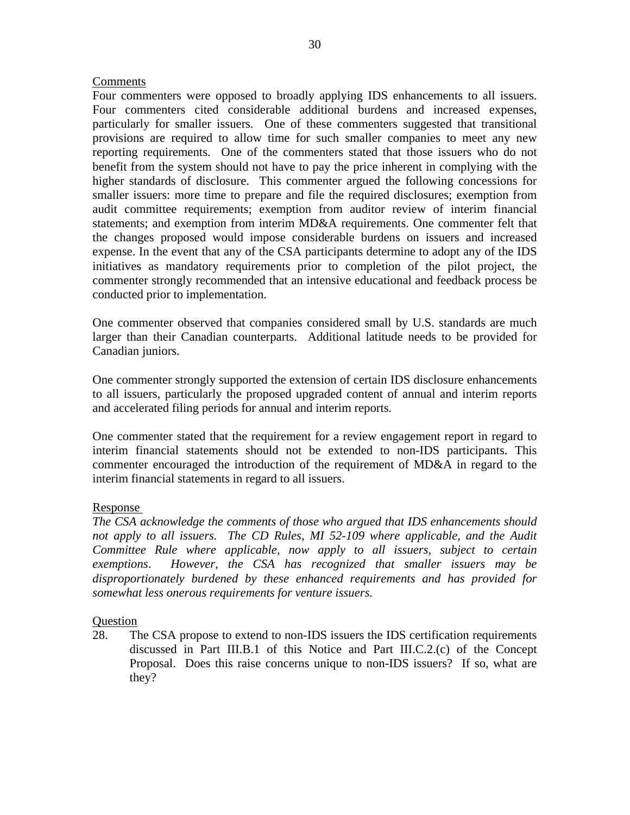### Comments

Four commenters were opposed to broadly applying IDS enhancements to all issuers. Four commenters cited considerable additional burdens and increased expenses, particularly for smaller issuers. One of these commenters suggested that transitional provisions are required to allow time for such smaller companies to meet any new reporting requirements. One of the commenters stated that those issuers who do not benefit from the system should not have to pay the price inherent in complying with the higher standards of disclosure. This commenter argued the following concessions for smaller issuers: more time to prepare and file the required disclosures; exemption from audit committee requirements; exemption from auditor review of interim financial statements; and exemption from interim MD&A requirements. One commenter felt that the changes proposed would impose considerable burdens on issuers and increased expense. In the event that any of the CSA participants determine to adopt any of the IDS initiatives as mandatory requirements prior to completion of the pilot project, the commenter strongly recommended that an intensive educational and feedback process be conducted prior to implementation.

One commenter observed that companies considered small by U.S. standards are much larger than their Canadian counterparts. Additional latitude needs to be provided for Canadian juniors.

One commenter strongly supported the extension of certain IDS disclosure enhancements to all issuers, particularly the proposed upgraded content of annual and interim reports and accelerated filing periods for annual and interim reports.

One commenter stated that the requirement for a review engagement report in regard to interim financial statements should not be extended to non-IDS participants. This commenter encouraged the introduction of the requirement of MD&A in regard to the interim financial statements in regard to all issuers.

## Response

*The CSA acknowledge the comments of those who argued that IDS enhancements should*  not apply to all issuers. The CD Rules, MI 52-109 where applicable, and the Audit *Committee Rule where applicable, now apply to all issuers, subject to certain exemptions*. *However, the CSA has recognized that smaller issuers may be disproportionately burdened by these enhanced requirements and has provided for somewhat less onerous requirements for venture issuers.* 

#### **Question**

28. The CSA propose to extend to non-IDS issuers the IDS certification requirements discussed in Part III.B.1 of this Notice and Part III.C.2.(c) of the Concept Proposal. Does this raise concerns unique to non-IDS issuers? If so, what are they?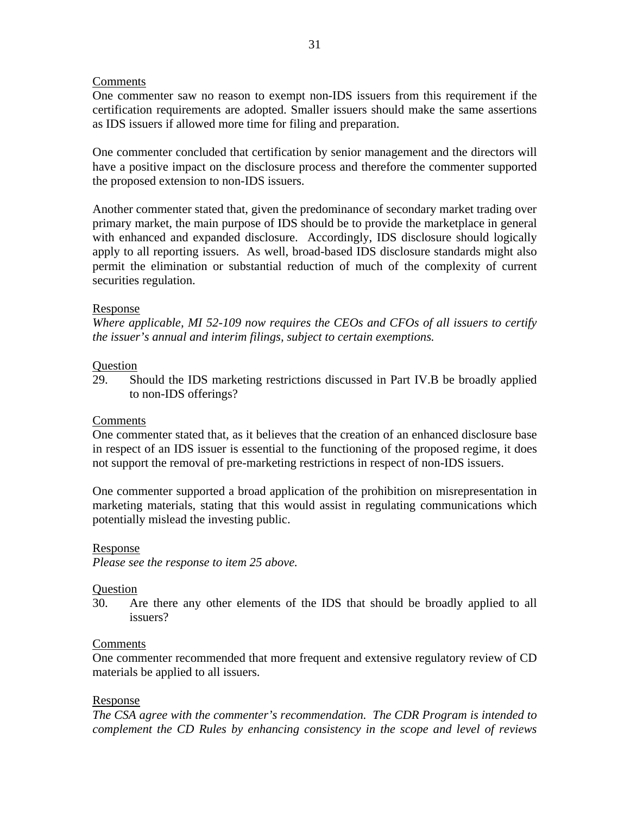## Comments

One commenter saw no reason to exempt non-IDS issuers from this requirement if the certification requirements are adopted. Smaller issuers should make the same assertions as IDS issuers if allowed more time for filing and preparation.

One commenter concluded that certification by senior management and the directors will have a positive impact on the disclosure process and therefore the commenter supported the proposed extension to non-IDS issuers.

Another commenter stated that, given the predominance of secondary market trading over primary market, the main purpose of IDS should be to provide the marketplace in general with enhanced and expanded disclosure. Accordingly, IDS disclosure should logically apply to all reporting issuers. As well, broad-based IDS disclosure standards might also permit the elimination or substantial reduction of much of the complexity of current securities regulation.

## Response

*Where applicable, MI 52-109 now requires the CEOs and CFOs of all issuers to certify the issuer's annual and interim filings, subject to certain exemptions.* 

## Question

29. Should the IDS marketing restrictions discussed in Part IV.B be broadly applied to non-IDS offerings?

## Comments

One commenter stated that, as it believes that the creation of an enhanced disclosure base in respect of an IDS issuer is essential to the functioning of the proposed regime, it does not support the removal of pre-marketing restrictions in respect of non-IDS issuers.

One commenter supported a broad application of the prohibition on misrepresentation in marketing materials, stating that this would assist in regulating communications which potentially mislead the investing public.

## Response

*Please see the response to item 25 above.* 

## **Question**

30. Are there any other elements of the IDS that should be broadly applied to all issuers?

#### Comments

One commenter recommended that more frequent and extensive regulatory review of CD materials be applied to all issuers.

#### Response

*The CSA agree with the commenter's recommendation. The CDR Program is intended to complement the CD Rules by enhancing consistency in the scope and level of reviews*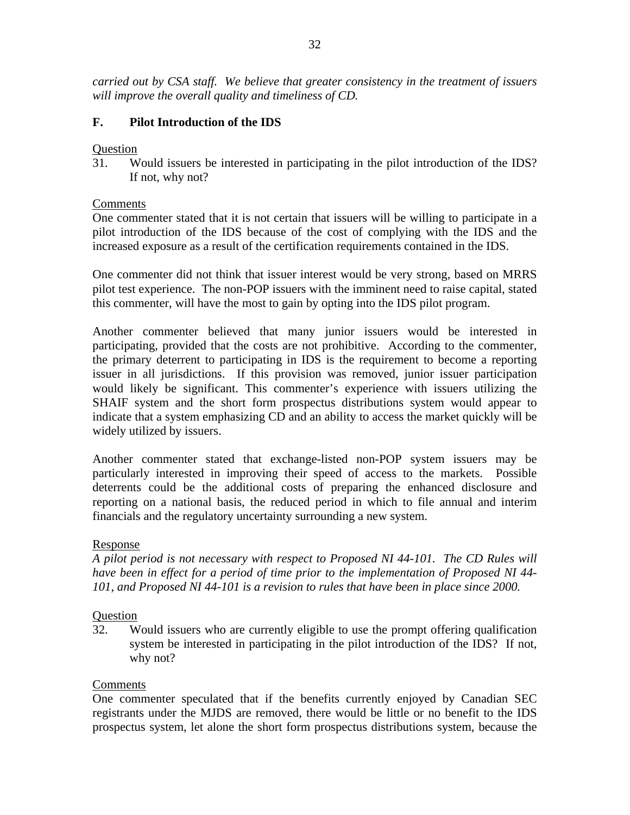*carried out by CSA staff. We believe that greater consistency in the treatment of issuers will improve the overall quality and timeliness of CD.* 

# **F. Pilot Introduction of the IDS**

## **Ouestion**

31. Would issuers be interested in participating in the pilot introduction of the IDS? If not, why not?

## Comments

One commenter stated that it is not certain that issuers will be willing to participate in a pilot introduction of the IDS because of the cost of complying with the IDS and the increased exposure as a result of the certification requirements contained in the IDS.

One commenter did not think that issuer interest would be very strong, based on MRRS pilot test experience. The non-POP issuers with the imminent need to raise capital, stated this commenter, will have the most to gain by opting into the IDS pilot program.

Another commenter believed that many junior issuers would be interested in participating, provided that the costs are not prohibitive. According to the commenter, the primary deterrent to participating in IDS is the requirement to become a reporting issuer in all jurisdictions. If this provision was removed, junior issuer participation would likely be significant. This commenter's experience with issuers utilizing the SHAIF system and the short form prospectus distributions system would appear to indicate that a system emphasizing CD and an ability to access the market quickly will be widely utilized by issuers.

Another commenter stated that exchange-listed non-POP system issuers may be particularly interested in improving their speed of access to the markets. Possible deterrents could be the additional costs of preparing the enhanced disclosure and reporting on a national basis, the reduced period in which to file annual and interim financials and the regulatory uncertainty surrounding a new system.

## Response

*A pilot period is not necessary with respect to Proposed NI 44-101. The CD Rules will have been in effect for a period of time prior to the implementation of Proposed NI 44- 101, and Proposed NI 44-101 is a revision to rules that have been in place since 2000.* 

## Question

32. Would issuers who are currently eligible to use the prompt offering qualification system be interested in participating in the pilot introduction of the IDS? If not, why not?

## Comments

One commenter speculated that if the benefits currently enjoyed by Canadian SEC registrants under the MJDS are removed, there would be little or no benefit to the IDS prospectus system, let alone the short form prospectus distributions system, because the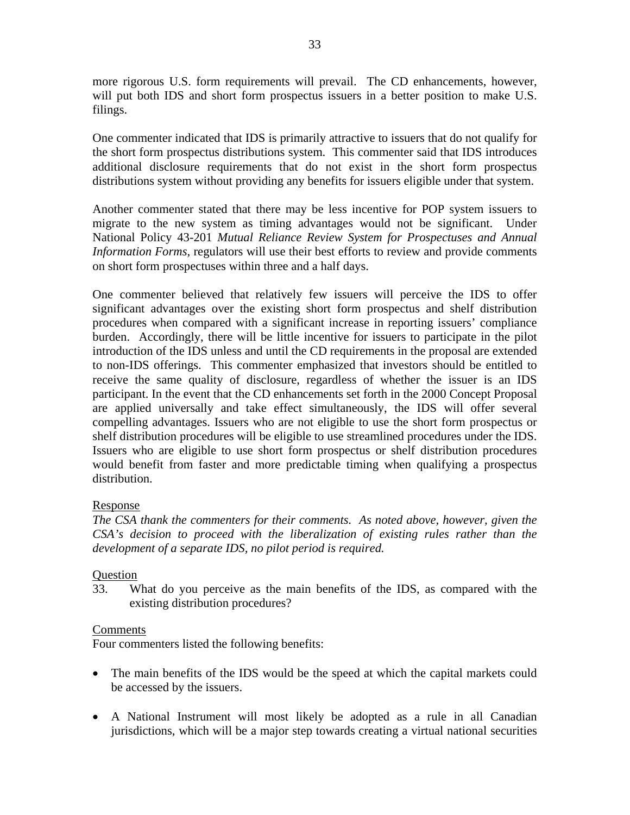more rigorous U.S. form requirements will prevail. The CD enhancements, however, will put both IDS and short form prospectus issuers in a better position to make U.S. filings.

One commenter indicated that IDS is primarily attractive to issuers that do not qualify for the short form prospectus distributions system. This commenter said that IDS introduces additional disclosure requirements that do not exist in the short form prospectus distributions system without providing any benefits for issuers eligible under that system.

Another commenter stated that there may be less incentive for POP system issuers to migrate to the new system as timing advantages would not be significant. Under National Policy 43-201 *Mutual Reliance Review System for Prospectuses and Annual Information Forms*, regulators will use their best efforts to review and provide comments on short form prospectuses within three and a half days.

One commenter believed that relatively few issuers will perceive the IDS to offer significant advantages over the existing short form prospectus and shelf distribution procedures when compared with a significant increase in reporting issuers' compliance burden. Accordingly, there will be little incentive for issuers to participate in the pilot introduction of the IDS unless and until the CD requirements in the proposal are extended to non-IDS offerings. This commenter emphasized that investors should be entitled to receive the same quality of disclosure, regardless of whether the issuer is an IDS participant. In the event that the CD enhancements set forth in the 2000 Concept Proposal are applied universally and take effect simultaneously, the IDS will offer several compelling advantages. Issuers who are not eligible to use the short form prospectus or shelf distribution procedures will be eligible to use streamlined procedures under the IDS. Issuers who are eligible to use short form prospectus or shelf distribution procedures would benefit from faster and more predictable timing when qualifying a prospectus distribution.

## Response

*The CSA thank the commenters for their comments. As noted above, however, given the CSA's decision to proceed with the liberalization of existing rules rather than the development of a separate IDS, no pilot period is required.* 

# **Question**

33. What do you perceive as the main benefits of the IDS, as compared with the existing distribution procedures?

## Comments

Four commenters listed the following benefits:

- The main benefits of the IDS would be the speed at which the capital markets could be accessed by the issuers.
- A National Instrument will most likely be adopted as a rule in all Canadian jurisdictions, which will be a major step towards creating a virtual national securities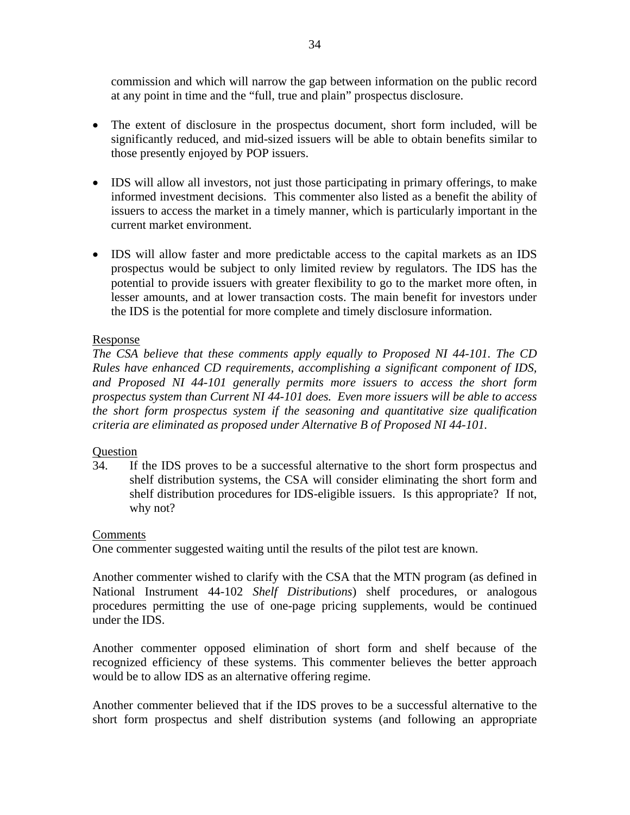commission and which will narrow the gap between information on the public record at any point in time and the "full, true and plain" prospectus disclosure.

- The extent of disclosure in the prospectus document, short form included, will be significantly reduced, and mid-sized issuers will be able to obtain benefits similar to those presently enjoyed by POP issuers.
- IDS will allow all investors, not just those participating in primary offerings, to make informed investment decisions. This commenter also listed as a benefit the ability of issuers to access the market in a timely manner, which is particularly important in the current market environment.
- IDS will allow faster and more predictable access to the capital markets as an IDS prospectus would be subject to only limited review by regulators. The IDS has the potential to provide issuers with greater flexibility to go to the market more often, in lesser amounts, and at lower transaction costs. The main benefit for investors under the IDS is the potential for more complete and timely disclosure information.

## Response

*The CSA believe that these comments apply equally to Proposed NI 44-101. The CD Rules have enhanced CD requirements, accomplishing a significant component of IDS, and Proposed NI 44-101 generally permits more issuers to access the short form prospectus system than Current NI 44-101 does. Even more issuers will be able to access the short form prospectus system if the seasoning and quantitative size qualification criteria are eliminated as proposed under Alternative B of Proposed NI 44-101.* 

## Question

34. If the IDS proves to be a successful alternative to the short form prospectus and shelf distribution systems, the CSA will consider eliminating the short form and shelf distribution procedures for IDS-eligible issuers. Is this appropriate? If not, why not?

## **Comments**

One commenter suggested waiting until the results of the pilot test are known.

Another commenter wished to clarify with the CSA that the MTN program (as defined in National Instrument 44-102 *Shelf Distributions*) shelf procedures, or analogous procedures permitting the use of one-page pricing supplements, would be continued under the IDS.

Another commenter opposed elimination of short form and shelf because of the recognized efficiency of these systems. This commenter believes the better approach would be to allow IDS as an alternative offering regime.

Another commenter believed that if the IDS proves to be a successful alternative to the short form prospectus and shelf distribution systems (and following an appropriate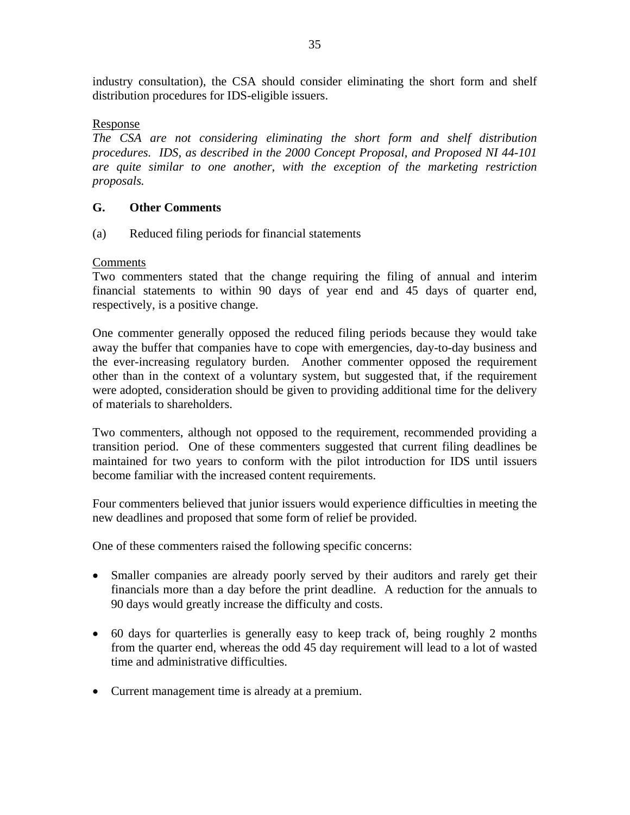industry consultation), the CSA should consider eliminating the short form and shelf distribution procedures for IDS-eligible issuers.

## Response

*The CSA are not considering eliminating the short form and shelf distribution procedures. IDS, as described in the 2000 Concept Proposal, and Proposed NI 44-101 are quite similar to one another, with the exception of the marketing restriction proposals.* 

## **G. Other Comments**

(a) Reduced filing periods for financial statements

## Comments

Two commenters stated that the change requiring the filing of annual and interim financial statements to within 90 days of year end and 45 days of quarter end, respectively, is a positive change.

One commenter generally opposed the reduced filing periods because they would take away the buffer that companies have to cope with emergencies, day-to-day business and the ever-increasing regulatory burden. Another commenter opposed the requirement other than in the context of a voluntary system, but suggested that, if the requirement were adopted, consideration should be given to providing additional time for the delivery of materials to shareholders.

Two commenters, although not opposed to the requirement, recommended providing a transition period. One of these commenters suggested that current filing deadlines be maintained for two years to conform with the pilot introduction for IDS until issuers become familiar with the increased content requirements.

Four commenters believed that junior issuers would experience difficulties in meeting the new deadlines and proposed that some form of relief be provided.

One of these commenters raised the following specific concerns:

- Smaller companies are already poorly served by their auditors and rarely get their financials more than a day before the print deadline. A reduction for the annuals to 90 days would greatly increase the difficulty and costs.
- 60 days for quarterlies is generally easy to keep track of, being roughly 2 months from the quarter end, whereas the odd 45 day requirement will lead to a lot of wasted time and administrative difficulties.
- Current management time is already at a premium.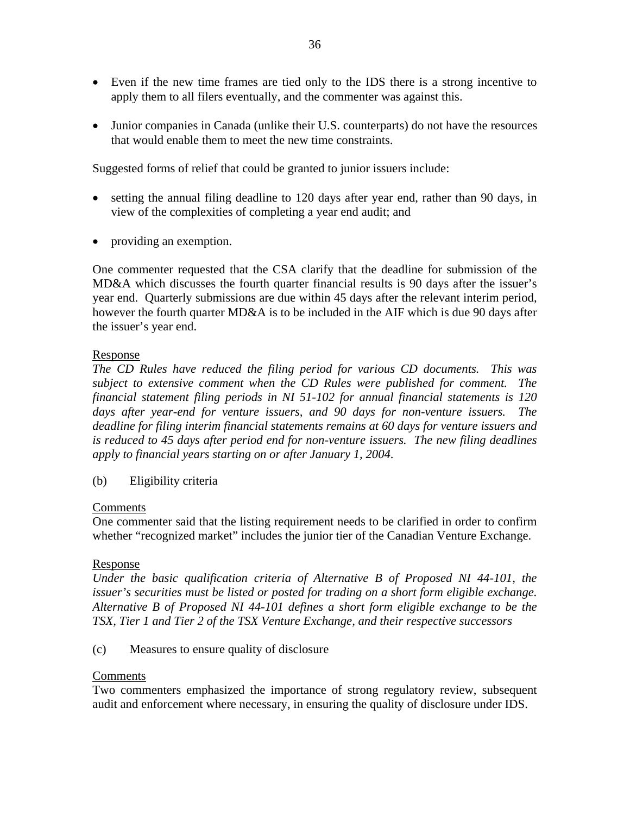- Even if the new time frames are tied only to the IDS there is a strong incentive to apply them to all filers eventually, and the commenter was against this.
- Junior companies in Canada (unlike their U.S. counterparts) do not have the resources that would enable them to meet the new time constraints.

Suggested forms of relief that could be granted to junior issuers include:

- setting the annual filing deadline to 120 days after year end, rather than 90 days, in view of the complexities of completing a year end audit; and
- providing an exemption.

One commenter requested that the CSA clarify that the deadline for submission of the MD&A which discusses the fourth quarter financial results is 90 days after the issuer's year end. Quarterly submissions are due within 45 days after the relevant interim period, however the fourth quarter MD&A is to be included in the AIF which is due 90 days after the issuer's year end.

## Response

*The CD Rules have reduced the filing period for various CD documents. This was subject to extensive comment when the CD Rules were published for comment. The financial statement filing periods in NI 51-102 for annual financial statements is 120 days after year-end for venture issuers, and 90 days for non-venture issuers. The deadline for filing interim financial statements remains at 60 days for venture issuers and is reduced to 45 days after period end for non-venture issuers. The new filing deadlines apply to financial years starting on or after January 1, 2004*.

(b) Eligibility criteria

## Comments

One commenter said that the listing requirement needs to be clarified in order to confirm whether "recognized market" includes the junior tier of the Canadian Venture Exchange.

#### Response

*Under the basic qualification criteria of Alternative B of Proposed NI 44-101, the issuer's securities must be listed or posted for trading on a short form eligible exchange. Alternative B of Proposed NI 44-101 defines a short form eligible exchange to be the TSX, Tier 1 and Tier 2 of the TSX Venture Exchange, and their respective successors*

(c) Measures to ensure quality of disclosure

#### Comments

Two commenters emphasized the importance of strong regulatory review, subsequent audit and enforcement where necessary, in ensuring the quality of disclosure under IDS.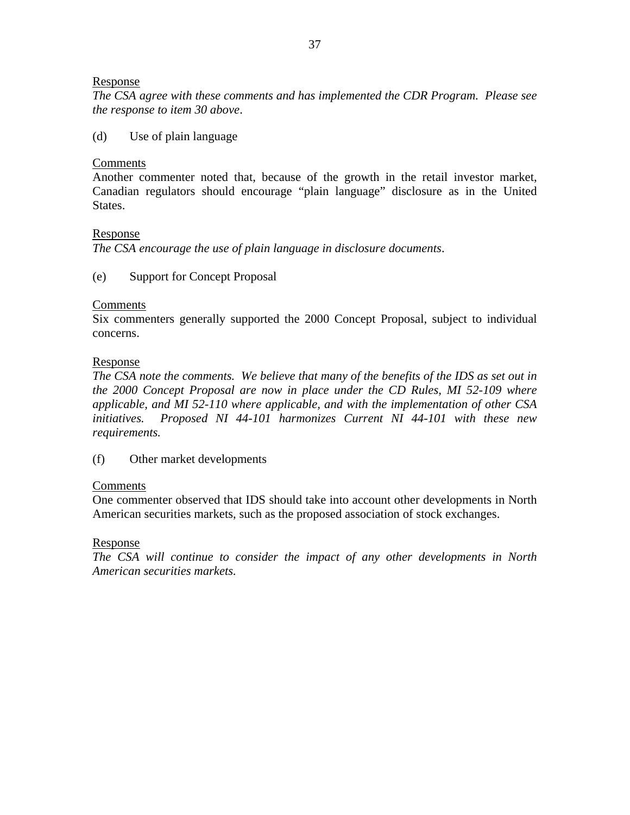### Response

*The CSA agree with these comments and has implemented the CDR Program. Please see the response to item 30 above*.

(d) Use of plain language

### **Comments**

Another commenter noted that, because of the growth in the retail investor market, Canadian regulators should encourage "plain language" disclosure as in the United States.

### Response

*The CSA encourage the use of plain language in disclosure documents*.

## (e) Support for Concept Proposal

## Comments

Six commenters generally supported the 2000 Concept Proposal, subject to individual concerns.

### Response

*The CSA note the comments. We believe that many of the benefits of the IDS as set out in the 2000 Concept Proposal are now in place under the CD Rules, MI 52-109 where applicable, and MI 52-110 where applicable, and with the implementation of other CSA initiatives. Proposed NI 44-101 harmonizes Current NI 44-101 with these new requirements.*

(f) Other market developments

## Comments

One commenter observed that IDS should take into account other developments in North American securities markets, such as the proposed association of stock exchanges.

## Response

*The CSA will continue to consider the impact of any other developments in North American securities markets.*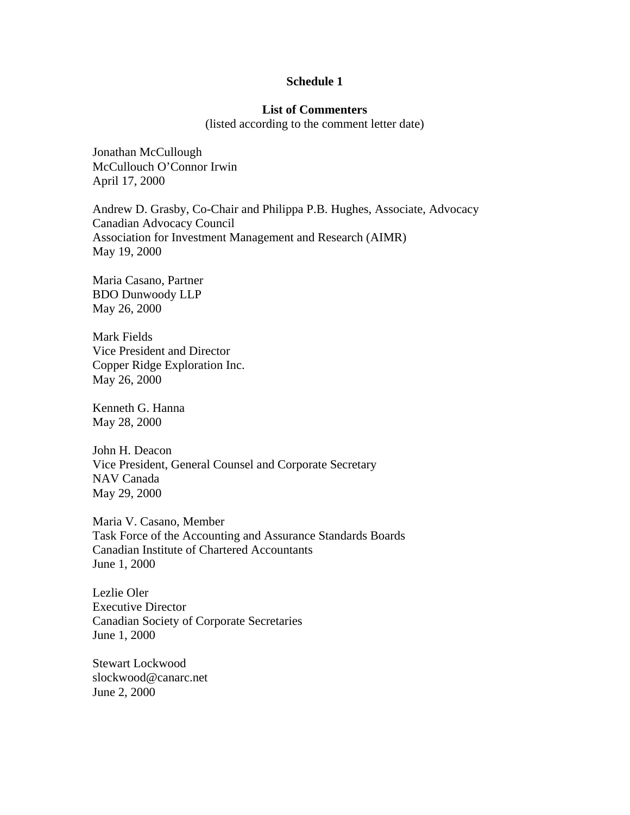#### **Schedule 1**

## **List of Commenters**

(listed according to the comment letter date)

Jonathan McCullough McCullouch O'Connor Irwin April 17, 2000

Andrew D. Grasby, Co-Chair and Philippa P.B. Hughes, Associate, Advocacy Canadian Advocacy Council Association for Investment Management and Research (AIMR) May 19, 2000

Maria Casano, Partner BDO Dunwoody LLP May 26, 2000

Mark Fields Vice President and Director Copper Ridge Exploration Inc. May 26, 2000

Kenneth G. Hanna May 28, 2000

John H. Deacon Vice President, General Counsel and Corporate Secretary NAV Canada May 29, 2000

Maria V. Casano, Member Task Force of the Accounting and Assurance Standards Boards Canadian Institute of Chartered Accountants June 1, 2000

Lezlie Oler Executive Director Canadian Society of Corporate Secretaries June 1, 2000

Stewart Lockwood slockwood@canarc.net June 2, 2000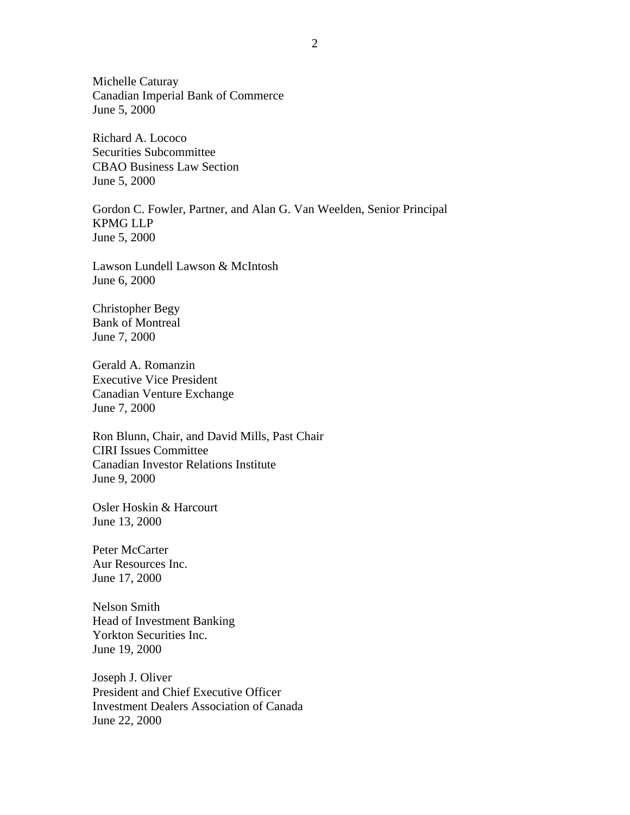Michelle Caturay Canadian Imperial Bank of Commerce June 5, 2000

Richard A. Lococo Securities Subcommittee CBAO Business Law Section June 5, 2000

Gordon C. Fowler, Partner, and Alan G. Van Weelden, Senior Principal KPMG LLP June 5, 2000

Lawson Lundell Lawson & McIntosh June 6, 2000

Christopher Begy Bank of Montreal June 7, 2000

Gerald A. Romanzin Executive Vice President Canadian Venture Exchange June 7, 2000

Ron Blunn, Chair, and David Mills, Past Chair CIRI Issues Committee Canadian Investor Relations Institute June 9, 2000

Osler Hoskin & Harcourt June 13, 2000

Peter McCarter Aur Resources Inc. June 17, 2000

Nelson Smith Head of Investment Banking Yorkton Securities Inc. June 19, 2000

Joseph J. Oliver President and Chief Executive Officer Investment Dealers Association of Canada June 22, 2000